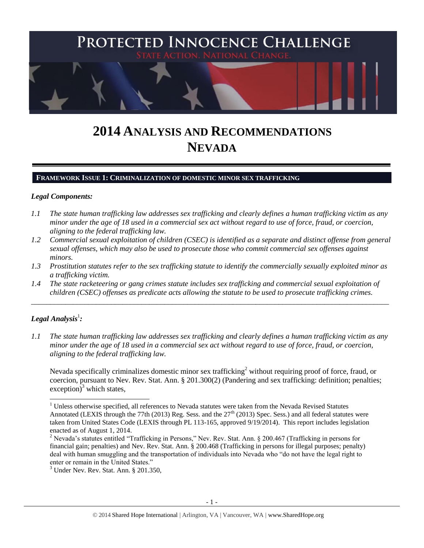

# **2014 ANALYSIS AND RECOMMENDATIONS NEVADA**

#### **FRAMEWORK ISSUE 1: CRIMINALIZATION OF DOMESTIC MINOR SEX TRAFFICKING**

#### *Legal Components:*

- *1.1 The state human trafficking law addresses sex trafficking and clearly defines a human trafficking victim as any minor under the age of 18 used in a commercial sex act without regard to use of force, fraud, or coercion, aligning to the federal trafficking law.*
- *1.2 Commercial sexual exploitation of children (CSEC) is identified as a separate and distinct offense from general sexual offenses, which may also be used to prosecute those who commit commercial sex offenses against minors.*
- *1.3 Prostitution statutes refer to the sex trafficking statute to identify the commercially sexually exploited minor as a trafficking victim.*

\_\_\_\_\_\_\_\_\_\_\_\_\_\_\_\_\_\_\_\_\_\_\_\_\_\_\_\_\_\_\_\_\_\_\_\_\_\_\_\_\_\_\_\_\_\_\_\_\_\_\_\_\_\_\_\_\_\_\_\_\_\_\_\_\_\_\_\_\_\_\_\_\_\_\_\_\_\_\_\_\_\_\_\_\_\_\_\_\_\_\_\_\_\_

*1.4 The state racketeering or gang crimes statute includes sex trafficking and commercial sexual exploitation of children (CSEC) offenses as predicate acts allowing the statute to be used to prosecute trafficking crimes.*

## $\bm{\mathit{Legal\, Analysis^1:}}$

 $\overline{a}$ 

*1.1 The state human trafficking law addresses sex trafficking and clearly defines a human trafficking victim as any minor under the age of 18 used in a commercial sex act without regard to use of force, fraud, or coercion, aligning to the federal trafficking law.*

Nevada specifically criminalizes domestic minor sex trafficking<sup>2</sup> without requiring proof of force, fraud, or coercion, pursuant to Nev. Rev. Stat. Ann. § 201.300(2) (Pandering and sex trafficking: definition; penalties;  $exception)^3$  which states,

 $1$  Unless otherwise specified, all references to Nevada statutes were taken from the Nevada Revised Statutes Annotated (LEXIS through the 77th (2013) Reg. Sess. and the  $27<sup>th</sup>$  (2013) Spec. Sess.) and all federal statutes were taken from United States Code (LEXIS through PL 113-165, approved 9/19/2014). This report includes legislation enacted as of August 1, 2014.

<sup>&</sup>lt;sup>2</sup> Nevada's statutes entitled "Trafficking in Persons," Nev. Rev. Stat. Ann. § 200.467 (Trafficking in persons for financial gain; penalties) and Nev. Rev. Stat. Ann. § 200.468 (Trafficking in persons for illegal purposes; penalty) deal with human smuggling and the transportation of individuals into Nevada who "do not have the legal right to enter or remain in the United States."

<sup>3</sup> Under Nev. Rev. Stat. Ann. § 201.350,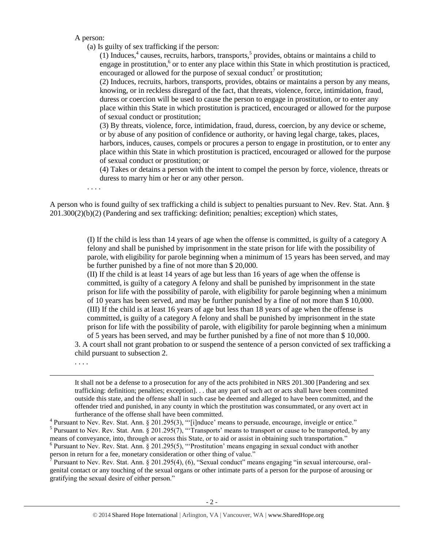A person:

(a) Is guilty of sex trafficking if the person:

<span id="page-1-3"></span><span id="page-1-2"></span><span id="page-1-1"></span><span id="page-1-0"></span> $(1)$  Induces,<sup>4</sup> causes, recruits, harbors, transports,<sup>5</sup> provides, obtains or maintains a child to engage in prostitution, $6$  or to enter any place within this State in which prostitution is practiced, encouraged or allowed for the purpose of sexual conduct<sup>7</sup> or prostitution;

(2) Induces, recruits, harbors, transports, provides, obtains or maintains a person by any means, knowing, or in reckless disregard of the fact, that threats, violence, force, intimidation, fraud, duress or coercion will be used to cause the person to engage in prostitution, or to enter any place within this State in which prostitution is practiced, encouraged or allowed for the purpose of sexual conduct or prostitution;

(3) By threats, violence, force, intimidation, fraud, duress, coercion, by any device or scheme, or by abuse of any position of confidence or authority, or having legal charge, takes, places, harbors, induces, causes, compels or procures a person to engage in prostitution, or to enter any place within this State in which prostitution is practiced, encouraged or allowed for the purpose of sexual conduct or prostitution; or

(4) Takes or detains a person with the intent to compel the person by force, violence, threats or duress to marry him or her or any other person.

. . . .

A person who is found guilty of sex trafficking a child is subject to penalties pursuant to Nev. Rev. Stat. Ann. § 201.300(2)(b)(2) (Pandering and sex trafficking: definition; penalties; exception) which states,

> (I) If the child is less than 14 years of age when the offense is committed, is guilty of a category A felony and shall be punished by imprisonment in the state prison for life with the possibility of parole, with eligibility for parole beginning when a minimum of 15 years has been served, and may be further punished by a fine of not more than \$ 20,000.

> (II) If the child is at least 14 years of age but less than 16 years of age when the offense is committed, is guilty of a category A felony and shall be punished by imprisonment in the state prison for life with the possibility of parole, with eligibility for parole beginning when a minimum of 10 years has been served, and may be further punished by a fine of not more than \$ 10,000. (III) If the child is at least 16 years of age but less than 18 years of age when the offense is committed, is guilty of a category A felony and shall be punished by imprisonment in the state prison for life with the possibility of parole, with eligibility for parole beginning when a minimum of 5 years has been served, and may be further punished by a fine of not more than \$ 10,000.

3. A court shall not grant probation to or suspend the sentence of a person convicted of sex trafficking a child pursuant to subsection 2.

. . . .

 $\overline{a}$ 

It shall not be a defense to a prosecution for any of the acts prohibited in NRS 201.300 [Pandering and sex trafficking: definition; penalties; exception]. . . that any part of such act or acts shall have been committed outside this state, and the offense shall in such case be deemed and alleged to have been committed, and the offender tried and punished, in any county in which the prostitution was consummated, or any overt act in furtherance of the offense shall have been committed.

<sup>4</sup> Pursuant to Nev. Rev. Stat. Ann. § 201.295(3), "'[i]nduce' means to persuade, encourage, inveigle or entice."<br><sup>5</sup> Pursuant to Nev. Rev. Stat. Ann. § 201.295(7), "'Transports' means to transport or cause to be transpor means of conveyance, into, through or across this State, or to aid or assist in obtaining such transportation." <sup>6</sup> Pursuant to Nev. Rev. Stat. Ann. § 201.295(5), "Prostitution' means engaging in sexual conduct with another person in return for a fee, monetary consideration or other thing of value."

<sup>7</sup> Pursuant to Nev. Rev. Stat. Ann. § 201.295(4), (6), "Sexual conduct" means engaging "in sexual intercourse, oralgenital contact or any touching of the sexual organs or other intimate parts of a person for the purpose of arousing or gratifying the sexual desire of either person."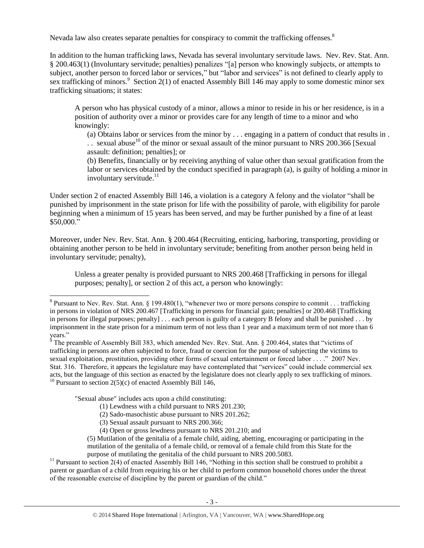Nevada law also creates separate penalties for conspiracy to commit the trafficking offenses.<sup>8</sup>

In addition to the human trafficking laws, Nevada has several involuntary servitude laws. Nev. Rev. Stat. Ann. § 200.463(1) (Involuntary servitude; penalties) penalizes "[a] person who knowingly subjects, or attempts to subject, another person to forced labor or services," but "labor and services" is not defined to clearly apply to sex trafficking of minors.<sup>9</sup> Section 2(1) of enacted Assembly Bill 146 may apply to some domestic minor sex trafficking situations; it states:

A person who has physical custody of a minor, allows a minor to reside in his or her residence, is in a position of authority over a minor or provides care for any length of time to a minor and who knowingly:

<span id="page-2-0"></span>(a) Obtains labor or services from the minor by . . . engaging in a pattern of conduct that results in . .. sexual abuse<sup>10</sup> of the minor or sexual assault of the minor pursuant to NRS 200.366 [Sexual assault: definition; penalties]; or

(b) Benefits, financially or by receiving anything of value other than sexual gratification from the labor or services obtained by the conduct specified in paragraph (a), is guilty of holding a minor in involuntary servitude. $11$ 

Under section 2 of enacted Assembly Bill 146, a violation is a category A felony and the violator "shall be punished by imprisonment in the state prison for life with the possibility of parole, with eligibility for parole beginning when a minimum of 15 years has been served, and may be further punished by a fine of at least \$50,000."

Moreover, under Nev. Rev. Stat. Ann. § 200.464 (Recruiting, enticing, harboring, transporting, providing or obtaining another person to be held in involuntary servitude; benefiting from another person being held in involuntary servitude; penalty),

Unless a greater penalty is provided pursuant to NRS 200.468 [Trafficking in persons for illegal purposes; penalty], or section 2 of this act, a person who knowingly:

"Sexual abuse" includes acts upon a child constituting:

- (1) Lewdness with a child pursuant to NRS 201.230;
- (2) Sado-masochistic abuse pursuant to NRS 201.262;
- (3) Sexual assault pursuant to NRS 200.366;
- (4) Open or gross lewdness pursuant to NRS 201.210; and

 $11$  Pursuant to section 2(4) of enacted Assembly Bill 146, "Nothing in this section shall be construed to prohibit a parent or guardian of a child from requiring his or her child to perform common household chores under the threat of the reasonable exercise of discipline by the parent or guardian of the child."

<sup>&</sup>lt;sup>8</sup> Pursuant to Nev. Rev. Stat. Ann. § 199.480(1), "whenever two or more persons conspire to commit . . . trafficking in persons in violation of NRS 200.467 [Trafficking in persons for financial gain; penalties] or 200.468 [Trafficking in persons for illegal purposes; penalty] . . . each person is guilty of a category B felony and shall be punished . . . by imprisonment in the state prison for a minimum term of not less than 1 year and a maximum term of not more than 6 years."

 $9^6$  The preamble of Assembly Bill 383, which amended Nev. Rev. Stat. Ann. § 200.464, states that "victims of trafficking in persons are often subjected to force, fraud or coercion for the purpose of subjecting the victims to sexual exploitation, prostitution, providing other forms of sexual entertainment or forced labor . . . ." 2007 Nev. Stat. 316. Therefore, it appears the legislature may have contemplated that "services" could include commercial sex acts, but the language of this section as enacted by the legislature does not clearly apply to sex trafficking of minors. <sup>10</sup> Pursuant to section  $2(5)(c)$  of enacted Assembly Bill 146,

<sup>(5)</sup> Mutilation of the genitalia of a female child, aiding, abetting, encouraging or participating in the mutilation of the genitalia of a female child, or removal of a female child from this State for the purpose of mutilating the genitalia of the child pursuant to NRS 200.5083.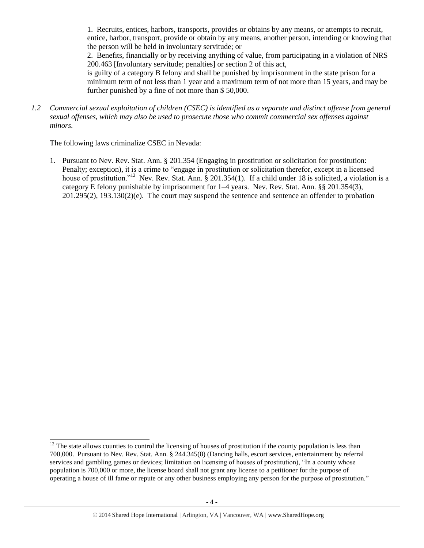1. Recruits, entices, harbors, transports, provides or obtains by any means, or attempts to recruit, entice, harbor, transport, provide or obtain by any means, another person, intending or knowing that the person will be held in involuntary servitude; or

2. Benefits, financially or by receiving anything of value, from participating in a violation of NRS 200.463 [Involuntary servitude; penalties] or section 2 of this act,

is guilty of a category B felony and shall be punished by imprisonment in the state prison for a minimum term of not less than 1 year and a maximum term of not more than 15 years, and may be further punished by a fine of not more than \$ 50,000.

*1.2 Commercial sexual exploitation of children (CSEC) is identified as a separate and distinct offense from general sexual offenses, which may also be used to prosecute those who commit commercial sex offenses against minors.*

The following laws criminalize CSEC in Nevada:

 $\overline{a}$ 

1. Pursuant to Nev. Rev. Stat. Ann. § 201.354 (Engaging in prostitution or solicitation for prostitution: Penalty; exception), it is a crime to "engage in prostitution or solicitation therefor, except in a licensed house of prostitution."<sup>12</sup> Nev. Rev. Stat. Ann. § 201.354(1). If a child under 18 is solicited, a violation is a category E felony punishable by imprisonment for 1–4 years. Nev. Rev. Stat. Ann. §§ 201.354(3), 201.295(2), 193.130(2)(e). The court may suspend the sentence and sentence an offender to probation

 $12$  The state allows counties to control the licensing of houses of prostitution if the county population is less than 700,000. Pursuant to Nev. Rev. Stat. Ann. § 244.345(8) (Dancing halls, escort services, entertainment by referral services and gambling games or devices; limitation on licensing of houses of prostitution), "In a county whose population is 700,000 or more, the license board shall not grant any license to a petitioner for the purpose of operating a house of ill fame or repute or any other business employing any person for the purpose of prostitution."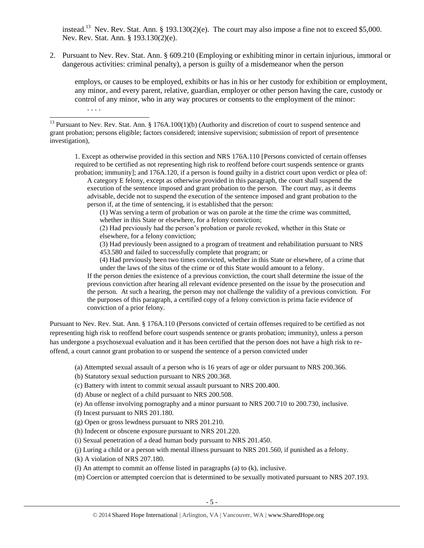<span id="page-4-0"></span>instead.<sup>13</sup> Nev. Rev. Stat. Ann. § 193.130(2)(e). The court may also impose a fine not to exceed \$5,000. Nev. Rev. Stat. Ann. § 193.130(2)(e).

2. Pursuant to Nev. Rev. Stat. Ann. § 609.210 (Employing or exhibiting minor in certain injurious, immoral or dangerous activities: criminal penalty), a person is guilty of a misdemeanor when the person

employs, or causes to be employed, exhibits or has in his or her custody for exhibition or employment, any minor, and every parent, relative, guardian, employer or other person having the care, custody or control of any minor, who in any way procures or consents to the employment of the minor: . . . .

1. Except as otherwise provided in this section and NRS 176A.110 [Persons convicted of certain offenses required to be certified as not representing high risk to reoffend before court suspends sentence or grants probation; immunity]; and 176A.120, if a person is found guilty in a district court upon verdict or plea of:

A category E felony, except as otherwise provided in this paragraph, the court shall suspend the execution of the sentence imposed and grant probation to the person. The court may, as it deems advisable, decide not to suspend the execution of the sentence imposed and grant probation to the person if, at the time of sentencing, it is established that the person:

(1) Was serving a term of probation or was on parole at the time the crime was committed, whether in this State or elsewhere, for a felony conviction;

(2) Had previously had the person's probation or parole revoked, whether in this State or elsewhere, for a felony conviction;

(3) Had previously been assigned to a program of treatment and rehabilitation pursuant to NRS 453.580 and failed to successfully complete that program; or

(4) Had previously been two times convicted, whether in this State or elsewhere, of a crime that under the laws of the situs of the crime or of this State would amount to a felony.

If the person denies the existence of a previous conviction, the court shall determine the issue of the previous conviction after hearing all relevant evidence presented on the issue by the prosecution and the person. At such a hearing, the person may not challenge the validity of a previous conviction. For the purposes of this paragraph, a certified copy of a felony conviction is prima facie evidence of conviction of a prior felony.

Pursuant to Nev. Rev. Stat. Ann. § 176A.110 (Persons convicted of certain offenses required to be certified as not representing high risk to reoffend before court suspends sentence or grants probation; immunity), unless a person has undergone a psychosexual evaluation and it has been certified that the person does not have a high risk to reoffend, a court cannot grant probation to or suspend the sentence of a person convicted under

(a) Attempted sexual assault of a person who is 16 years of age or older pursuant to NRS 200.366.

(b) Statutory sexual seduction pursuant to NRS 200.368.

(c) Battery with intent to commit sexual assault pursuant to NRS 200.400.

(d) Abuse or neglect of a child pursuant to NRS 200.508.

(e) An offense involving pornography and a minor pursuant to NRS 200.710 to 200.730, inclusive.

(f) Incest pursuant to NRS 201.180.

l

(g) Open or gross lewdness pursuant to NRS 201.210.

(h) Indecent or obscene exposure pursuant to NRS 201.220.

(i) Sexual penetration of a dead human body pursuant to NRS 201.450.

(j) Luring a child or a person with mental illness pursuant to NRS 201.560, if punished as a felony.

(k) A violation of NRS 207.180.

(l) An attempt to commit an offense listed in paragraphs (a) to (k), inclusive.

(m) Coercion or attempted coercion that is determined to be sexually motivated pursuant to NRS 207.193.

 $13$  Pursuant to Nev. Rev. Stat. Ann. § 176A.100(1)(b) (Authority and discretion of court to suspend sentence and grant probation; persons eligible; factors considered; intensive supervision; submission of report of presentence investigation),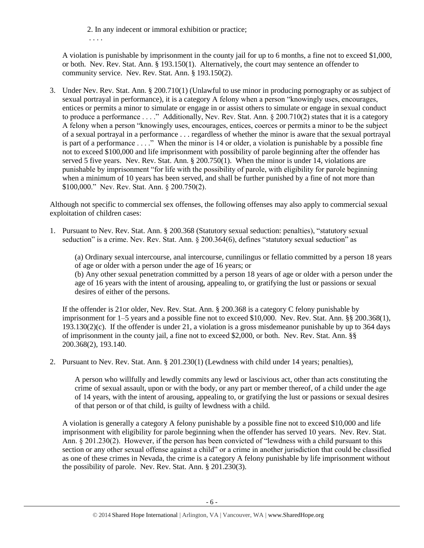2. In any indecent or immoral exhibition or practice;

. . . .

A violation is punishable by imprisonment in the county jail for up to 6 months, a fine not to exceed \$1,000, or both. Nev. Rev. Stat. Ann. § 193.150(1). Alternatively, the court may sentence an offender to community service. Nev. Rev. Stat. Ann. § 193.150(2).

3. Under Nev. Rev. Stat. Ann. § 200.710(1) (Unlawful to use minor in producing pornography or as subject of sexual portrayal in performance), it is a category A felony when a person "knowingly uses, encourages, entices or permits a minor to simulate or engage in or assist others to simulate or engage in sexual conduct to produce a performance . . . ." Additionally, Nev. Rev. Stat. Ann. § 200.710(2) states that it is a category A felony when a person "knowingly uses, encourages, entices, coerces or permits a minor to be the subject of a sexual portrayal in a performance . . . regardless of whether the minor is aware that the sexual portrayal is part of a performance . . . ." When the minor is 14 or older, a violation is punishable by a possible fine not to exceed \$100,000 and life imprisonment with possibility of parole beginning after the offender has served 5 five years. Nev. Rev. Stat. Ann. § 200.750(1). When the minor is under 14, violations are punishable by imprisonment "for life with the possibility of parole, with eligibility for parole beginning when a minimum of 10 years has been served, and shall be further punished by a fine of not more than \$100,000." Nev. Rev. Stat. Ann. § 200.750(2).

Although not specific to commercial sex offenses, the following offenses may also apply to commercial sexual exploitation of children cases:

1. Pursuant to Nev. Rev. Stat. Ann. § 200.368 (Statutory sexual seduction: penalties), "statutory sexual seduction" is a crime. Nev. Rev. Stat. Ann. § 200.364(6), defines "statutory sexual seduction" as

(a) Ordinary sexual intercourse, anal intercourse, cunnilingus or fellatio committed by a person 18 years of age or older with a person under the age of 16 years; or (b) Any other sexual penetration committed by a person 18 years of age or older with a person under the age of 16 years with the intent of arousing, appealing to, or gratifying the lust or passions or sexual desires of either of the persons.

If the offender is 21or older, Nev. Rev. Stat. Ann. § 200.368 is a category C felony punishable by imprisonment for 1–5 years and a possible fine not to exceed \$10,000. Nev. Rev. Stat. Ann. §§ 200.368(1), 193.130(2)(c). If the offender is under 21, a violation is a gross misdemeanor punishable by up to 364 days of imprisonment in the county jail, a fine not to exceed \$2,000, or both. Nev. Rev. Stat. Ann. §§ 200.368(2), 193.140.

2. Pursuant to Nev. Rev. Stat. Ann. § 201.230(1) (Lewdness with child under 14 years; penalties),

A person who willfully and lewdly commits any lewd or lascivious act, other than acts constituting the crime of sexual assault, upon or with the body, or any part or member thereof, of a child under the age of 14 years, with the intent of arousing, appealing to, or gratifying the lust or passions or sexual desires of that person or of that child, is guilty of lewdness with a child.

A violation is generally a category A felony punishable by a possible fine not to exceed \$10,000 and life imprisonment with eligibility for parole beginning when the offender has served 10 years. Nev. Rev. Stat. Ann. § 201.230(2). However, if the person has been convicted of "lewdness with a child pursuant to this section or any other sexual offense against a child" or a crime in another jurisdiction that could be classified as one of these crimes in Nevada, the crime is a category A felony punishable by life imprisonment without the possibility of parole. Nev. Rev. Stat. Ann. § 201.230(3).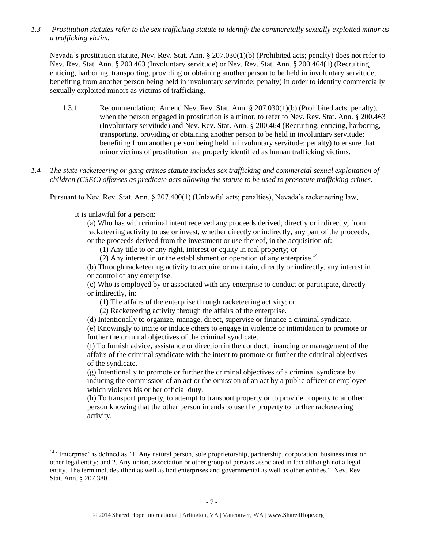*1.3 Prostitution statutes refer to the sex trafficking statute to identify the commercially sexually exploited minor as a trafficking victim.* 

Nevada's prostitution statute, Nev. Rev. Stat. Ann. § 207.030(1)(b) (Prohibited acts; penalty) does not refer to Nev. Rev. Stat. Ann. § 200.463 (Involuntary servitude) or Nev. Rev. Stat. Ann. § 200.464(1) (Recruiting, enticing, harboring, transporting, providing or obtaining another person to be held in involuntary servitude; benefiting from another person being held in involuntary servitude; penalty) in order to identify commercially sexually exploited minors as victims of trafficking.

- 1.3.1 Recommendation: Amend Nev. Rev. Stat. Ann. § 207.030(1)(b) (Prohibited acts; penalty), when the person engaged in prostitution is a minor, to refer to Nev. Rev. Stat. Ann. § 200.463 (Involuntary servitude) and Nev. Rev. Stat. Ann. § 200.464 (Recruiting, enticing, harboring, transporting, providing or obtaining another person to be held in involuntary servitude; benefiting from another person being held in involuntary servitude; penalty) to ensure that minor victims of prostitution are properly identified as human trafficking victims.
- *1.4 The state racketeering or gang crimes statute includes sex trafficking and commercial sexual exploitation of children (CSEC) offenses as predicate acts allowing the statute to be used to prosecute trafficking crimes.*

Pursuant to Nev. Rev. Stat. Ann. § 207.400(1) (Unlawful acts; penalties), Nevada's racketeering law,

It is unlawful for a person:

 $\overline{a}$ 

(a) Who has with criminal intent received any proceeds derived, directly or indirectly, from racketeering activity to use or invest, whether directly or indirectly, any part of the proceeds, or the proceeds derived from the investment or use thereof, in the acquisition of:

(1) Any title to or any right, interest or equity in real property; or

(2) Any interest in or the establishment or operation of any enterprise.<sup>14</sup>

(b) Through racketeering activity to acquire or maintain, directly or indirectly, any interest in or control of any enterprise.

(c) Who is employed by or associated with any enterprise to conduct or participate, directly or indirectly, in:

(1) The affairs of the enterprise through racketeering activity; or

(2) Racketeering activity through the affairs of the enterprise.

(d) Intentionally to organize, manage, direct, supervise or finance a criminal syndicate.

(e) Knowingly to incite or induce others to engage in violence or intimidation to promote or further the criminal objectives of the criminal syndicate.

(f) To furnish advice, assistance or direction in the conduct, financing or management of the affairs of the criminal syndicate with the intent to promote or further the criminal objectives of the syndicate.

(g) Intentionally to promote or further the criminal objectives of a criminal syndicate by inducing the commission of an act or the omission of an act by a public officer or employee which violates his or her official duty.

(h) To transport property, to attempt to transport property or to provide property to another person knowing that the other person intends to use the property to further racketeering activity.

<sup>&</sup>lt;sup>14</sup> "Enterprise" is defined as "1. Any natural person, sole proprietorship, partnership, corporation, business trust or other legal entity; and 2. Any union, association or other group of persons associated in fact although not a legal entity. The term includes illicit as well as licit enterprises and governmental as well as other entities." Nev. Rev. Stat. Ann. § 207.380.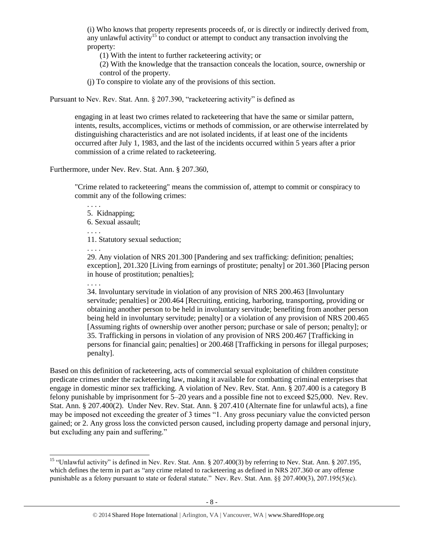(i) Who knows that property represents proceeds of, or is directly or indirectly derived from, any unlawful activity<sup>15</sup> to conduct or attempt to conduct any transaction involving the property:

(1) With the intent to further racketeering activity; or

(2) With the knowledge that the transaction conceals the location, source, ownership or control of the property.

(j) To conspire to violate any of the provisions of this section.

Pursuant to Nev. Rev. Stat. Ann. § 207.390, "racketeering activity" is defined as

engaging in at least two crimes related to racketeering that have the same or similar pattern, intents, results, accomplices, victims or methods of commission, or are otherwise interrelated by distinguishing characteristics and are not isolated incidents, if at least one of the incidents occurred after July 1, 1983, and the last of the incidents occurred within 5 years after a prior commission of a crime related to racketeering.

Furthermore, under Nev. Rev. Stat. Ann. § 207.360,

"Crime related to racketeering" means the commission of, attempt to commit or conspiracy to commit any of the following crimes:

. . . . 5. Kidnapping; 6. Sexual assault; . . . . 11. Statutory sexual seduction;

. . . .

. . . .

l

29. Any violation of NRS 201.300 [Pandering and sex trafficking: definition; penalties; exception], 201.320 [Living from earnings of prostitute; penalty] or 201.360 [Placing person in house of prostitution; penalties];

34. Involuntary servitude in violation of any provision of NRS 200.463 [Involuntary servitude; penalties] or 200.464 [Recruiting, enticing, harboring, transporting, providing or obtaining another person to be held in involuntary servitude; benefiting from another person being held in involuntary servitude; penalty] or a violation of any provision of NRS 200.465 [Assuming rights of ownership over another person; purchase or sale of person; penalty]; or 35. Trafficking in persons in violation of any provision of NRS 200.467 [Trafficking in persons for financial gain; penalties] or 200.468 [Trafficking in persons for illegal purposes; penalty].

Based on this definition of racketeering, acts of commercial sexual exploitation of children constitute predicate crimes under the racketeering law, making it available for combatting criminal enterprises that engage in domestic minor sex trafficking. A violation of Nev. Rev. Stat. Ann. § 207.400 is a category B felony punishable by imprisonment for 5–20 years and a possible fine not to exceed \$25,000. Nev. Rev. Stat. Ann. § 207.400(2). Under Nev. Rev. Stat. Ann. § 207.410 (Alternate fine for unlawful acts), a fine may be imposed not exceeding the greater of 3 times "1. Any gross pecuniary value the convicted person gained; or 2. Any gross loss the convicted person caused, including property damage and personal injury, but excluding any pain and suffering."

<sup>&</sup>lt;sup>15</sup> "Unlawful activity" is defined in Nev. Rev. Stat. Ann. § 207.400(3) by referring to Nev. Stat. Ann. § 207.195, which defines the term in part as "any crime related to racketeering as defined in NRS 207.360 or any offense punishable as a felony pursuant to state or federal statute." Nev. Rev. Stat. Ann. §§ 207.400(3), 207.195(5)(c).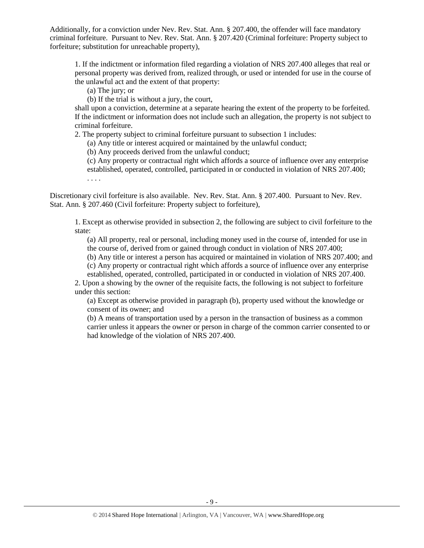Additionally, for a conviction under Nev. Rev. Stat. Ann. § 207.400, the offender will face mandatory criminal forfeiture. Pursuant to Nev. Rev. Stat. Ann. § 207.420 (Criminal forfeiture: Property subject to forfeiture; substitution for unreachable property),

1. If the indictment or information filed regarding a violation of NRS 207.400 alleges that real or personal property was derived from, realized through, or used or intended for use in the course of the unlawful act and the extent of that property:

(a) The jury; or

(b) If the trial is without a jury, the court,

shall upon a conviction, determine at a separate hearing the extent of the property to be forfeited. If the indictment or information does not include such an allegation, the property is not subject to criminal forfeiture.

2. The property subject to criminal forfeiture pursuant to subsection 1 includes:

(a) Any title or interest acquired or maintained by the unlawful conduct;

(b) Any proceeds derived from the unlawful conduct;

(c) Any property or contractual right which affords a source of influence over any enterprise established, operated, controlled, participated in or conducted in violation of NRS 207.400; . . . .

Discretionary civil forfeiture is also available. Nev. Rev. Stat. Ann. § 207.400. Pursuant to Nev. Rev. Stat. Ann. § 207.460 (Civil forfeiture: Property subject to forfeiture),

1. Except as otherwise provided in subsection 2, the following are subject to civil forfeiture to the state:

(a) All property, real or personal, including money used in the course of, intended for use in the course of, derived from or gained through conduct in violation of [NRS 207.400;](http://www.lexis.com/research/buttonTFLink?_m=4410c5408e7f0f7a9e672f2d3701d15a&_xfercite=%3ccite%20cc%3d%22USA%22%3e%3c%21%5bCDATA%5bNev.%20Rev.%20Stat.%20Ann.%20%a7%20207.460%5d%5d%3e%3c%2fcite%3e&_butType=4&_butStat=0&_butNum=2&_butInline=1&_butinfo=NVCODE%20207.400&_fmtstr=FULL&docnum=1&_startdoc=1&wchp=dGLbVzt-zSkAb&_md5=da41b521cd2bf76e87f140cfed117b62)

(b) Any title or interest a person has acquired or maintained in violation of NRS 207.400; and

(c) Any property or contractual right which affords a source of influence over any enterprise

established, operated, controlled, participated in or conducted in violation of NRS 207.400. 2. Upon a showing by the owner of the requisite facts, the following is not subject to forfeiture under this section:

(a) Except as otherwise provided in paragraph (b), property used without the knowledge or consent of its owner; and

(b) A means of transportation used by a person in the transaction of business as a common carrier unless it appears the owner or person in charge of the common carrier consented to or had knowledge of the violation of NRS 207.400.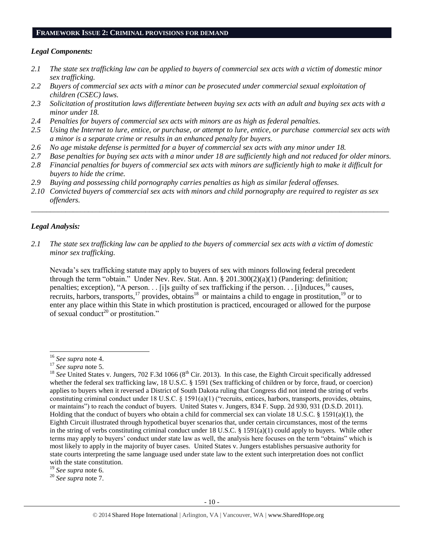#### **FRAMEWORK ISSUE 2: CRIMINAL PROVISIONS FOR DEMAND**

#### *Legal Components:*

- *2.1 The state sex trafficking law can be applied to buyers of commercial sex acts with a victim of domestic minor sex trafficking.*
- *2.2 Buyers of commercial sex acts with a minor can be prosecuted under commercial sexual exploitation of children (CSEC) laws.*
- *2.3 Solicitation of prostitution laws differentiate between buying sex acts with an adult and buying sex acts with a minor under 18.*
- *2.4 Penalties for buyers of commercial sex acts with minors are as high as federal penalties.*
- *2.5 Using the Internet to lure, entice, or purchase, or attempt to lure, entice, or purchase commercial sex acts with a minor is a separate crime or results in an enhanced penalty for buyers.*
- *2.6 No age mistake defense is permitted for a buyer of commercial sex acts with any minor under 18.*
- *2.7 Base penalties for buying sex acts with a minor under 18 are sufficiently high and not reduced for older minors. 2.8 Financial penalties for buyers of commercial sex acts with minors are sufficiently high to make it difficult for*
- *buyers to hide the crime.*
- *2.9 Buying and possessing child pornography carries penalties as high as similar federal offenses.*
- *2.10 Convicted buyers of commercial sex acts with minors and child pornography are required to register as sex offenders.*

\_\_\_\_\_\_\_\_\_\_\_\_\_\_\_\_\_\_\_\_\_\_\_\_\_\_\_\_\_\_\_\_\_\_\_\_\_\_\_\_\_\_\_\_\_\_\_\_\_\_\_\_\_\_\_\_\_\_\_\_\_\_\_\_\_\_\_\_\_\_\_\_\_\_\_\_\_\_\_\_\_\_\_\_\_\_\_\_\_\_\_\_\_\_

#### *Legal Analysis:*

*2.1 The state sex trafficking law can be applied to the buyers of commercial sex acts with a victim of domestic minor sex trafficking.*

Nevada's sex trafficking statute may apply to buyers of sex with minors following federal precedent through the term "obtain." Under Nev. Rev. Stat. Ann. § 201.300(2)(a)(1) (Pandering: definition; penalties; exception), "A person. . . [i]s guilty of sex trafficking if the person. . . [i]nduces,  $^{16}$  causes, recruits, harbors, transports,<sup>17</sup> provides, obtains<sup>18</sup> or maintains a child to engage in prostitution,<sup>19</sup> or to enter any place within this State in which prostitution is practiced, encouraged or allowed for the purpose of sexual conduct<sup>20</sup> or prostitution."

 $\overline{a}$ 

<sup>16</sup> *See supra* note [4.](#page-1-0)

<sup>17</sup> *See supra* note [5.](#page-1-1)

<sup>&</sup>lt;sup>18</sup> *See* United States v. Jungers, 702 F.3d 1066 ( $8<sup>th</sup>$  Cir. 2013). In this case, the Eighth Circuit specifically addressed whether the federal sex trafficking law, 18 U.S.C. § 1591 (Sex trafficking of children or by force, fraud, or coercion) applies to buyers when it reversed a District of South Dakota ruling that Congress did not intend the string of verbs constituting criminal conduct under 18 U.S.C. § 1591(a)(1) ("recruits, entices, harbors, transports, provides, obtains, or maintains") to reach the conduct of buyers. United States v. Jungers, 834 F. Supp. 2d 930, 931 (D.S.D. 2011). Holding that the conduct of buyers who obtain a child for commercial sex can violate 18 U.S.C. § 1591(a)(1), the Eighth Circuit illustrated through hypothetical buyer scenarios that, under certain circumstances, most of the terms in the string of verbs constituting criminal conduct under 18 U.S.C. § 1591(a)(1) could apply to buyers. While other terms may apply to buyers' conduct under state law as well, the analysis here focuses on the term "obtains" which is most likely to apply in the majority of buyer cases. United States v. Jungers establishes persuasive authority for state courts interpreting the same language used under state law to the extent such interpretation does not conflict with the state constitution.

<sup>19</sup> *See supra* note [6.](#page-1-2)

<sup>20</sup> *See supra* note [7.](#page-1-3)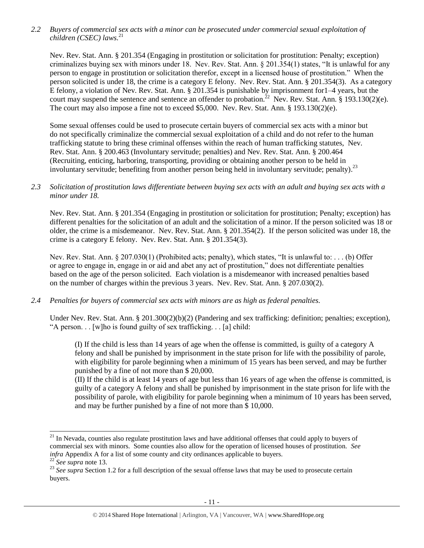*2.2 Buyers of commercial sex acts with a minor can be prosecuted under commercial sexual exploitation of children (CSEC) laws.*<sup>21</sup>

Nev. Rev. Stat. Ann. § 201.354 (Engaging in prostitution or solicitation for prostitution: Penalty; exception) criminalizes buying sex with minors under 18. Nev. Rev. Stat. Ann. § 201.354(1) states, "It is unlawful for any person to engage in prostitution or solicitation therefor, except in a licensed house of prostitution." When the person solicited is under 18, the crime is a category E felony. Nev. Rev. Stat. Ann. § 201.354(3). As a category E felony, a violation of Nev. Rev. Stat. Ann. § 201.354 is punishable by imprisonment for1–4 years, but the court may suspend the sentence and sentence an offender to probation.<sup>22</sup> Nev. Rev. Stat. Ann. § 193.130(2)(e). The court may also impose a fine not to exceed \$5,000. Nev. Rev. Stat. Ann. § 193.130(2)(e).

Some sexual offenses could be used to prosecute certain buyers of commercial sex acts with a minor but do not specifically criminalize the commercial sexual exploitation of a child and do not refer to the human trafficking statute to bring these criminal offenses within the reach of human trafficking statutes, Nev. Rev. Stat. Ann. § 200.463 (Involuntary servitude; penalties) and Nev. Rev. Stat. Ann. § 200.464 (Recruiting, enticing, harboring, transporting, providing or obtaining another person to be held in involuntary servitude; benefiting from another person being held in involuntary servitude; penalty).<sup>23</sup>

#### *2.3 Solicitation of prostitution laws differentiate between buying sex acts with an adult and buying sex acts with a minor under 18.*

Nev. Rev. Stat. Ann. § 201.354 (Engaging in prostitution or solicitation for prostitution; Penalty; exception) has different penalties for the solicitation of an adult and the solicitation of a minor. If the person solicited was 18 or older, the crime is a misdemeanor. Nev. Rev. Stat. Ann. § 201.354(2). If the person solicited was under 18, the crime is a category E felony. Nev. Rev. Stat. Ann. § 201.354(3).

Nev. Rev. Stat. Ann. § 207.030(1) (Prohibited acts; penalty), which states, "It is unlawful to: . . . (b) Offer or agree to engage in, engage in or aid and abet any act of prostitution," does not differentiate penalties based on the age of the person solicited. Each violation is a misdemeanor with increased penalties based on the number of charges within the previous 3 years. Nev. Rev. Stat. Ann. § 207.030(2).

## *2.4 Penalties for buyers of commercial sex acts with minors are as high as federal penalties.*

Under Nev. Rev. Stat. Ann. § 201.300(2)(b)(2) (Pandering and sex trafficking: definition; penalties; exception), "A person. . . [w]ho is found guilty of sex trafficking. . . [a] child:

(I) If the child is less than 14 years of age when the offense is committed, is guilty of a category A felony and shall be punished by imprisonment in the state prison for life with the possibility of parole, with eligibility for parole beginning when a minimum of 15 years has been served, and may be further punished by a fine of not more than \$ 20,000.

(II) If the child is at least 14 years of age but less than 16 years of age when the offense is committed, is guilty of a category A felony and shall be punished by imprisonment in the state prison for life with the possibility of parole, with eligibility for parole beginning when a minimum of 10 years has been served, and may be further punished by a fine of not more than \$ 10,000.

l  $21$  In Nevada, counties also regulate prostitution laws and have additional offenses that could apply to buyers of commercial sex with minors. Some counties also allow for the operation of licensed houses of prostitution. *See infra* Appendix A for a list of some county and city ordinances applicable to buyers.

<sup>22</sup> *See supra* note [13.](#page-4-0)

<sup>&</sup>lt;sup>23</sup> See supra Section 1.2 for a full description of the sexual offense laws that may be used to prosecute certain buyers.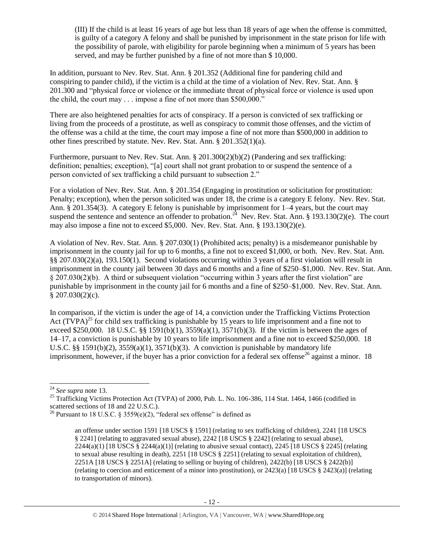(III) If the child is at least 16 years of age but less than 18 years of age when the offense is committed, is guilty of a category A felony and shall be punished by imprisonment in the state prison for life with the possibility of parole, with eligibility for parole beginning when a minimum of 5 years has been served, and may be further punished by a fine of not more than \$ 10,000.

In addition, pursuant to Nev. Rev. Stat. Ann. § 201.352 (Additional fine for pandering child and conspiring to pander child), if the victim is a child at the time of a violation of Nev. Rev. Stat. Ann. § 201.300 and "physical force or violence or the immediate threat of physical force or violence is used upon the child, the court may . . . impose a fine of not more than \$500,000."

There are also heightened penalties for acts of conspiracy. If a person is convicted of sex trafficking or living from the proceeds of a prostitute, as well as conspiracy to commit those offenses, and the victim of the offense was a child at the time, the court may impose a fine of not more than \$500,000 in addition to other fines prescribed by statute. Nev. Rev. Stat. Ann. § 201.352(1)(a).

Furthermore, pursuant to Nev. Rev. Stat. Ann. § 201.300(2)(b)(2) (Pandering and sex trafficking: definition; penalties; exception), "[a] court shall not grant probation to or suspend the sentence of a person convicted of sex trafficking a child pursuant to subsection 2."

For a violation of Nev. Rev. Stat. Ann. § 201.354 (Engaging in prostitution or solicitation for prostitution: Penalty; exception), when the person solicited was under 18, the crime is a category E felony. Nev. Rev. Stat. Ann. § 201.354(3). A category E felony is punishable by imprisonment for 1–4 years, but the court may suspend the sentence and sentence an offender to probation.<sup>24</sup> Nev. Rev. Stat. Ann. § 193.130(2)(e). The court may also impose a fine not to exceed \$5,000. Nev. Rev. Stat. Ann. § 193.130(2)(e).

A violation of Nev. Rev. Stat. Ann. § 207.030(1) (Prohibited acts; penalty) is a misdemeanor punishable by imprisonment in the county jail for up to 6 months, a fine not to exceed \$1,000, or both. Nev. Rev. Stat. Ann. §§ 207.030(2)(a), 193.150(1). Second violations occurring within 3 years of a first violation will result in imprisonment in the county jail between 30 days and 6 months and a fine of \$250–\$1,000. Nev. Rev. Stat. Ann. § 207.030(2)(b). A third or subsequent violation "occurring within 3 years after the first violation" are punishable by imprisonment in the county jail for 6 months and a fine of \$250–\$1,000. Nev. Rev. Stat. Ann.  $$207.030(2)(c).$ 

In comparison, if the victim is under the age of 14, a conviction under the Trafficking Victims Protection Act  $(T\hat{V}PA)^{25}$  for child sex trafficking is punishable by 15 years to life imprisonment and a fine not to exceed \$250,000. 18 U.S.C. §§ 1591(b)(1),  $3559(a)(1)$ ,  $3571(b)(3)$ . If the victim is between the ages of 14–17, a conviction is punishable by 10 years to life imprisonment and a fine not to exceed \$250,000. 18 U.S.C. §§ 1591(b)(2),  $3559(a)(1)$ ,  $3571(b)(3)$ . A conviction is punishable by mandatory life imprisonment, however, if the buyer has a prior conviction for a federal sex offense<sup>26</sup> against a minor. 18

l

<sup>24</sup> *See supra* note [13.](#page-4-0)

<sup>&</sup>lt;sup>25</sup> Trafficking Victims Protection Act (TVPA) of 2000, Pub. L. No. 106-386, 114 Stat. 1464, 1466 (codified in scattered sections of 18 and 22 U.S.C.).

<sup>&</sup>lt;sup>26</sup> Pursuant to 18 U.S.C. § 3559 $(e)(2)$ , "federal sex offense" is defined as

<span id="page-11-0"></span>an offense under section 1591 [18 USCS § 1591] (relating to sex trafficking of children), 2241 [18 USCS § 2241] (relating to aggravated sexual abuse), 2242 [18 USCS § 2242] (relating to sexual abuse),  $2244(a)(1)$  [18 USCS § 2244(a)(1)] (relating to abusive sexual contact), 2245 [18 USCS § 2245] (relating to sexual abuse resulting in death), 2251 [18 USCS § 2251] (relating to sexual exploitation of children), 2251A [18 USCS § 2251A] (relating to selling or buying of children), 2422(b) [18 USCS § 2422(b)] (relating to coercion and enticement of a minor into prostitution), or 2423(a) [18 USCS § 2423(a)] (relating to transportation of minors).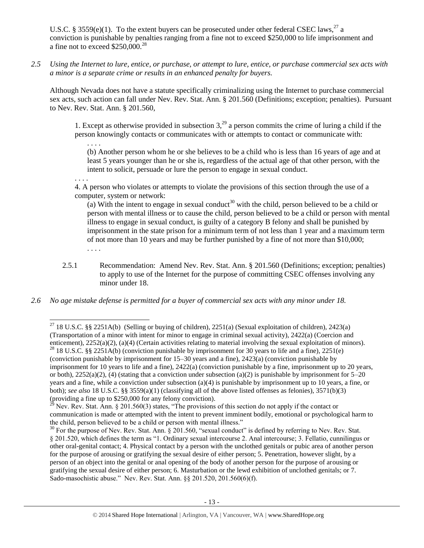U.S.C. § 3559(e)(1). To the extent buyers can be prosecuted under other federal CSEC laws,<sup>27</sup> a conviction is punishable by penalties ranging from a fine not to exceed \$250,000 to life imprisonment and a fine not to exceed \$250,000.<sup>28</sup>

*2.5 Using the Internet to lure, entice, or purchase, or attempt to lure, entice, or purchase commercial sex acts with a minor is a separate crime or results in an enhanced penalty for buyers.*

Although Nevada does not have a statute specifically criminalizing using the Internet to purchase commercial sex acts, such action can fall under Nev. Rev. Stat. Ann. § 201.560 (Definitions; exception; penalties). Pursuant to Nev. Rev. Stat. Ann. § 201.560,

1. Except as otherwise provided in subsection  $3<sup>29</sup>$  a person commits the crime of luring a child if the person knowingly contacts or communicates with or attempts to contact or communicate with:

<span id="page-12-0"></span>. . . . (b) Another person whom he or she believes to be a child who is less than 16 years of age and at least 5 years younger than he or she is, regardless of the actual age of that other person, with the intent to solicit, persuade or lure the person to engage in sexual conduct.

. . . .

 $\overline{a}$ 

4. A person who violates or attempts to violate the provisions of this section through the use of a computer, system or network:

(a) With the intent to engage in sexual conduct<sup>30</sup> with the child, person believed to be a child or person with mental illness or to cause the child, person believed to be a child or person with mental illness to engage in sexual conduct, is guilty of a category B felony and shall be punished by imprisonment in the state prison for a minimum term of not less than 1 year and a maximum term of not more than 10 years and may be further punished by a fine of not more than \$10,000; . . . .

- 2.5.1 Recommendation: Amend Nev. Rev. Stat. Ann. § 201.560 (Definitions; exception; penalties) to apply to use of the Internet for the purpose of committing CSEC offenses involving any minor under 18.
- *2.6 No age mistake defense is permitted for a buyer of commercial sex acts with any minor under 18.*

<sup>&</sup>lt;sup>27</sup> 18 U.S.C. §§ 2251A(b) (Selling or buying of children), 2251(a) (Sexual exploitation of children), 2423(a) (Transportation of a minor with intent for minor to engage in criminal sexual activity), 2422(a) (Coercion and enticement), 2252(a)(2), (a)(4) (Certain activities relating to material involving the sexual exploitation of minors). <sup>28</sup> 18 U.S.C. §§ 2251A(b) (conviction punishable by imprisonment for 30 years to life and a fine), 2251(e) (conviction punishable by imprisonment for 15–30 years and a fine), 2423(a) (conviction punishable by imprisonment for 10 years to life and a fine), 2422(a) (conviction punishable by a fine, imprisonment up to 20 years, or both),  $2252(a)(2)$ , (4) (stating that a conviction under subsection (a)(2) is punishable by imprisonment for  $5-20$ years and a fine, while a conviction under subsection (a)(4) is punishable by imprisonment up to 10 years, a fine, or both); *see also* 18 U.S.C. §§ 3559(a)(1) (classifying all of the above listed offenses as felonies), 3571(b)(3) (providing a fine up to \$250,000 for any felony conviction).

<sup>&</sup>lt;sup>29</sup> Nev. Rev. Stat. Ann. § 201.560(3) states, "The provisions of this section do not apply if the contact or communication is made or attempted with the intent to prevent imminent bodily, emotional or psychological harm to the child, person believed to be a child or person with mental illness."

 $30$  For the purpose of Nev. Rev. Stat. Ann. § 201.560, "sexual conduct" is defined by referring to Nev. Rev. Stat. § 201.520, which defines the term as "1. Ordinary sexual intercourse 2. Anal intercourse; 3. Fellatio, cunnilingus or other oral-genital contact; 4. Physical contact by a person with the unclothed genitals or pubic area of another person for the purpose of arousing or gratifying the sexual desire of either person; 5. Penetration, however slight, by a person of an object into the genital or anal opening of the body of another person for the purpose of arousing or gratifying the sexual desire of either person; 6. Masturbation or the lewd exhibition of unclothed genitals; or 7. Sado-masochistic abuse." Nev. Rev. Stat. Ann. §§ 201.520, 201.560(6)(f).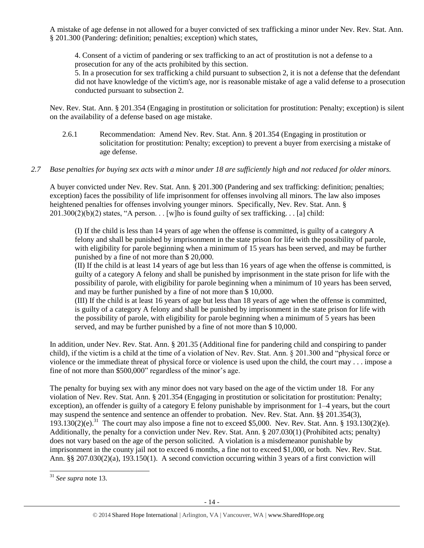A mistake of age defense in not allowed for a buyer convicted of sex trafficking a minor under Nev. Rev. Stat. Ann. § 201.300 (Pandering: definition; penalties; exception) which states,

4. Consent of a victim of pandering or sex trafficking to an act of prostitution is not a defense to a prosecution for any of the acts prohibited by this section.

5. In a prosecution for sex trafficking a child pursuant to subsection 2, it is not a defense that the defendant did not have knowledge of the victim's age, nor is reasonable mistake of age a valid defense to a prosecution conducted pursuant to subsection 2.

Nev. Rev. Stat. Ann. § 201.354 (Engaging in prostitution or solicitation for prostitution: Penalty; exception) is silent on the availability of a defense based on age mistake.

2.6.1 Recommendation: Amend Nev. Rev. Stat. Ann. § 201.354 (Engaging in prostitution or solicitation for prostitution: Penalty; exception) to prevent a buyer from exercising a mistake of age defense.

## *2.7 Base penalties for buying sex acts with a minor under 18 are sufficiently high and not reduced for older minors.*

A buyer convicted under Nev. Rev. Stat. Ann. § 201.300 (Pandering and sex trafficking: definition; penalties; exception) faces the possibility of life imprisonment for offenses involving all minors. The law also imposes heightened penalties for offenses involving younger minors. Specifically, Nev. Rev. Stat. Ann. §  $201.300(2)(b)(2)$  states, "A person... [w]ho is found guilty of sex trafficking... [a] child:

(I) If the child is less than 14 years of age when the offense is committed, is guilty of a category A felony and shall be punished by imprisonment in the state prison for life with the possibility of parole, with eligibility for parole beginning when a minimum of 15 years has been served, and may be further punished by a fine of not more than \$ 20,000.

(II) If the child is at least 14 years of age but less than 16 years of age when the offense is committed, is guilty of a category A felony and shall be punished by imprisonment in the state prison for life with the possibility of parole, with eligibility for parole beginning when a minimum of 10 years has been served, and may be further punished by a fine of not more than \$ 10,000.

(III) If the child is at least 16 years of age but less than 18 years of age when the offense is committed, is guilty of a category A felony and shall be punished by imprisonment in the state prison for life with the possibility of parole, with eligibility for parole beginning when a minimum of 5 years has been served, and may be further punished by a fine of not more than \$ 10,000.

In addition, under Nev. Rev. Stat. Ann. § 201.35 (Additional fine for pandering child and conspiring to pander child), if the victim is a child at the time of a violation of Nev. Rev. Stat. Ann. § 201.300 and "physical force or violence or the immediate threat of physical force or violence is used upon the child, the court may . . . impose a fine of not more than \$500,000" regardless of the minor's age.

The penalty for buying sex with any minor does not vary based on the age of the victim under 18. For any violation of Nev. Rev. Stat. Ann. § 201.354 (Engaging in prostitution or solicitation for prostitution: Penalty; exception), an offender is guilty of a category E felony punishable by imprisonment for 1–4 years, but the court may suspend the sentence and sentence an offender to probation. Nev. Rev. Stat. Ann. §§ 201.354(3),  $193.130(2)(e).$ <sup>31</sup> The court may also impose a fine not to exceed \$5,000. Nev. Rev. Stat. Ann. § 193.130(2)(e). Additionally, the penalty for a conviction under Nev. Rev. Stat. Ann. § 207.030(1) (Prohibited acts; penalty) does not vary based on the age of the person solicited. A violation is a misdemeanor punishable by imprisonment in the county jail not to exceed 6 months, a fine not to exceed \$1,000, or both. Nev. Rev. Stat. Ann. §§ 207.030(2)(a), 193.150(1). A second conviction occurring within 3 years of a first conviction will

 $\overline{a}$ 

<sup>31</sup> *See supra* note [13.](#page-4-0)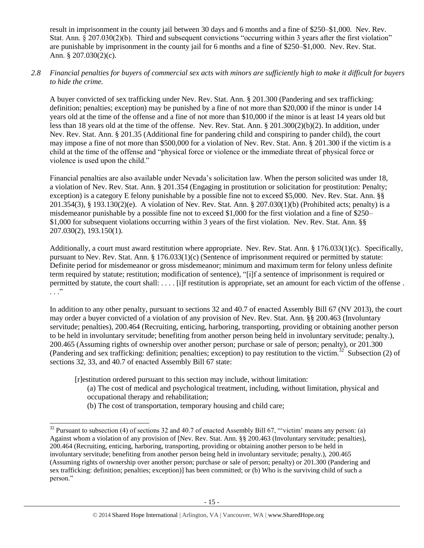result in imprisonment in the county jail between 30 days and 6 months and a fine of \$250–\$1,000. Nev. Rev. Stat. Ann. § 207.030(2)(b). Third and subsequent convictions "occurring within 3 years after the first violation" are punishable by imprisonment in the county jail for 6 months and a fine of \$250–\$1,000. Nev. Rev. Stat. Ann. § 207.030(2)(c).

#### *2.8 Financial penalties for buyers of commercial sex acts with minors are sufficiently high to make it difficult for buyers to hide the crime.*

A buyer convicted of sex trafficking under Nev. Rev. Stat. Ann. § 201.300 (Pandering and sex trafficking: definition; penalties; exception) may be punished by a fine of not more than \$20,000 if the minor is under 14 years old at the time of the offense and a fine of not more than \$10,000 if the minor is at least 14 years old but less than 18 years old at the time of the offense. Nev. Rev. Stat. Ann. § 201.300(2)(b)(2). In addition, under Nev. Rev. Stat. Ann. § 201.35 (Additional fine for pandering child and conspiring to pander child), the court may impose a fine of not more than \$500,000 for a violation of Nev. Rev. Stat. Ann. § 201.300 if the victim is a child at the time of the offense and "physical force or violence or the immediate threat of physical force or violence is used upon the child."

Financial penalties are also available under Nevada's solicitation law. When the person solicited was under 18, a violation of Nev. Rev. Stat. Ann. § 201.354 (Engaging in prostitution or solicitation for prostitution: Penalty; exception) is a category E felony punishable by a possible fine not to exceed \$5,000. Nev. Rev. Stat. Ann. §§ 201.354(3), § 193.130(2)(e). A violation of Nev. Rev. Stat. Ann. § 207.030(1)(b) (Prohibited acts; penalty) is a misdemeanor punishable by a possible fine not to exceed \$1,000 for the first violation and a fine of \$250– \$1,000 for subsequent violations occurring within 3 years of the first violation. Nev. Rev. Stat. Ann. §§ 207.030(2), 193.150(1).

Additionally, a court must award restitution where appropriate. Nev. Rev. Stat. Ann. § 176.033(1)(c). Specifically, pursuant to Nev. Rev. Stat. Ann. § 176.033(1)(c) (Sentence of imprisonment required or permitted by statute: Definite period for misdemeanor or gross misdemeanor; minimum and maximum term for felony unless definite term required by statute; restitution; modification of sentence), "[i]f a sentence of imprisonment is required or permitted by statute, the court shall: . . . . [i]f restitution is appropriate, set an amount for each victim of the offense .  $\cdots$  .

In addition to any other penalty, pursuant to sections 32 and 40.7 of enacted Assembly Bill 67 (NV 2013), the court may order a buyer convicted of a violation of any provision of Nev. Rev. Stat. Ann. §§ 200.463 (Involuntary servitude; penalties), 200.464 (Recruiting, enticing, harboring, transporting, providing or obtaining another person to be held in involuntary servitude; benefiting from another person being held in involuntary servitude; penalty.), 200.465 (Assuming rights of ownership over another person; purchase or sale of person; penalty), or 201.300 (Pandering and sex trafficking: definition; penalties; exception) to pay restitution to the victim.<sup>32</sup> Subsection (2) of sections 32, 33, and 40.7 of enacted Assembly Bill 67 state:

[r]estitution ordered pursuant to this section may include, without limitation:

- <span id="page-14-0"></span>(a) The cost of medical and psychological treatment, including, without limitation, physical and occupational therapy and rehabilitation;
- (b) The cost of transportation, temporary housing and child care;

 $\overline{a}$ 

 $32$  Pursuant to subsection (4) of sections 32 and 40.7 of enacted Assembly Bill 67, "victim' means any person: (a) Against whom a violation of any provision of [Nev. Rev. Stat. Ann. §§ 200.463 (Involuntary servitude; penalties), 200.464 (Recruiting, enticing, harboring, transporting, providing or obtaining another person to be held in involuntary servitude; benefiting from another person being held in involuntary servitude; penalty.), 200.465 (Assuming rights of ownership over another person; purchase or sale of person; penalty) or 201.300 (Pandering and sex trafficking: definition; penalties; exception)] has been committed; or (b) Who is the surviving child of such a person."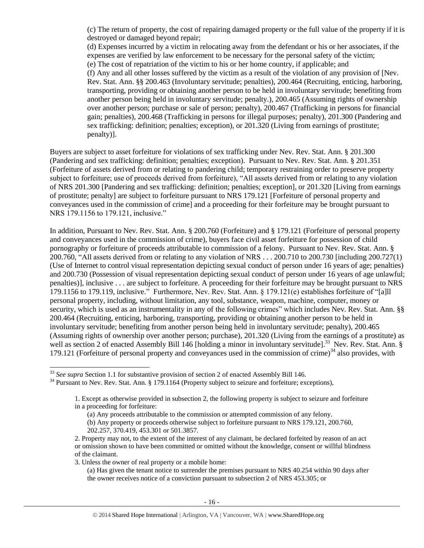(c) The return of property, the cost of repairing damaged property or the full value of the property if it is destroyed or damaged beyond repair;

(d) Expenses incurred by a victim in relocating away from the defendant or his or her associates, if the expenses are verified by law enforcement to be necessary for the personal safety of the victim; (e) The cost of repatriation of the victim to his or her home country, if applicable; and (f) Any and all other losses suffered by the victim as a result of the violation of any provision of [Nev. Rev. Stat. Ann. §§ 200.463 (Involuntary servitude; penalties), 200.464 (Recruiting, enticing, harboring, transporting, providing or obtaining another person to be held in involuntary servitude; benefiting from another person being held in involuntary servitude; penalty.), 200.465 (Assuming rights of ownership over another person; purchase or sale of person; penalty), 200.467 (Trafficking in persons for financial gain; penalties), 200.468 (Trafficking in persons for illegal purposes; penalty), 201.300 (Pandering and sex trafficking: definition; penalties; exception), or 201.320 (Living from earnings of prostitute; penalty)].

Buyers are subject to asset forfeiture for violations of sex trafficking under Nev. Rev. Stat. Ann. § 201.300 (Pandering and sex trafficking: definition; penalties; exception). Pursuant to Nev. Rev. Stat. Ann. § 201.351 (Forfeiture of assets derived from or relating to pandering child; temporary restraining order to preserve property subject to forfeiture; use of proceeds derived from forfeiture), "All assets derived from or relating to any violation of NRS 201.300 [Pandering and sex trafficking: definition; penalties; exception], or 201.320 [Living from earnings of prostitute; penalty] are subject to forfeiture pursuant to NRS 179.121 [Forfeiture of personal property and conveyances used in the commission of crime] and a proceeding for their forfeiture may be brought pursuant to NRS 179.1156 to 179.121, inclusive."

In addition, Pursuant to Nev. Rev. Stat. Ann. § 200.760 (Forfeiture) and § 179.121 (Forfeiture of personal property and conveyances used in the commission of crime), buyers face civil asset forfeiture for possession of child pornography or forfeiture of proceeds attributable to commission of a felony. Pursuant to Nev. Rev. Stat. Ann. § 200.760, "All assets derived from or relating to any violation of NRS . . . 200.710 to 200.730 [including 200.727(1) (Use of Internet to control visual representation depicting sexual conduct of person under 16 years of age; penalties) and 200.730 (Possession of visual representation depicting sexual conduct of person under 16 years of age unlawful; penalties)], inclusive . . . are subject to forfeiture. A proceeding for their forfeiture may be brought pursuant to NRS 179.1156 to 179.119, inclusive." Furthermore, Nev. Rev. Stat. Ann. § 179.121(e) establishes forfeiture of "[a]ll personal property, including, without limitation, any tool, substance, weapon, machine, computer, money or security, which is used as an instrumentality in any of the following crimes" which includes Nev. Rev. Stat. Ann. §§ 200.464 (Recruiting, enticing, harboring, transporting, providing or obtaining another person to be held in involuntary servitude; benefiting from another person being held in involuntary servitude; penalty), 200.465 (Assuming rights of ownership over another person; purchase), 201.320 (Living from the earnings of a prostitute) as well as section 2 of enacted Assembly Bill 146 [holding a minor in involuntary servitude].<sup>33</sup> Nev. Rev. Stat. Ann. § 179.121 (Forfeiture of personal property and conveyances used in the commission of crime)<sup>34</sup> also provides, with

 $\overline{a}$ <sup>33</sup> *See supra* Section 1.1 for substantive provision of section 2 of enacted Assembly Bill 146.

<sup>&</sup>lt;sup>34</sup> Pursuant to Nev. Rev. Stat. Ann. § 179.1164 (Property subject to seizure and forfeiture; exceptions),

<sup>1.</sup> Except as otherwise provided in subsection 2, the following property is subject to seizure and forfeiture in a proceeding for forfeiture:

<sup>(</sup>a) Any proceeds attributable to the commission or attempted commission of any felony.

<sup>(</sup>b) Any property or proceeds otherwise subject to forfeiture pursuant to NRS 179.121, 200.760, 202.257, 370.419, 453.301 or 501.3857.

<sup>2.</sup> Property may not, to the extent of the interest of any claimant, be declared forfeited by reason of an act or omission shown to have been committed or omitted without the knowledge, consent or willful blindness of the claimant.

<sup>3.</sup> Unless the owner of real property or a mobile home:

<sup>(</sup>a) Has given the tenant notice to surrender the premises pursuant to NRS 40.254 within 90 days after the owner receives notice of a conviction pursuant to subsection 2 of NRS 453.305; or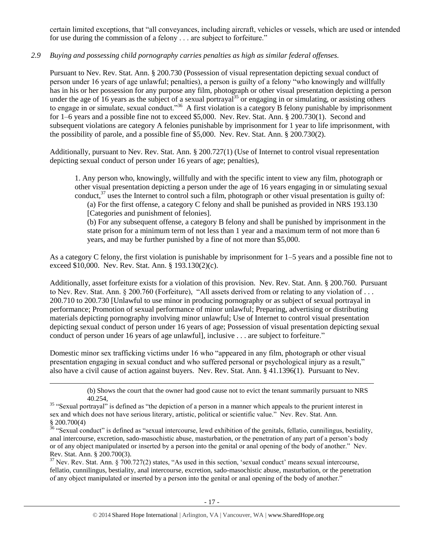certain limited exceptions, that "all conveyances, including aircraft, vehicles or vessels, which are used or intended for use during the commission of a felony . . . are subject to forfeiture."

## *2.9 Buying and possessing child pornography carries penalties as high as similar federal offenses.*

Pursuant to Nev. Rev. Stat. Ann. § 200.730 (Possession of visual representation depicting sexual conduct of person under 16 years of age unlawful; penalties), a person is guilty of a felony "who knowingly and willfully has in his or her possession for any purpose any film, photograph or other visual presentation depicting a person under the age of 16 years as the subject of a sexual portrayal<sup>35</sup> or engaging in or simulating, or assisting others to engage in or simulate, sexual conduct."<sup>36</sup> A first violation is a category B felony punishable by imprisonment for 1–6 years and a possible fine not to exceed \$5,000. Nev. Rev. Stat. Ann. § 200.730(1). Second and subsequent violations are category A felonies punishable by imprisonment for 1 year to life imprisonment, with the possibility of parole, and a possible fine of \$5,000. Nev. Rev. Stat. Ann. § 200.730(2).

Additionally, pursuant to Nev. Rev. Stat. Ann. § 200.727(1) (Use of Internet to control visual representation depicting sexual conduct of person under 16 years of age; penalties),

<span id="page-16-1"></span><span id="page-16-0"></span>1. Any person who, knowingly, willfully and with the specific intent to view any film, photograph or other visual presentation depicting a person under the age of 16 years engaging in or simulating sexual conduct, $37$  uses the Internet to control such a film, photograph or other visual presentation is guilty of:

(a) For the first offense, a category C felony and shall be punished as provided in NRS 193.130 [Categories and punishment of felonies].

(b) For any subsequent offense, a category B felony and shall be punished by imprisonment in the state prison for a minimum term of not less than 1 year and a maximum term of not more than 6 years, and may be further punished by a fine of not more than \$5,000.

As a category C felony, the first violation is punishable by imprisonment for 1–5 years and a possible fine not to exceed \$10,000. Nev. Rev. Stat. Ann. § 193.130(2)(c).

Additionally, asset forfeiture exists for a violation of this provision. Nev. Rev. Stat. Ann. § 200.760. Pursuant to Nev. Rev. Stat. Ann. § 200.760 (Forfeiture), "All assets derived from or relating to any violation of . . . 200.710 to 200.730 [Unlawful to use minor in producing pornography or as subject of sexual portrayal in performance; Promotion of sexual performance of minor unlawful; Preparing, advertising or distributing materials depicting pornography involving minor unlawful; Use of Internet to control visual presentation depicting sexual conduct of person under 16 years of age; Possession of visual presentation depicting sexual conduct of person under 16 years of age unlawful], inclusive . . . are subject to forfeiture."

Domestic minor sex trafficking victims under 16 who "appeared in any film, photograph or other visual presentation engaging in sexual conduct and who suffered personal or psychological injury as a result," also have a civil cause of action against buyers. Nev. Rev. Stat. Ann. § 41.1396(1). Pursuant to Nev.

l

<sup>(</sup>b) Shows the court that the owner had good cause not to evict the tenant summarily pursuant to NRS 40.254,

<sup>&</sup>lt;sup>35</sup> "Sexual portrayal" is defined as "the depiction of a person in a manner which appeals to the prurient interest in sex and which does not have serious literary, artistic, political or scientific value." Nev. Rev. Stat. Ann. § 200.700(4)

 $36$  "Sexual conduct" is defined as "sexual intercourse, lewd exhibition of the genitals, fellatio, cunnilingus, bestiality, anal intercourse, excretion, sado-masochistic abuse, masturbation, or the penetration of any part of a person's body or of any object manipulated or inserted by a person into the genital or anal opening of the body of another." Nev. Rev. Stat. Ann. § 200.700(3).

 $37$  Nev. Rev. Stat. Ann. § 700.727(2) states, "As used in this section, 'sexual conduct' means sexual intercourse, fellatio, cunnilingus, bestiality, anal intercourse, excretion, sado-masochistic abuse, masturbation, or the penetration of any object manipulated or inserted by a person into the genital or anal opening of the body of another."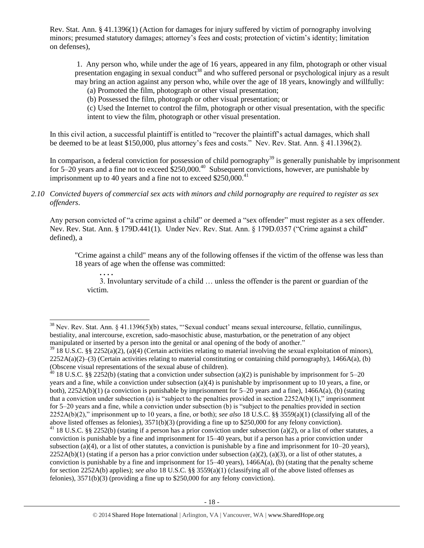Rev. Stat. Ann. § 41.1396(1) (Action for damages for injury suffered by victim of pornography involving minors; presumed statutory damages; attorney's fees and costs; protection of victim's identity; limitation on defenses),

1. Any person who, while under the age of 16 years, appeared in any film, photograph or other visual presentation engaging in sexual conduct<sup>38</sup> and who suffered personal or psychological injury as a result may bring an action against any person who, while over the age of 18 years, knowingly and willfully:

<span id="page-17-0"></span>(a) Promoted the film, photograph or other visual presentation;

(b) Possessed the film, photograph or other visual presentation; or

(c) Used the Internet to control the film, photograph or other visual presentation, with the specific intent to view the film, photograph or other visual presentation.

In this civil action, a successful plaintiff is entitled to "recover the plaintiff's actual damages, which shall be deemed to be at least \$150,000, plus attorney's fees and costs." Nev. Rev. Stat. Ann. § 41.1396(2).

In comparison, a federal conviction for possession of child pornography<sup>39</sup> is generally punishable by imprisonment for  $5-20$  years and a fine not to exceed  $$250,000.<sup>40</sup>$  Subsequent convictions, however, are punishable by imprisonment up to 40 years and a fine not to exceed  $$250,000.<sup>41</sup>$ 

*2.10 Convicted buyers of commercial sex acts with minors and child pornography are required to register as sex offenders*.

Any person convicted of "a crime against a child" or deemed a "sex offender" must register as a sex offender. Nev. Rev. Stat. Ann. § 179D.441(1). Under Nev. Rev. Stat. Ann. § 179D.0357 ("Crime against a child" defined), a

"Crime against a child" means any of the following offenses if the victim of the offense was less than 18 years of age when the offense was committed:

3. Involuntary servitude of a child … unless the offender is the parent or guardian of the victim.

**. . . .**

 $\overline{a}$ 

 $38$  Nev. Rev. Stat. Ann. § 41.1396(5)(b) states, "Sexual conduct' means sexual intercourse, fellatio, cunnilingus, bestiality, anal intercourse, excretion, sado-masochistic abuse, masturbation, or the penetration of any object manipulated or inserted by a person into the genital or anal opening of the body of another."

 $39\,18\,$  U.S.C. §§ 2252(a)(2), (a)(4) (Certain activities relating to material involving the sexual exploitation of minors),  $2252A(a)(2)$ –(3) (Certain activities relating to material constituting or containing child pornography), 1466A(a), (b) (Obscene visual representations of the sexual abuse of children).

 $40$  18 U.S.C. §§ 2252(b) (stating that a conviction under subsection (a)(2) is punishable by imprisonment for 5–20 years and a fine, while a conviction under subsection (a)(4) is punishable by imprisonment up to 10 years, a fine, or both),  $2252A(b)(1)$  (a conviction is punishable by imprisonment for 5–20 years and a fine),  $1466A(a)$ , (b) (stating that a conviction under subsection (a) is "subject to the penalties provided in section  $2252A(b)(1)$ ," imprisonment for 5–20 years and a fine, while a conviction under subsection (b) is "subject to the penalties provided in section 2252A(b)(2)," imprisonment up to 10 years, a fine, or both); *see also* 18 U.S.C. §§ 3559(a)(1) (classifying all of the above listed offenses as felonies), 3571(b)(3) (providing a fine up to \$250,000 for any felony conviction). <sup>41</sup> 18 U.S.C. §§ 2252(b) (stating if a person has a prior conviction under subsection (a)(2), or a list of other statutes, a conviction is punishable by a fine and imprisonment for 15–40 years, but if a person has a prior conviction under subsection (a)(4), or a list of other statutes, a conviction is punishable by a fine and imprisonment for  $10-20$  years),  $2252A(b)(1)$  (stating if a person has a prior conviction under subsection (a)(2), (a)(3), or a list of other statutes, a conviction is punishable by a fine and imprisonment for  $15-40$  years),  $1466A(a)$ , (b) (stating that the penalty scheme for section 2252A(b) applies); *see also* 18 U.S.C. §§ 3559(a)(1) (classifying all of the above listed offenses as felonies), 3571(b)(3) (providing a fine up to \$250,000 for any felony conviction).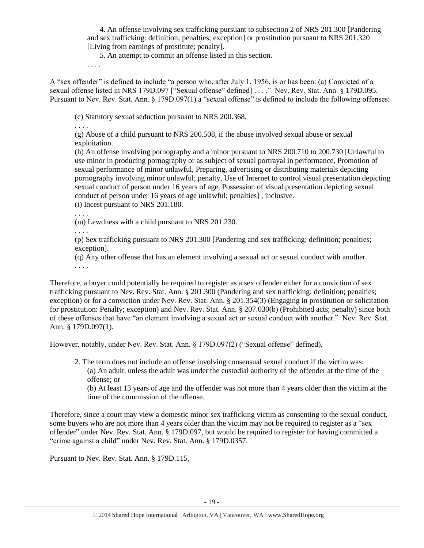4. An offense involving sex trafficking pursuant to subsection 2 of NRS 201.300 [Pandering and sex trafficking: definition; penalties; exception] or prostitution pursuant to NRS 201.320 [Living from earnings of prostitute; penalty].

5. An attempt to commit an offense listed in this section.

. . . .

A "sex offender" is defined to include "a person who, after July 1, 1956, is or has been: (a) Convicted of a sexual offense listed in NRS 179D.097 ["Sexual offense" defined] . . . ." Nev. Rev. Stat. Ann. § 179D.095. Pursuant to Nev. Rev. Stat. Ann. § 179D.097(1) a "sexual offense" is defined to include the following offenses:

(c) Statutory sexual seduction pursuant to NRS 200.368.

. . . .

(g) Abuse of a child pursuant to NRS 200.508, if the abuse involved sexual abuse or sexual exploitation.

(h) An offense involving pornography and a minor pursuant to NRS 200.710 to 200.730 [Unlawful to use minor in producing pornography or as subject of sexual portrayal in performance, Promotion of sexual performance of minor unlawful, Preparing, advertising or distributing materials depicting pornography involving minor unlawful; penalty, Use of Internet to control visual presentation depicting sexual conduct of person under 16 years of age, Possession of visual presentation depicting sexual conduct of person under 16 years of age unlawful; penalties] , inclusive.

(i) Incest pursuant to NRS 201.180.

. . . .

(m) Lewdness with a child pursuant to NRS 201.230.

. . . .

(p) Sex trafficking pursuant to NRS 201.300 [Pandering and sex trafficking: definition; penalties; exception].

(q) Any other offense that has an element involving a sexual act or sexual conduct with another. . . . .

Therefore, a buyer could potentially be required to register as a sex offender either for a conviction of sex trafficking pursuant to Nev. Rev. Stat. Ann. § 201.300 (Pandering and sex trafficking: definition; penalties; exception) or for a conviction under Nev. Rev. Stat. Ann. § 201.354(3) (Engaging in prostitution or solicitation for prostitution: Penalty; exception) and Nev. Rev. Stat. Ann. § 207.030(b) (Prohibited acts; penalty) since both of these offenses that have "an element involving a sexual act or sexual conduct with another." Nev. Rev. Stat. Ann. § 179D.097(1).

However, notably, under Nev. Rev. Stat. Ann. § 179D.097(2) ("Sexual offense" defined),

2. The term does not include an offense involving consensual sexual conduct if the victim was: (a) An adult, unless the adult was under the custodial authority of the offender at the time of the offense; or

(b) At least 13 years of age and the offender was not more than 4 years older than the victim at the time of the commission of the offense.

Therefore, since a court may view a domestic minor sex trafficking victim as consenting to the sexual conduct, some buyers who are not more than 4 years older than the victim may not be required to register as a "sex offender" under Nev. Rev. Stat. Ann. § 179D.097, but would be required to register for having committed a "crime against a child" under Nev. Rev. Stat. Ann. § 179D.0357.

Pursuant to Nev. Rev. Stat. Ann. § 179D.115,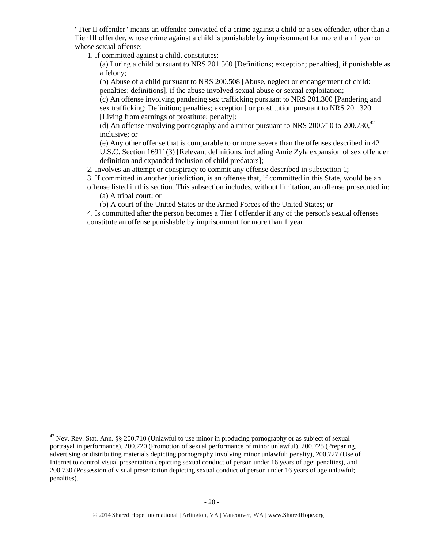"Tier II offender" means an offender convicted of a crime against a child or a sex offender, other than a Tier III offender, whose crime against a child is punishable by imprisonment for more than 1 year or whose sexual offense:

1. If committed against a child, constitutes:

(a) Luring a child pursuant to NRS 201.560 [Definitions; exception; penalties], if punishable as a felony;

(b) Abuse of a child pursuant to NRS 200.508 [Abuse, neglect or endangerment of child: penalties; definitions], if the abuse involved sexual abuse or sexual exploitation;

(c) An offense involving pandering sex trafficking pursuant to NRS 201.300 [Pandering and sex trafficking: Definition; penalties; exception] or prostitution pursuant to NRS 201.320 [Living from earnings of prostitute; penalty];

(d) An offense involving pornography and a minor pursuant to NRS 200.710 to  $200.730$ ,<sup>42</sup> inclusive; or

(e) Any other offense that is comparable to or more severe than the offenses described in 42 U.S.C. Section 16911(3) [Relevant definitions, including Amie Zyla expansion of sex offender definition and expanded inclusion of child predators];

2. Involves an attempt or conspiracy to commit any offense described in subsection 1;

3. If committed in another jurisdiction, is an offense that, if committed in this State, would be an

offense listed in this section. This subsection includes, without limitation, an offense prosecuted in:

(a) A tribal court; or

l

(b) A court of the United States or the Armed Forces of the United States; or

4. Is committed after the person becomes a Tier I offender if any of the person's sexual offenses constitute an offense punishable by imprisonment for more than 1 year.

<sup>&</sup>lt;sup>42</sup> Nev. Rev. Stat. Ann. §§ 200.710 (Unlawful to use minor in producing pornography or as subject of sexual portrayal in performance), 200.720 (Promotion of sexual performance of minor unlawful), 200.725 (Preparing, advertising or distributing materials depicting pornography involving minor unlawful; penalty), 200.727 (Use of Internet to control visual presentation depicting sexual conduct of person under 16 years of age; penalties), and 200.730 (Possession of visual presentation depicting sexual conduct of person under 16 years of age unlawful; penalties).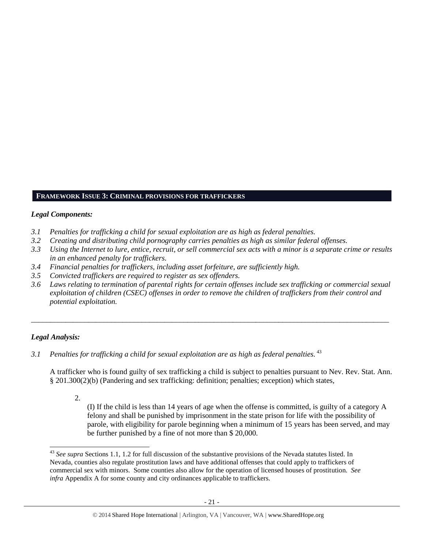## **FRAMEWORK ISSUE 3: CRIMINAL PROVISIONS FOR TRAFFICKERS**

#### *Legal Components:*

- *3.1 Penalties for trafficking a child for sexual exploitation are as high as federal penalties.*
- *3.2 Creating and distributing child pornography carries penalties as high as similar federal offenses.*
- *3.3 Using the Internet to lure, entice, recruit, or sell commercial sex acts with a minor is a separate crime or results in an enhanced penalty for traffickers.*
- *3.4 Financial penalties for traffickers, including asset forfeiture, are sufficiently high.*
- *3.5 Convicted traffickers are required to register as sex offenders.*
- *3.6 Laws relating to termination of parental rights for certain offenses include sex trafficking or commercial sexual exploitation of children (CSEC) offenses in order to remove the children of traffickers from their control and potential exploitation.*

*\_\_\_\_\_\_\_\_\_\_\_\_\_\_\_\_\_\_\_\_\_\_\_\_\_\_\_\_\_\_\_\_\_\_\_\_\_\_\_\_\_\_\_\_\_\_\_\_\_\_\_\_\_\_\_\_\_\_\_\_\_\_\_\_\_\_\_\_\_\_\_\_\_\_\_\_\_\_\_\_\_\_\_\_\_\_\_\_\_\_\_\_\_\_*

## *Legal Analysis:*

 $\overline{\phantom{a}}$ 

3.1 Penalties for trafficking a child for sexual exploitation are as high as federal penalties. <sup>43</sup>

A trafficker who is found guilty of sex trafficking a child is subject to penalties pursuant to Nev. Rev. Stat. Ann. § 201.300(2)(b) (Pandering and sex trafficking: definition; penalties; exception) which states,

2.

(I) If the child is less than 14 years of age when the offense is committed, is guilty of a category A felony and shall be punished by imprisonment in the state prison for life with the possibility of parole, with eligibility for parole beginning when a minimum of 15 years has been served, and may be further punished by a fine of not more than \$ 20,000.

<sup>43</sup> *See supra* Sections 1.1, 1.2 for full discussion of the substantive provisions of the Nevada statutes listed. In Nevada, counties also regulate prostitution laws and have additional offenses that could apply to traffickers of commercial sex with minors. Some counties also allow for the operation of licensed houses of prostitution. *See infra* Appendix A for some county and city ordinances applicable to traffickers.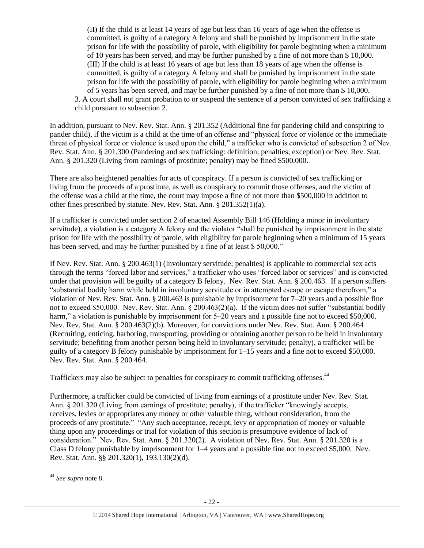(II) If the child is at least 14 years of age but less than 16 years of age when the offense is committed, is guilty of a category A felony and shall be punished by imprisonment in the state prison for life with the possibility of parole, with eligibility for parole beginning when a minimum of 10 years has been served, and may be further punished by a fine of not more than \$ 10,000. (III) If the child is at least 16 years of age but less than 18 years of age when the offense is committed, is guilty of a category A felony and shall be punished by imprisonment in the state prison for life with the possibility of parole, with eligibility for parole beginning when a minimum of 5 years has been served, and may be further punished by a fine of not more than \$ 10,000. 3. A court shall not grant probation to or suspend the sentence of a person convicted of sex trafficking a child pursuant to subsection 2.

In addition, pursuant to Nev. Rev. Stat. Ann. § 201.352 (Additional fine for pandering child and conspiring to pander child), if the victim is a child at the time of an offense and "physical force or violence or the immediate threat of physical force or violence is used upon the child," a trafficker who is convicted of subsection 2 of Nev. Rev. Stat. Ann. § 201.300 (Pandering and sex trafficking: definition; penalties; exception) or Nev. Rev. Stat. Ann. § 201.320 (Living from earnings of prostitute; penalty) may be fined \$500,000.

There are also heightened penalties for acts of conspiracy. If a person is convicted of sex trafficking or living from the proceeds of a prostitute, as well as conspiracy to commit those offenses, and the victim of the offense was a child at the time, the court may impose a fine of not more than \$500,000 in addition to other fines prescribed by statute. Nev. Rev. Stat. Ann. § 201.352(1)(a).

If a trafficker is convicted under section 2 of enacted Assembly Bill 146 (Holding a minor in involuntary servitude), a violation is a category A felony and the violator "shall be punished by imprisonment in the state prison for life with the possibility of parole, with eligibility for parole beginning when a minimum of 15 years has been served, and may be further punished by a fine of at least \$50,000."

If Nev. Rev. Stat. Ann. § 200.463(1) (Involuntary servitude; penalties) is applicable to commercial sex acts through the terms "forced labor and services," a trafficker who uses "forced labor or services" and is convicted under that provision will be guilty of a category B felony. Nev. Rev. Stat. Ann. § 200.463. If a person suffers "substantial bodily harm while held in involuntary servitude or in attempted escape or escape therefrom," a violation of Nev. Rev. Stat. Ann. § 200.463 is punishable by imprisonment for 7–20 years and a possible fine not to exceed \$50,000. Nev. Rev. Stat. Ann. § 200.463(2)(a). If the victim does not suffer "substantial bodily harm," a violation is punishable by imprisonment for 5–20 years and a possible fine not to exceed \$50,000. Nev. Rev. Stat. Ann. § 200.463(2)(b). Moreover, for convictions under Nev. Rev. Stat. Ann. § 200.464 (Recruiting, enticing, harboring, transporting, providing or obtaining another person to be held in involuntary servitude; benefiting from another person being held in involuntary servitude; penalty), a trafficker will be guilty of a category B felony punishable by imprisonment for 1–15 years and a fine not to exceed \$50,000. Nev. Rev. Stat. Ann. § 200.464.

Traffickers may also be subject to penalties for conspiracy to commit trafficking offenses.<sup>44</sup>

Furthermore, a trafficker could be convicted of living from earnings of a prostitute under Nev. Rev. Stat. Ann. § 201.320 (Living from earnings of prostitute; penalty), if the trafficker "knowingly accepts, receives, levies or appropriates any money or other valuable thing, without consideration, from the proceeds of any prostitute." "Any such acceptance, receipt, levy or appropriation of money or valuable thing upon any proceedings or trial for violation of this section is presumptive evidence of lack of consideration." Nev. Rev. Stat. Ann. § 201.320(2). A violation of Nev. Rev. Stat. Ann. § 201.320 is a Class D felony punishable by imprisonment for 1–4 years and a possible fine not to exceed \$5,000. Nev. Rev. Stat. Ann. §§ 201.320(1), 193.130(2)(d).

 $\overline{\phantom{a}}$ 

<sup>44</sup> *See supra* note [8.](#page-2-0)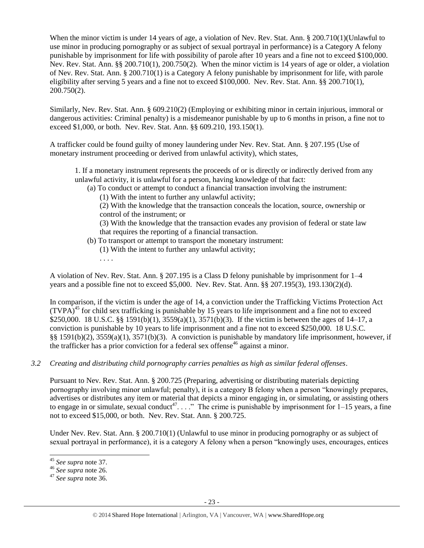When the minor victim is under 14 years of age, a violation of Nev. Rev. Stat. Ann. § 200.710(1)(Unlawful to use minor in producing pornography or as subject of sexual portrayal in performance) is a Category A felony punishable by imprisonment for life with possibility of parole after 10 years and a fine not to exceed \$100,000. Nev. Rev. Stat. Ann. §§ 200.710(1), 200.750(2). When the minor victim is 14 years of age or older, a violation of Nev. Rev. Stat. Ann. § 200.710(1) is a Category A felony punishable by imprisonment for life, with parole eligibility after serving 5 years and a fine not to exceed \$100,000. Nev. Rev. Stat. Ann. §§ 200.710(1), 200.750(2).

Similarly, Nev. Rev. Stat. Ann. § 609.210(2) (Employing or exhibiting minor in certain injurious, immoral or dangerous activities: Criminal penalty) is a misdemeanor punishable by up to 6 months in prison, a fine not to exceed \$1,000, or both. Nev. Rev. Stat. Ann. §§ 609.210, 193.150(1).

A trafficker could be found guilty of money laundering under Nev. Rev. Stat. Ann. § 207.195 (Use of monetary instrument proceeding or derived from unlawful activity), which states,

1. If a monetary instrument represents the proceeds of or is directly or indirectly derived from any unlawful activity, it is unlawful for a person, having knowledge of that fact:

- (a) To conduct or attempt to conduct a financial transaction involving the instrument:
	- (1) With the intent to further any unlawful activity;

(2) With the knowledge that the transaction conceals the location, source, ownership or control of the instrument; or

(3) With the knowledge that the transaction evades any provision of federal or state law that requires the reporting of a financial transaction.

- (b) To transport or attempt to transport the monetary instrument: (1) With the intent to further any unlawful activity;
	- . . . .

A violation of Nev. Rev. Stat. Ann. § 207.195 is a Class D felony punishable by imprisonment for 1–4 years and a possible fine not to exceed \$5,000. Nev. Rev. Stat. Ann. §§ 207.195(3), 193.130(2)(d).

In comparison, if the victim is under the age of 14, a conviction under the Trafficking Victims Protection Act  $(TVPA)^{45}$  for child sex trafficking is punishable by 15 years to life imprisonment and a fine not to exceed \$250,000. 18 U.S.C. §§ 1591(b)(1), 3559(a)(1), 3571(b)(3). If the victim is between the ages of 14–17, a conviction is punishable by 10 years to life imprisonment and a fine not to exceed \$250,000. 18 U.S.C. §§ 1591(b)(2), 3559(a)(1), 3571(b)(3). A conviction is punishable by mandatory life imprisonment, however, if the trafficker has a prior conviction for a federal sex offense<sup>46</sup> against a minor.

*3.2 Creating and distributing child pornography carries penalties as high as similar federal offenses*.

Pursuant to Nev. Rev. Stat. Ann. § 200.725 (Preparing, advertising or distributing materials depicting pornography involving minor unlawful; penalty), it is a category B felony when a person "knowingly prepares, advertises or distributes any item or material that depicts a minor engaging in, or simulating, or assisting others to engage in or simulate, sexual conduct<sup>47</sup>...." The crime is punishable by imprisonment for  $1-15$  years, a fine not to exceed \$15,000, or both. Nev. Rev. Stat. Ann. § 200.725.

Under Nev. Rev. Stat. Ann. § 200.710(1) (Unlawful to use minor in producing pornography or as subject of sexual portrayal in performance), it is a category A felony when a person "knowingly uses, encourages, entices

l <sup>45</sup> *See supra* note 37.

<sup>46</sup> *See supra* note [26.](#page-11-0)

<sup>47</sup> *See supra* note [36.](#page-16-0)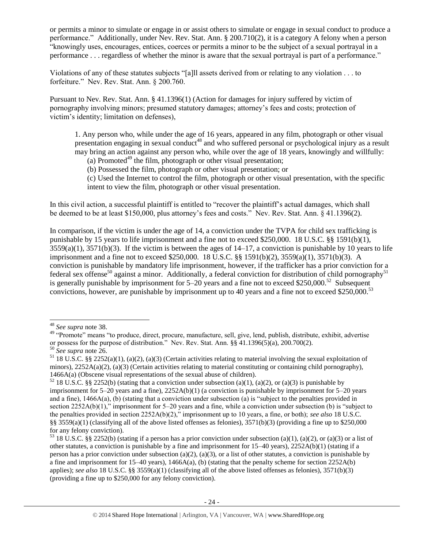or permits a minor to simulate or engage in or assist others to simulate or engage in sexual conduct to produce a performance." Additionally, under Nev. Rev. Stat. Ann. § 200.710(2), it is a category A felony when a person "knowingly uses, encourages, entices, coerces or permits a minor to be the subject of a sexual portrayal in a performance . . . regardless of whether the minor is aware that the sexual portrayal is part of a performance."

Violations of any of these statutes subjects "[a]ll assets derived from or relating to any violation . . . to forfeiture." Nev. Rev. Stat. Ann. § 200.760.

Pursuant to Nev. Rev. Stat. Ann. § 41.1396(1) (Action for damages for injury suffered by victim of pornography involving minors; presumed statutory damages; attorney's fees and costs; protection of victim's identity; limitation on defenses),

1. Any person who, while under the age of 16 years, appeared in any film, photograph or other visual presentation engaging in sexual conduct<sup>48</sup> and who suffered personal or psychological injury as a result may bring an action against any person who, while over the age of 18 years, knowingly and willfully:

<span id="page-23-0"></span>(a) Promoted<sup>49</sup> the film, photograph or other visual presentation;

(b) Possessed the film, photograph or other visual presentation; or

(c) Used the Internet to control the film, photograph or other visual presentation, with the specific intent to view the film, photograph or other visual presentation.

In this civil action, a successful plaintiff is entitled to "recover the plaintiff's actual damages, which shall be deemed to be at least \$150,000, plus attorney's fees and costs." Nev. Rev. Stat. Ann. § 41.1396(2).

In comparison, if the victim is under the age of 14, a conviction under the TVPA for child sex trafficking is punishable by 15 years to life imprisonment and a fine not to exceed \$250,000. 18 U.S.C. §§ 1591(b)(1),  $3559(a)(1)$ ,  $3571(b)(3)$ . If the victim is between the ages of  $14-17$ , a conviction is punishable by 10 years to life imprisonment and a fine not to exceed \$250,000. 18 U.S.C. §§ 1591(b)(2), 3559(a)(1), 3571(b)(3). A conviction is punishable by mandatory life imprisonment, however, if the trafficker has a prior conviction for a federal sex offense<sup>50</sup> against a minor. Additionally, a federal conviction for distribution of child pornography<sup>51</sup> is generally punishable by imprisonment for  $5-20$  years and a fine not to exceed \$250,000.<sup>52</sup> Subsequent convictions, however, are punishable by imprisonment up to 40 years and a fine not to exceed \$250,000.<sup>53</sup>

 $\overline{\phantom{a}}$ 

<sup>48</sup> *See supra* note [38.](#page-17-0)

<sup>&</sup>lt;sup>49</sup> "Promote" means "to produce, direct, procure, manufacture, sell, give, lend, publish, distribute, exhibit, advertise or possess for the purpose of distribution." Nev. Rev. Stat. Ann. §§ 41.1396(5)(a), 200.700(2).

<sup>50</sup> *See supra* note [26.](#page-11-0)

<sup>&</sup>lt;sup>51</sup> 18 U.S.C. §§ 2252(a)(1), (a)(2), (a)(3) (Certain activities relating to material involving the sexual exploitation of minors),  $2252A(a)(2)$ , (a)(3) (Certain activities relating to material constituting or containing child pornography), 1466A(a) (Obscene visual representations of the sexual abuse of children).

<sup>&</sup>lt;sup>52</sup> 18 U.S.C. §§ 2252(b) (stating that a conviction under subsection (a)(1), (a)(2), or (a)(3) is punishable by imprisonment for 5–20 years and a fine), 2252A(b)(1) (a conviction is punishable by imprisonment for 5–20 years and a fine), 1466A(a), (b) (stating that a conviction under subsection (a) is "subject to the penalties provided in section 2252A(b)(1)," imprisonment for 5–20 years and a fine, while a conviction under subsection (b) is "subject to the penalties provided in section 2252A(b)(2)," imprisonment up to 10 years, a fine, or both); *see also* 18 U.S.C. §§ 3559(a)(1) (classifying all of the above listed offenses as felonies), 3571(b)(3) (providing a fine up to \$250,000 for any felony conviction).

<sup>&</sup>lt;sup>53</sup> 18 U.S.C. §§ 2252(b) (stating if a person has a prior conviction under subsection (a)(1), (a)(2), or (a)(3) or a list of other statutes, a conviction is punishable by a fine and imprisonment for 15–40 years), 2252A(b)(1) (stating if a person has a prior conviction under subsection (a)(2), (a)(3), or a list of other statutes, a conviction is punishable by a fine and imprisonment for  $15-40$  years),  $1466A(a)$ , (b) (stating that the penalty scheme for section  $2252A(b)$ applies); *see also* 18 U.S.C. §§ 3559(a)(1) (classifying all of the above listed offenses as felonies), 3571(b)(3) (providing a fine up to \$250,000 for any felony conviction).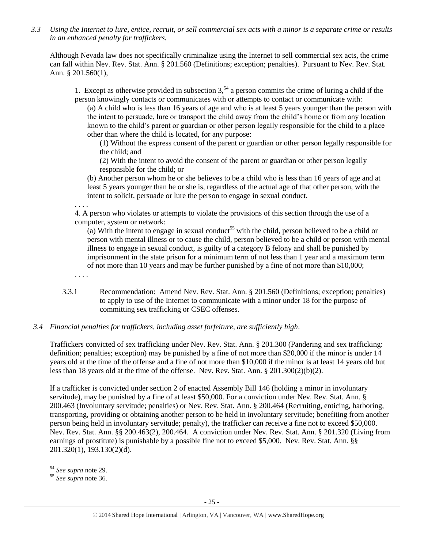*3.3 Using the Internet to lure, entice, recruit, or sell commercial sex acts with a minor is a separate crime or results in an enhanced penalty for traffickers.*

Although Nevada law does not specifically criminalize using the Internet to sell commercial sex acts, the crime can fall within Nev. Rev. Stat. Ann. § 201.560 (Definitions; exception; penalties). Pursuant to Nev. Rev. Stat. Ann. § 201.560(1),

1. Except as otherwise provided in subsection  $3<sup>54</sup>$  a person commits the crime of luring a child if the person knowingly contacts or communicates with or attempts to contact or communicate with:

(a) A child who is less than 16 years of age and who is at least 5 years younger than the person with the intent to persuade, lure or transport the child away from the child's home or from any location known to the child's parent or guardian or other person legally responsible for the child to a place other than where the child is located, for any purpose:

(1) Without the express consent of the parent or guardian or other person legally responsible for the child; and

(2) With the intent to avoid the consent of the parent or guardian or other person legally responsible for the child; or

(b) Another person whom he or she believes to be a child who is less than 16 years of age and at least 5 years younger than he or she is, regardless of the actual age of that other person, with the intent to solicit, persuade or lure the person to engage in sexual conduct.

. . . .

4. A person who violates or attempts to violate the provisions of this section through the use of a computer, system or network:

(a) With the intent to engage in sexual conduct<sup>55</sup> with the child, person believed to be a child or person with mental illness or to cause the child, person believed to be a child or person with mental illness to engage in sexual conduct, is guilty of a category B felony and shall be punished by imprisonment in the state prison for a minimum term of not less than 1 year and a maximum term of not more than 10 years and may be further punished by a fine of not more than \$10,000;

. . . .

3.3.1 Recommendation: Amend Nev. Rev. Stat. Ann. § 201.560 (Definitions; exception; penalties) to apply to use of the Internet to communicate with a minor under 18 for the purpose of committing sex trafficking or CSEC offenses.

## *3.4 Financial penalties for traffickers, including asset forfeiture, are sufficiently high*.

Traffickers convicted of sex trafficking under Nev. Rev. Stat. Ann. § 201.300 (Pandering and sex trafficking: definition; penalties; exception) may be punished by a fine of not more than \$20,000 if the minor is under 14 years old at the time of the offense and a fine of not more than \$10,000 if the minor is at least 14 years old but less than 18 years old at the time of the offense. Nev. Rev. Stat. Ann. § 201.300(2)(b)(2).

If a trafficker is convicted under section 2 of enacted Assembly Bill 146 (holding a minor in involuntary servitude), may be punished by a fine of at least \$50,000. For a conviction under Nev. Rev. Stat. Ann. § 200.463 (Involuntary servitude; penalties) or Nev. Rev. Stat. Ann. § 200.464 (Recruiting, enticing, harboring, transporting, providing or obtaining another person to be held in involuntary servitude; benefiting from another person being held in involuntary servitude; penalty), the trafficker can receive a fine not to exceed \$50,000. Nev. Rev. Stat. Ann. §§ 200.463(2), 200.464. A conviction under Nev. Rev. Stat. Ann. § 201.320 (Living from earnings of prostitute) is punishable by a possible fine not to exceed \$5,000. Nev. Rev. Stat. Ann. §§ 201.320(1), 193.130(2)(d).

 $\overline{\phantom{a}}$ <sup>54</sup> *See supra* note [29.](#page-12-0)

<sup>55</sup> *See supra* note [36.](#page-16-0)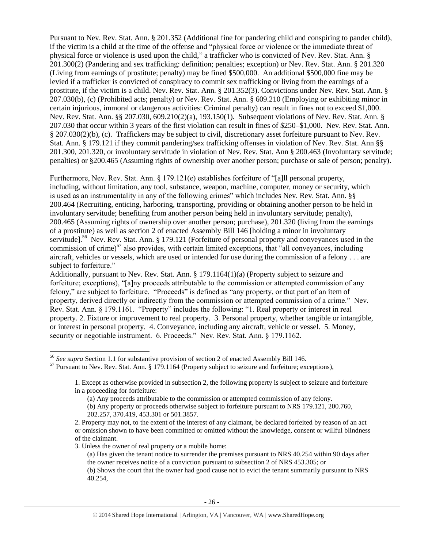Pursuant to Nev. Rev. Stat. Ann. § 201.352 (Additional fine for pandering child and conspiring to pander child), if the victim is a child at the time of the offense and "physical force or violence or the immediate threat of physical force or violence is used upon the child," a trafficker who is convicted of Nev. Rev. Stat. Ann. § 201.300(2) (Pandering and sex trafficking: definition; penalties; exception) or Nev. Rev. Stat. Ann. § 201.320 (Living from earnings of prostitute; penalty) may be fined \$500,000. An additional \$500,000 fine may be levied if a trafficker is convicted of conspiracy to commit sex trafficking or living from the earnings of a prostitute, if the victim is a child. Nev. Rev. Stat. Ann. § 201.352(3). Convictions under Nev. Rev. Stat. Ann. § 207.030(b), (c) (Prohibited acts; penalty) or Nev. Rev. Stat. Ann. § 609.210 (Employing or exhibiting minor in certain injurious, immoral or dangerous activities: Criminal penalty) can result in fines not to exceed \$1,000. Nev. Rev. Stat. Ann. §§ 207.030, 609.210(2)(a), 193.150(1). Subsequent violations of Nev. Rev. Stat. Ann. § 207.030 that occur within 3 years of the first violation can result in fines of \$250–\$1,000. Nev. Rev. Stat. Ann. § 207.030(2)(b), (c). Traffickers may be subject to civil, discretionary asset forfeiture pursuant to Nev. Rev. Stat. Ann. § 179.121 if they commit pandering/sex trafficking offenses in violation of Nev. Rev. Stat. Ann §§ 201.300, 201.320, or involuntary servitude in violation of Nev. Rev. Stat. Ann § 200.463 (Involuntary servitude; penalties) or §200.465 (Assuming rights of ownership over another person; purchase or sale of person; penalty).

Furthermore, Nev. Rev. Stat. Ann. § 179.121(e) establishes forfeiture of "[a]ll personal property, including, without limitation, any tool, substance, weapon, machine, computer, money or security, which is used as an instrumentality in any of the following crimes" which includes Nev. Rev. Stat. Ann. §§ 200.464 (Recruiting, enticing, harboring, transporting, providing or obtaining another person to be held in involuntary servitude; benefiting from another person being held in involuntary servitude; penalty), 200.465 (Assuming rights of ownership over another person; purchase), 201.320 (living from the earnings of a prostitute) as well as section 2 of enacted Assembly Bill 146 [holding a minor in involuntary servitude].<sup>56</sup> Nev. Rev. Stat. Ann. § 179.121 (Forfeiture of personal property and conveyances used in the commission of crime)<sup>57</sup> also provides, with certain limited exceptions, that "all conveyances, including aircraft, vehicles or vessels, which are used or intended for use during the commission of a felony . . . are subject to forfeiture."

Additionally, pursuant to Nev. Rev. Stat. Ann. § 179.1164(1)(a) (Property subject to seizure and forfeiture; exceptions), "[a]ny proceeds attributable to the commission or attempted commission of any felony," are subject to forfeiture. "Proceeds" is defined as "any property, or that part of an item of property, derived directly or indirectly from the commission or attempted commission of a crime." Nev. Rev. Stat. Ann. § 179.1161. "Property" includes the following: "1. Real property or interest in real property. 2. Fixture or improvement to real property. 3. Personal property, whether tangible or intangible, or interest in personal property. 4. Conveyance, including any aircraft, vehicle or vessel. 5. Money, security or negotiable instrument. 6. Proceeds." Nev. Rev. Stat. Ann. § 179.1162.

3. Unless the owner of real property or a mobile home:

 $\overline{\phantom{a}}$ 

<sup>56</sup> *See supra* Section 1.1 for substantive provision of section 2 of enacted Assembly Bill 146.

<sup>57</sup> Pursuant to Nev. Rev. Stat. Ann. § 179.1164 (Property subject to seizure and forfeiture; exceptions),

<sup>1.</sup> Except as otherwise provided in subsection 2, the following property is subject to seizure and forfeiture in a proceeding for forfeiture:

<sup>(</sup>a) Any proceeds attributable to the commission or attempted commission of any felony.

<sup>(</sup>b) Any property or proceeds otherwise subject to forfeiture pursuant to NRS 179.121, 200.760, 202.257, 370.419, 453.301 or 501.3857.

<sup>2.</sup> Property may not, to the extent of the interest of any claimant, be declared forfeited by reason of an act or omission shown to have been committed or omitted without the knowledge, consent or willful blindness of the claimant.

<sup>(</sup>a) Has given the tenant notice to surrender the premises pursuant to NRS 40.254 within 90 days after the owner receives notice of a conviction pursuant to subsection 2 of NRS 453.305; or

<sup>(</sup>b) Shows the court that the owner had good cause not to evict the tenant summarily pursuant to NRS 40.254,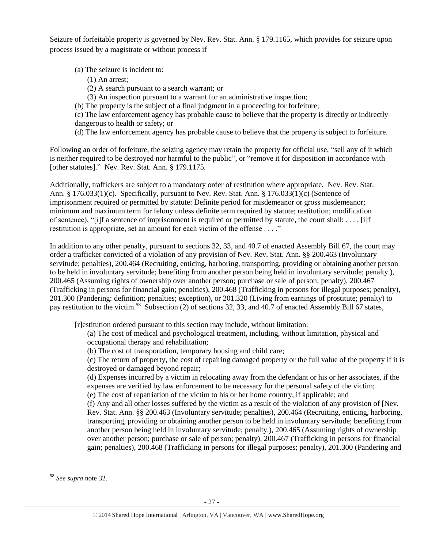Seizure of forfeitable property is governed by Nev. Rev. Stat. Ann. § 179.1165, which provides for seizure upon process issued by a magistrate or without process if

(a) The seizure is incident to:

- (1) An arrest;
- (2) A search pursuant to a search warrant; or
- (3) An inspection pursuant to a warrant for an administrative inspection;
- (b) The property is the subject of a final judgment in a proceeding for forfeiture;

(c) The law enforcement agency has probable cause to believe that the property is directly or indirectly dangerous to health or safety; or

(d) The law enforcement agency has probable cause to believe that the property is subject to forfeiture.

Following an order of forfeiture, the seizing agency may retain the property for official use, "sell any of it which is neither required to be destroyed nor harmful to the public", or "remove it for disposition in accordance with [other statutes]." Nev. Rev. Stat. Ann. § 179.1175.

Additionally, traffickers are subject to a mandatory order of restitution where appropriate. Nev. Rev. Stat. Ann. § 176.033(1)(c). Specifically, pursuant to Nev. Rev. Stat. Ann. § 176.033(1)(c) (Sentence of imprisonment required or permitted by statute: Definite period for misdemeanor or gross misdemeanor; minimum and maximum term for felony unless definite term required by statute; restitution; modification of sentence), "[i]f a sentence of imprisonment is required or permitted by statute, the court shall: . . . . [i]f restitution is appropriate, set an amount for each victim of the offense . . . ."

In addition to any other penalty, pursuant to sections 32, 33, and 40.7 of enacted Assembly Bill 67, the court may order a trafficker convicted of a violation of any provision of Nev. Rev. Stat. Ann. §§ 200.463 (Involuntary servitude; penalties), 200.464 (Recruiting, enticing, harboring, transporting, providing or obtaining another person to be held in involuntary servitude; benefiting from another person being held in involuntary servitude; penalty.), 200.465 (Assuming rights of ownership over another person; purchase or sale of person; penalty), 200.467 (Trafficking in persons for financial gain; penalties), 200.468 (Trafficking in persons for illegal purposes; penalty), 201.300 (Pandering: definition; penalties; exception), or 201.320 (Living from earnings of prostitute; penalty) to pay restitution to the victim.<sup>58</sup> Subsection (2) of sections 32, 33, and 40.7 of enacted Assembly Bill 67 states,

[r]estitution ordered pursuant to this section may include, without limitation:

(a) The cost of medical and psychological treatment, including, without limitation, physical and occupational therapy and rehabilitation;

(b) The cost of transportation, temporary housing and child care;

(c) The return of property, the cost of repairing damaged property or the full value of the property if it is destroyed or damaged beyond repair;

(d) Expenses incurred by a victim in relocating away from the defendant or his or her associates, if the expenses are verified by law enforcement to be necessary for the personal safety of the victim;

(e) The cost of repatriation of the victim to his or her home country, if applicable; and

(f) Any and all other losses suffered by the victim as a result of the violation of any provision of [Nev. Rev. Stat. Ann. §§ 200.463 (Involuntary servitude; penalties), 200.464 (Recruiting, enticing, harboring, transporting, providing or obtaining another person to be held in involuntary servitude; benefiting from another person being held in involuntary servitude; penalty.), 200.465 (Assuming rights of ownership over another person; purchase or sale of person; penalty), 200.467 (Trafficking in persons for financial gain; penalties), 200.468 (Trafficking in persons for illegal purposes; penalty), 201.300 (Pandering and

 $\overline{\phantom{a}}$ 

<sup>58</sup> *See supra* note [32.](#page-14-0)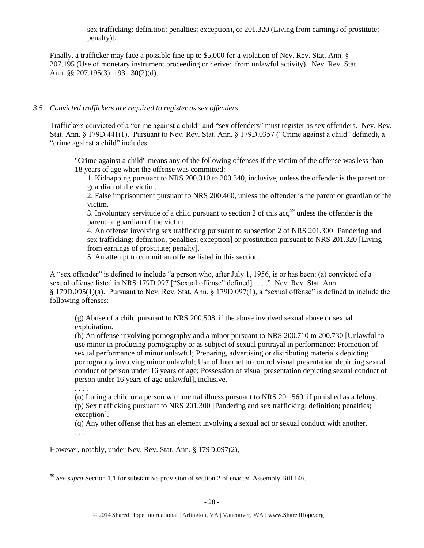sex trafficking: definition; penalties; exception), or 201.320 (Living from earnings of prostitute; penalty)].

Finally, a trafficker may face a possible fine up to \$5,000 for a violation of Nev. Rev. Stat. Ann. § 207.195 (Use of monetary instrument proceeding or derived from unlawful activity). Nev. Rev. Stat. Ann. §§ 207.195(3), 193.130(2)(d).

## *3.5 Convicted traffickers are required to register as sex offenders.*

Traffickers convicted of a "crime against a child" and "sex offenders" must register as sex offenders. Nev. Rev. Stat. Ann. § 179D.441(1). Pursuant to Nev. Rev. Stat. Ann. § 179D.0357 ("Crime against a child" defined), a "crime against a child" includes

"Crime against a child" means any of the following offenses if the victim of the offense was less than 18 years of age when the offense was committed:

1. Kidnapping pursuant to NRS 200.310 to 200.340, inclusive, unless the offender is the parent or guardian of the victim.

2. False imprisonment pursuant to NRS 200.460, unless the offender is the parent or guardian of the victim.

3. Involuntary servitude of a child pursuant to section 2 of this act,<sup>59</sup> unless the offender is the parent or guardian of the victim.

4. An offense involving sex trafficking pursuant to subsection 2 of NRS 201.300 [Pandering and sex trafficking: definition; penalties; exception] or prostitution pursuant to NRS 201.320 [Living from earnings of prostitute; penalty].

5. An attempt to commit an offense listed in this section.

A "sex offender" is defined to include "a person who, after July 1, 1956, is or has been: (a) convicted of a sexual offense listed in NRS 179D.097 ["Sexual offense" defined] . . . ." Nev. Rev. Stat. Ann. § 179D.095(1)(a). Pursuant to Nev. Rev. Stat. Ann. § 179D.097(1), a "sexual offense" is defined to include the following offenses:

(g) Abuse of a child pursuant to NRS 200.508, if the abuse involved sexual abuse or sexual exploitation.

(h) An offense involving pornography and a minor pursuant to NRS 200.710 to 200.730 [Unlawful to use minor in producing pornography or as subject of sexual portrayal in performance; Promotion of sexual performance of minor unlawful; Preparing, advertising or distributing materials depicting pornography involving minor unlawful; Use of Internet to control visual presentation depicting sexual conduct of person under 16 years of age; Possession of visual presentation depicting sexual conduct of person under 16 years of age unlawful], inclusive.

. . . .

 $\overline{\phantom{a}}$ 

(o) Luring a child or a person with mental illness pursuant to NRS 201.560, if punished as a felony. (p) Sex trafficking pursuant to NRS 201.300 [Pandering and sex trafficking: definition; penalties; exception].

(q) Any other offense that has an element involving a sexual act or sexual conduct with another. . . . .

However, notably, under Nev. Rev. Stat. Ann. § 179D.097(2),

<sup>59</sup> *See supra* Section 1.1 for substantive provision of section 2 of enacted Assembly Bill 146.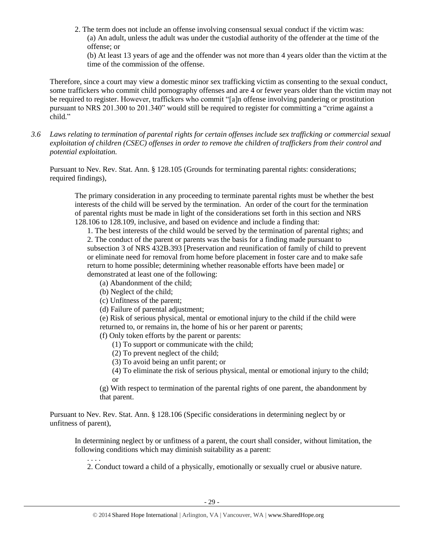2. The term does not include an offense involving consensual sexual conduct if the victim was: (a) An adult, unless the adult was under the custodial authority of the offender at the time of the offense; or

(b) At least 13 years of age and the offender was not more than 4 years older than the victim at the time of the commission of the offense.

Therefore, since a court may view a domestic minor sex trafficking victim as consenting to the sexual conduct, some traffickers who commit child pornography offenses and are 4 or fewer years older than the victim may not be required to register. However, traffickers who commit "[a]n offense involving pandering or prostitution pursuant to NRS 201.300 to 201.340" would still be required to register for committing a "crime against a child."

*3.6 Laws relating to termination of parental rights for certain offenses include sex trafficking or commercial sexual exploitation of children (CSEC) offenses in order to remove the children of traffickers from their control and potential exploitation.* 

Pursuant to Nev. Rev. Stat. Ann. § 128.105 (Grounds for terminating parental rights: considerations; required findings),

The primary consideration in any proceeding to terminate parental rights must be whether the best interests of the child will be served by the termination. An order of the court for the termination of parental rights must be made in light of the considerations set forth in this section and NRS 128.106 to 128.109, inclusive, and based on evidence and include a finding that:

1. The best interests of the child would be served by the termination of parental rights; and 2. The conduct of the parent or parents was the basis for a finding made pursuant to subsection 3 of NRS 432B.393 [Preservation and reunification of family of child to prevent or eliminate need for removal from home before placement in foster care and to make safe return to home possible; determining whether reasonable efforts have been made] or demonstrated at least one of the following:

- (a) Abandonment of the child;
- (b) Neglect of the child;

. . . .

- (c) Unfitness of the parent;
- (d) Failure of parental adjustment;

(e) Risk of serious physical, mental or emotional injury to the child if the child were returned to, or remains in, the home of his or her parent or parents;

(f) Only token efforts by the parent or parents:

- (1) To support or communicate with the child;
- (2) To prevent neglect of the child;
- (3) To avoid being an unfit parent; or
- (4) To eliminate the risk of serious physical, mental or emotional injury to the child; or

(g) With respect to termination of the parental rights of one parent, the abandonment by that parent.

Pursuant to Nev. Rev. Stat. Ann. § 128.106 (Specific considerations in determining neglect by or unfitness of parent),

In determining neglect by or unfitness of a parent, the court shall consider, without limitation, the following conditions which may diminish suitability as a parent:

2. Conduct toward a child of a physically, emotionally or sexually cruel or abusive nature.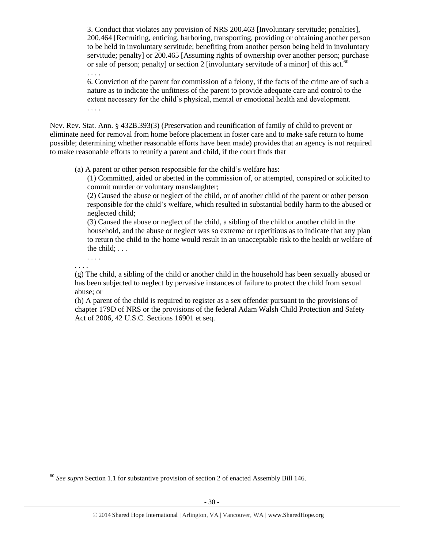3. Conduct that violates any provision of NRS 200.463 [Involuntary servitude; penalties], 200.464 [Recruiting, enticing, harboring, transporting, providing or obtaining another person to be held in involuntary servitude; benefiting from another person being held in involuntary servitude; penalty] or 200.465 [Assuming rights of ownership over another person; purchase or sale of person; penalty] or section 2 [involuntary servitude of a minor] of this act.<sup>60</sup>

6. Conviction of the parent for commission of a felony, if the facts of the crime are of such a nature as to indicate the unfitness of the parent to provide adequate care and control to the extent necessary for the child's physical, mental or emotional health and development. . . . .

Nev. Rev. Stat. Ann. § 432B.393(3) (Preservation and reunification of family of child to prevent or eliminate need for removal from home before placement in foster care and to make safe return to home possible; determining whether reasonable efforts have been made) provides that an agency is not required to make reasonable efforts to reunify a parent and child, if the court finds that

(a) A parent or other person responsible for the child's welfare has:

(1) Committed, aided or abetted in the commission of, or attempted, conspired or solicited to commit murder or voluntary manslaughter;

(2) Caused the abuse or neglect of the child, or of another child of the parent or other person responsible for the child's welfare, which resulted in substantial bodily harm to the abused or neglected child;

(3) Caused the abuse or neglect of the child, a sibling of the child or another child in the household, and the abuse or neglect was so extreme or repetitious as to indicate that any plan to return the child to the home would result in an unacceptable risk to the health or welfare of the child; . . .

. . . . . . . .

 $\overline{\phantom{a}}$ 

. . . .

(g) The child, a sibling of the child or another child in the household has been sexually abused or has been subjected to neglect by pervasive instances of failure to protect the child from sexual abuse; or

(h) A parent of the child is required to register as a sex offender pursuant to the provisions of chapter 179D of NRS or the provisions of the federal Adam Walsh Child Protection and Safety Act of 2006, 42 U.S.C. Sections 16901 et seq.

<sup>60</sup> *See supra* Section 1.1 for substantive provision of section 2 of enacted Assembly Bill 146.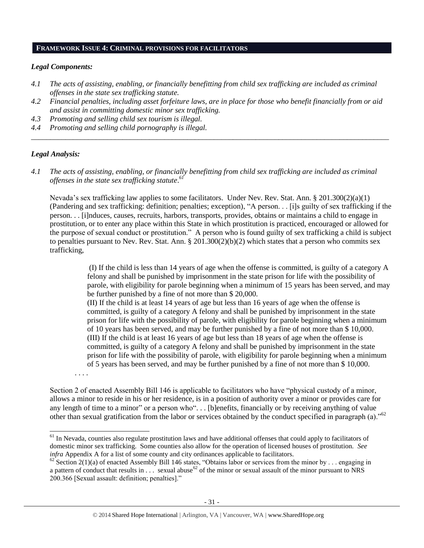#### **FRAMEWORK ISSUE 4: CRIMINAL PROVISIONS FOR FACILITATORS**

#### *Legal Components:*

- *4.1 The acts of assisting, enabling, or financially benefitting from child sex trafficking are included as criminal offenses in the state sex trafficking statute.*
- *4.2 Financial penalties, including asset forfeiture laws, are in place for those who benefit financially from or aid and assist in committing domestic minor sex trafficking.*

*\_\_\_\_\_\_\_\_\_\_\_\_\_\_\_\_\_\_\_\_\_\_\_\_\_\_\_\_\_\_\_\_\_\_\_\_\_\_\_\_\_\_\_\_\_\_\_\_\_\_\_\_\_\_\_\_\_\_\_\_\_\_\_\_\_\_\_\_\_\_\_\_\_\_\_\_\_\_\_\_\_\_\_\_\_\_\_\_\_\_\_\_\_\_*

- *4.3 Promoting and selling child sex tourism is illegal.*
- *4.4 Promoting and selling child pornography is illegal.*

## *Legal Analysis:*

*4.1 The acts of assisting, enabling, or financially benefitting from child sex trafficking are included as criminal offenses in the state sex trafficking statute*. *61*

Nevada's sex trafficking law applies to some facilitators. Under Nev. Rev. Stat. Ann. § 201.300(2)(a)(1) (Pandering and sex trafficking: definition; penalties; exception), "A person. . . [i]s guilty of sex trafficking if the person. . . [i]nduces, causes, recruits, harbors, transports, provides, obtains or maintains a child to engage in prostitution, or to enter any place within this State in which prostitution is practiced, encouraged or allowed for the purpose of sexual conduct or prostitution." A person who is found guilty of sex trafficking a child is subject to penalties pursuant to Nev. Rev. Stat. Ann.  $\S 201.300(2)(b)(2)$  which states that a person who commits sex trafficking,

> (I) If the child is less than 14 years of age when the offense is committed, is guilty of a category A felony and shall be punished by imprisonment in the state prison for life with the possibility of parole, with eligibility for parole beginning when a minimum of 15 years has been served, and may be further punished by a fine of not more than \$ 20,000.

> (II) If the child is at least 14 years of age but less than 16 years of age when the offense is committed, is guilty of a category A felony and shall be punished by imprisonment in the state prison for life with the possibility of parole, with eligibility for parole beginning when a minimum of 10 years has been served, and may be further punished by a fine of not more than \$ 10,000. (III) If the child is at least 16 years of age but less than 18 years of age when the offense is committed, is guilty of a category A felony and shall be punished by imprisonment in the state prison for life with the possibility of parole, with eligibility for parole beginning when a minimum of 5 years has been served, and may be further punished by a fine of not more than \$ 10,000.

. . . .

l

Section 2 of enacted Assembly Bill 146 is applicable to facilitators who have "physical custody of a minor, allows a minor to reside in his or her residence, is in a position of authority over a minor or provides care for any length of time to a minor" or a person who". . . [b]enefits, financially or by receiving anything of value other than sexual gratification from the labor or services obtained by the conduct specified in paragraph (a)."<sup>62</sup>

 $61$  In Nevada, counties also regulate prostitution laws and have additional offenses that could apply to facilitators of domestic minor sex trafficking. Some counties also allow for the operation of licensed houses of prostitution. *See infra* Appendix A for a list of some county and city ordinances applicable to facilitators.

 $\frac{62}{3}$  Section 2(1)(a) of enacted Assembly Bill 146 states, "Obtains labor or services from the minor by ... engaging in a pattern of conduct that results in  $\ldots$  sexual abuse<sup>62</sup> of the minor or sexual assault of the minor pursuant to NRS 200.366 [Sexual assault: definition; penalties]."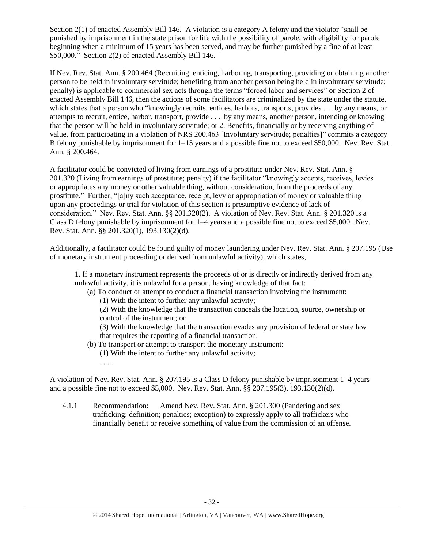Section 2(1) of enacted Assembly Bill 146. A violation is a category A felony and the violator "shall be punished by imprisonment in the state prison for life with the possibility of parole, with eligibility for parole beginning when a minimum of 15 years has been served, and may be further punished by a fine of at least \$50,000." Section 2(2) of enacted Assembly Bill 146.

If Nev. Rev. Stat. Ann. § 200.464 (Recruiting, enticing, harboring, transporting, providing or obtaining another person to be held in involuntary servitude; benefiting from another person being held in involuntary servitude; penalty) is applicable to commercial sex acts through the terms "forced labor and services" or Section 2 of enacted Assembly Bill 146, then the actions of some facilitators are criminalized by the state under the statute, which states that a person who "knowingly recruits, entices, harbors, transports, provides . . . by any means, or attempts to recruit, entice, harbor, transport, provide . . . by any means, another person, intending or knowing that the person will be held in involuntary servitude; or 2. Benefits, financially or by receiving anything of value, from participating in a violation of NRS 200.463 [Involuntary servitude; penalties]" commits a category B felony punishable by imprisonment for 1–15 years and a possible fine not to exceed \$50,000. Nev. Rev. Stat. Ann. § 200.464.

A facilitator could be convicted of living from earnings of a prostitute under Nev. Rev. Stat. Ann. § 201.320 (Living from earnings of prostitute; penalty) if the facilitator "knowingly accepts, receives, levies or appropriates any money or other valuable thing, without consideration, from the proceeds of any prostitute." Further, "[a]ny such acceptance, receipt, levy or appropriation of money or valuable thing upon any proceedings or trial for violation of this section is presumptive evidence of lack of consideration." Nev. Rev. Stat. Ann. §§ 201.320(2). A violation of Nev. Rev. Stat. Ann. § 201.320 is a Class D felony punishable by imprisonment for 1–4 years and a possible fine not to exceed \$5,000. Nev. Rev. Stat. Ann. §§ 201.320(1), 193.130(2)(d).

Additionally, a facilitator could be found guilty of money laundering under Nev. Rev. Stat. Ann. § 207.195 (Use of monetary instrument proceeding or derived from unlawful activity), which states,

1. If a monetary instrument represents the proceeds of or is directly or indirectly derived from any unlawful activity, it is unlawful for a person, having knowledge of that fact:

- (a) To conduct or attempt to conduct a financial transaction involving the instrument:
	- (1) With the intent to further any unlawful activity;

(2) With the knowledge that the transaction conceals the location, source, ownership or control of the instrument; or

(3) With the knowledge that the transaction evades any provision of federal or state law that requires the reporting of a financial transaction.

- (b) To transport or attempt to transport the monetary instrument: (1) With the intent to further any unlawful activity;
	- . . . .

A violation of Nev. Rev. Stat. Ann. § 207.195 is a Class D felony punishable by imprisonment 1–4 years and a possible fine not to exceed \$5,000. Nev. Rev. Stat. Ann. §§ 207.195(3), 193.130(2)(d).

4.1.1 Recommendation: Amend Nev. Rev. Stat. Ann. § 201.300 (Pandering and sex trafficking: definition; penalties; exception) to expressly apply to all traffickers who financially benefit or receive something of value from the commission of an offense.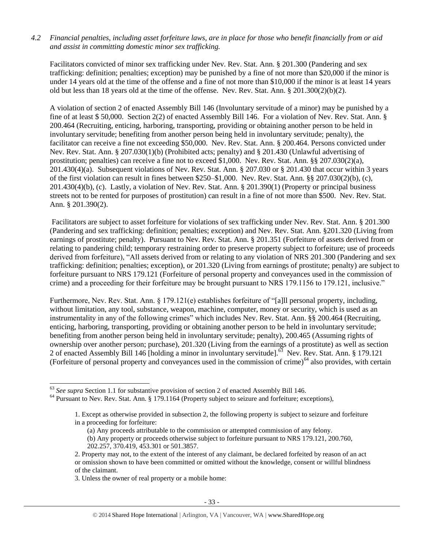#### *4.2 Financial penalties, including asset forfeiture laws, are in place for those who benefit financially from or aid and assist in committing domestic minor sex trafficking.*

Facilitators convicted of minor sex trafficking under Nev. Rev. Stat. Ann. § 201.300 (Pandering and sex trafficking: definition; penalties; exception) may be punished by a fine of not more than \$20,000 if the minor is under 14 years old at the time of the offense and a fine of not more than \$10,000 if the minor is at least 14 years old but less than 18 years old at the time of the offense. Nev. Rev. Stat. Ann. § 201.300(2)(b)(2).

A violation of section 2 of enacted Assembly Bill 146 (Involuntary servitude of a minor) may be punished by a fine of at least \$ 50,000. Section 2(2) of enacted Assembly Bill 146. For a violation of Nev. Rev. Stat. Ann. § 200.464 (Recruiting, enticing, harboring, transporting, providing or obtaining another person to be held in involuntary servitude; benefiting from another person being held in involuntary servitude; penalty), the facilitator can receive a fine not exceeding \$50,000. Nev. Rev. Stat. Ann. § 200.464. Persons convicted under Nev. Rev. Stat. Ann. § 207.030(1)(b) (Prohibited acts; penalty) and § 201.430 (Unlawful advertising of prostitution; penalties) can receive a fine not to exceed \$1,000. Nev. Rev. Stat. Ann. §§ 207.030(2)(a), 201.430(4)(a). Subsequent violations of Nev. Rev. Stat. Ann. § 207.030 or § 201.430 that occur within 3 years of the first violation can result in fines between \$250–\$1,000. Nev. Rev. Stat. Ann. §§ 207.030(2)(b), (c), 201.430(4)(b), (c). Lastly, a violation of Nev. Rev. Stat. Ann. § 201.390(1) (Property or principal business streets not to be rented for purposes of prostitution) can result in a fine of not more than \$500. Nev. Rev. Stat. Ann. § 201.390(2).

Facilitators are subject to asset forfeiture for violations of sex trafficking under Nev. Rev. Stat. Ann. § 201.300 (Pandering and sex trafficking: definition; penalties; exception) and Nev. Rev. Stat. Ann. §201.320 (Living from earnings of prostitute; penalty). Pursuant to Nev. Rev. Stat. Ann. § 201.351 (Forfeiture of assets derived from or relating to pandering child; temporary restraining order to preserve property subject to forfeiture; use of proceeds derived from forfeiture), "All assets derived from or relating to any violation of NRS 201.300 (Pandering and sex trafficking: definition; penalties; exception), or 201.320 (Living from earnings of prostitute; penalty) are subject to forfeiture pursuant to NRS 179.121 (Forfeiture of personal property and conveyances used in the commission of crime) and a proceeding for their forfeiture may be brought pursuant to NRS 179.1156 to 179.121, inclusive."

Furthermore, Nev. Rev. Stat. Ann. § 179.121(e) establishes forfeiture of "[a]ll personal property, including, without limitation, any tool, substance, weapon, machine, computer, money or security, which is used as an instrumentality in any of the following crimes" which includes Nev. Rev. Stat. Ann. §§ 200.464 (Recruiting, enticing, harboring, transporting, providing or obtaining another person to be held in involuntary servitude; benefiting from another person being held in involuntary servitude; penalty), 200.465 (Assuming rights of ownership over another person; purchase), 201.320 (Living from the earnings of a prostitute) as well as section 2 of enacted Assembly Bill 146 [holding a minor in involuntary servitude].<sup>63</sup> Nev. Rev. Stat. Ann. § 179.121 (Forfeiture of personal property and conveyances used in the commission of crime)<sup>64</sup> also provides, with certain

3. Unless the owner of real property or a mobile home:

l

<sup>63</sup> *See supra* Section 1.1 for substantive provision of section 2 of enacted Assembly Bill 146.

<sup>&</sup>lt;sup>64</sup> Pursuant to Nev. Rev. Stat. Ann. § 179.1164 (Property subject to seizure and forfeiture; exceptions),

<sup>1.</sup> Except as otherwise provided in subsection 2, the following property is subject to seizure and forfeiture in a proceeding for forfeiture:

<sup>(</sup>a) Any proceeds attributable to the commission or attempted commission of any felony.

<sup>(</sup>b) Any property or proceeds otherwise subject to forfeiture pursuant to NRS 179.121, 200.760, 202.257, 370.419, 453.301 or 501.3857.

<sup>2.</sup> Property may not, to the extent of the interest of any claimant, be declared forfeited by reason of an act or omission shown to have been committed or omitted without the knowledge, consent or willful blindness of the claimant.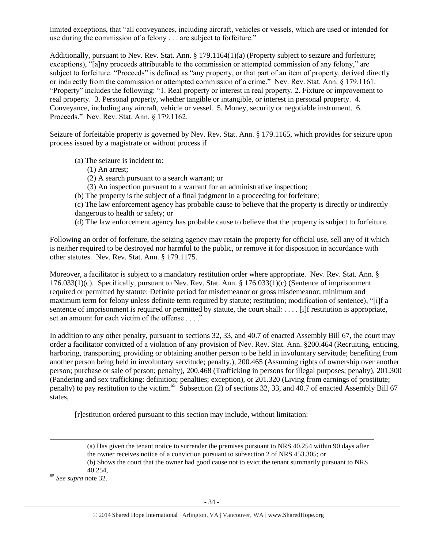limited exceptions, that "all conveyances, including aircraft, vehicles or vessels, which are used or intended for use during the commission of a felony . . . are subject to forfeiture."

Additionally, pursuant to Nev. Rev. Stat. Ann. § 179.1164(1)(a) (Property subject to seizure and forfeiture; exceptions), "[a]ny proceeds attributable to the commission or attempted commission of any felony," are subject to forfeiture. "Proceeds" is defined as "any property, or that part of an item of property, derived directly or indirectly from the commission or attempted commission of a crime." Nev. Rev. Stat. Ann. § 179.1161. "Property" includes the following: "1. Real property or interest in real property. 2. Fixture or improvement to real property. 3. Personal property, whether tangible or intangible, or interest in personal property. 4. Conveyance, including any aircraft, vehicle or vessel. 5. Money, security or negotiable instrument. 6. Proceeds." Nev. Rev. Stat. Ann. § 179.1162.

Seizure of forfeitable property is governed by Nev. Rev. Stat. Ann. § 179.1165, which provides for seizure upon process issued by a magistrate or without process if

- (a) The seizure is incident to:
	- (1) An arrest;
	- (2) A search pursuant to a search warrant; or
	- (3) An inspection pursuant to a warrant for an administrative inspection;
- (b) The property is the subject of a final judgment in a proceeding for forfeiture;

(c) The law enforcement agency has probable cause to believe that the property is directly or indirectly dangerous to health or safety; or

(d) The law enforcement agency has probable cause to believe that the property is subject to forfeiture.

Following an order of forfeiture, the seizing agency may retain the property for official use, sell any of it which is neither required to be destroyed nor harmful to the public, or remove it for disposition in accordance with other statutes. Nev. Rev. Stat. Ann. § 179.1175.

Moreover, a facilitator is subject to a mandatory restitution order where appropriate. Nev. Rev. Stat. Ann. § 176.033(1)(c). Specifically, pursuant to Nev. Rev. Stat. Ann. § 176.033(1)(c) (Sentence of imprisonment required or permitted by statute: Definite period for misdemeanor or gross misdemeanor; minimum and maximum term for felony unless definite term required by statute; restitution; modification of sentence), "[i]f a sentence of imprisonment is required or permitted by statute, the court shall: . . . . [i]f restitution is appropriate, set an amount for each victim of the offense . . . ."

In addition to any other penalty, pursuant to sections 32, 33, and 40.7 of enacted Assembly Bill 67, the court may order a facilitator convicted of a violation of any provision of Nev. Rev. Stat. Ann. §200.464 (Recruiting, enticing, harboring, transporting, providing or obtaining another person to be held in involuntary servitude; benefiting from another person being held in involuntary servitude; penalty.), 200.465 (Assuming rights of ownership over another person; purchase or sale of person; penalty), 200.468 (Trafficking in persons for illegal purposes; penalty), 201.300 (Pandering and sex trafficking: definition; penalties; exception), or 201.320 (Living from earnings of prostitute; penalty) to pay restitution to the victim.<sup>65</sup> Subsection (2) of sections 32, 33, and 40.7 of enacted Assembly Bill 67 states,

[r]estitution ordered pursuant to this section may include, without limitation:

40.254,

<sup>65</sup> *See supra* note [32.](#page-14-0)

 $\overline{a}$ 

<sup>(</sup>a) Has given the tenant notice to surrender the premises pursuant to NRS 40.254 within 90 days after the owner receives notice of a conviction pursuant to subsection 2 of NRS 453.305; or

<sup>(</sup>b) Shows the court that the owner had good cause not to evict the tenant summarily pursuant to NRS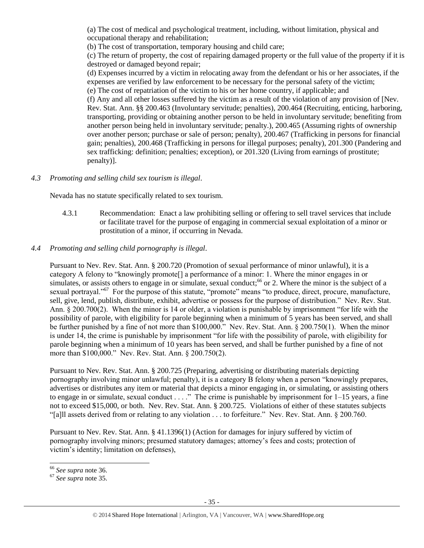(a) The cost of medical and psychological treatment, including, without limitation, physical and occupational therapy and rehabilitation;

(b) The cost of transportation, temporary housing and child care;

(c) The return of property, the cost of repairing damaged property or the full value of the property if it is destroyed or damaged beyond repair;

(d) Expenses incurred by a victim in relocating away from the defendant or his or her associates, if the expenses are verified by law enforcement to be necessary for the personal safety of the victim; (e) The cost of repatriation of the victim to his or her home country, if applicable; and

(f) Any and all other losses suffered by the victim as a result of the violation of any provision of [Nev. Rev. Stat. Ann. §§ 200.463 (Involuntary servitude; penalties), 200.464 (Recruiting, enticing, harboring, transporting, providing or obtaining another person to be held in involuntary servitude; benefiting from another person being held in involuntary servitude; penalty.), 200.465 (Assuming rights of ownership over another person; purchase or sale of person; penalty), 200.467 (Trafficking in persons for financial gain; penalties), 200.468 (Trafficking in persons for illegal purposes; penalty), 201.300 (Pandering and sex trafficking: definition; penalties; exception), or 201.320 (Living from earnings of prostitute; penalty)].

## *4.3 Promoting and selling child sex tourism is illegal*.

Nevada has no statute specifically related to sex tourism.

4.3.1 Recommendation: Enact a law prohibiting selling or offering to sell travel services that include or facilitate travel for the purpose of engaging in commercial sexual exploitation of a minor or prostitution of a minor, if occurring in Nevada.

## *4.4 Promoting and selling child pornography is illegal*.

Pursuant to Nev. Rev. Stat. Ann. § 200.720 (Promotion of sexual performance of minor unlawful), it is a category A felony to "knowingly promote[] a performance of a minor: 1. Where the minor engages in or simulates, or assists others to engage in or simulate, sexual conduct;  $^{66}$  or 2. Where the minor is the subject of a sexual portrayal."<sup>67</sup> For the purpose of this statute, "promote" means "to produce, direct, procure, manufacture, sell, give, lend, publish, distribute, exhibit, advertise or possess for the purpose of distribution." Nev. Rev. Stat. Ann. § 200.700(2). When the minor is 14 or older, a violation is punishable by imprisonment "for life with the possibility of parole, with eligibility for parole beginning when a minimum of 5 years has been served, and shall be further punished by a fine of not more than \$100,000." Nev. Rev. Stat. Ann. § 200.750(1). When the minor is under 14, the crime is punishable by imprisonment "for life with the possibility of parole, with eligibility for parole beginning when a minimum of 10 years has been served, and shall be further punished by a fine of not more than \$100,000." Nev. Rev. Stat. Ann. § 200.750(2).

Pursuant to Nev. Rev. Stat. Ann. § 200.725 (Preparing, advertising or distributing materials depicting pornography involving minor unlawful; penalty), it is a category B felony when a person "knowingly prepares, advertises or distributes any item or material that depicts a minor engaging in, or simulating, or assisting others to engage in or simulate, sexual conduct . . . ." The crime is punishable by imprisonment for 1–15 years, a fine not to exceed \$15,000, or both. Nev. Rev. Stat. Ann. § 200.725. Violations of either of these statutes subjects "[a]ll assets derived from or relating to any violation . . . to forfeiture." Nev. Rev. Stat. Ann. § 200.760.

Pursuant to Nev. Rev. Stat. Ann. § 41.1396(1) (Action for damages for injury suffered by victim of pornography involving minors; presumed statutory damages; attorney's fees and costs; protection of victim's identity; limitation on defenses),

 $\overline{\phantom{a}}$ <sup>66</sup> *See supra* note [36.](#page-16-0)

<sup>67</sup> *See supra* note [35.](#page-16-1)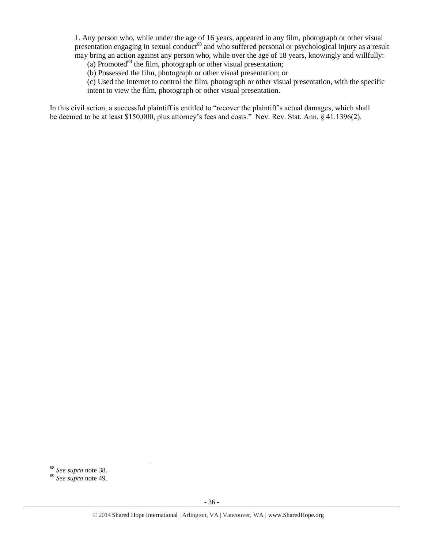1. Any person who, while under the age of 16 years, appeared in any film, photograph or other visual presentation engaging in sexual conduct<sup>68</sup> and who suffered personal or psychological injury as a result may bring an action against any person who, while over the age of 18 years, knowingly and willfully:

(a) Promoted<sup>69</sup> the film, photograph or other visual presentation;

(b) Possessed the film, photograph or other visual presentation; or

(c) Used the Internet to control the film, photograph or other visual presentation, with the specific intent to view the film, photograph or other visual presentation.

In this civil action, a successful plaintiff is entitled to "recover the plaintiff's actual damages, which shall be deemed to be at least \$150,000, plus attorney's fees and costs." Nev. Rev. Stat. Ann. § 41.1396(2).

 $\overline{a}$ 

<sup>68</sup> *See supra* note [38.](#page-17-0)

<sup>69</sup> *See supra* note [49.](#page-23-0)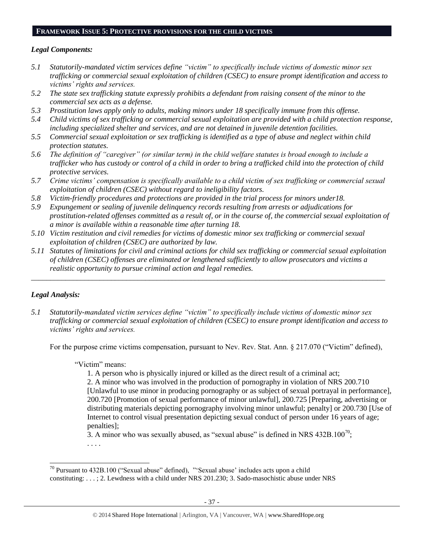### **FRAMEWORK ISSUE 5: PROTECTIVE PROVISIONS FOR THE CHILD VICTIMS**

### *Legal Components:*

- *5.1 Statutorily-mandated victim services define "victim" to specifically include victims of domestic minor sex trafficking or commercial sexual exploitation of children (CSEC) to ensure prompt identification and access to victims' rights and services.*
- *5.2 The state sex trafficking statute expressly prohibits a defendant from raising consent of the minor to the commercial sex acts as a defense.*
- *5.3 Prostitution laws apply only to adults, making minors under 18 specifically immune from this offense.*
- *5.4 Child victims of sex trafficking or commercial sexual exploitation are provided with a child protection response, including specialized shelter and services, and are not detained in juvenile detention facilities.*
- *5.5 Commercial sexual exploitation or sex trafficking is identified as a type of abuse and neglect within child protection statutes.*
- *5.6 The definition of "caregiver" (or similar term) in the child welfare statutes is broad enough to include a trafficker who has custody or control of a child in order to bring a trafficked child into the protection of child protective services.*
- *5.7 Crime victims' compensation is specifically available to a child victim of sex trafficking or commercial sexual exploitation of children (CSEC) without regard to ineligibility factors.*
- *5.8 Victim-friendly procedures and protections are provided in the trial process for minors under18.*
- *5.9 Expungement or sealing of juvenile delinquency records resulting from arrests or adjudications for prostitution-related offenses committed as a result of, or in the course of, the commercial sexual exploitation of a minor is available within a reasonable time after turning 18.*
- *5.10 Victim restitution and civil remedies for victims of domestic minor sex trafficking or commercial sexual exploitation of children (CSEC) are authorized by law.*
- *5.11 Statutes of limitations for civil and criminal actions for child sex trafficking or commercial sexual exploitation of children (CSEC) offenses are eliminated or lengthened sufficiently to allow prosecutors and victims a realistic opportunity to pursue criminal action and legal remedies.*

*\_\_\_\_\_\_\_\_\_\_\_\_\_\_\_\_\_\_\_\_\_\_\_\_\_\_\_\_\_\_\_\_\_\_\_\_\_\_\_\_\_\_\_\_\_\_\_\_\_\_\_\_\_\_\_\_\_\_\_\_\_\_\_\_\_\_\_\_\_\_\_\_\_\_\_\_\_\_\_\_\_\_\_\_\_\_\_\_\_\_\_\_\_*

### *Legal Analysis:*

 $\overline{a}$ 

*5.1 Statutorily-mandated victim services define "victim" to specifically include victims of domestic minor sex trafficking or commercial sexual exploitation of children (CSEC) to ensure prompt identification and access to victims' rights and services.*

For the purpose crime victims compensation, pursuant to Nev. Rev. Stat. Ann. § 217.070 ("Victim" defined),

#### "Victim" means:

1. A person who is physically injured or killed as the direct result of a criminal act;

2. A minor who was involved in the production of pornography in violation of NRS 200.710 [Unlawful to use minor in producing pornography or as subject of sexual portrayal in performance], 200.720 [Promotion of sexual performance of minor unlawful], 200.725 [Preparing, advertising or distributing materials depicting pornography involving minor unlawful; penalty] or 200.730 [Use of Internet to control visual presentation depicting sexual conduct of person under 16 years of age; penalties];

3. A minor who was sexually abused, as "sexual abuse" is defined in NRS  $432B.100^{70}$ ;

<span id="page-36-0"></span>. . . .

 $70$  Pursuant to 432B.100 ("Sexual abuse" defined), "'Sexual abuse' includes acts upon a child constituting: . . . ; 2. Lewdness with a child under NRS 201.230; 3. Sado-masochistic abuse under NRS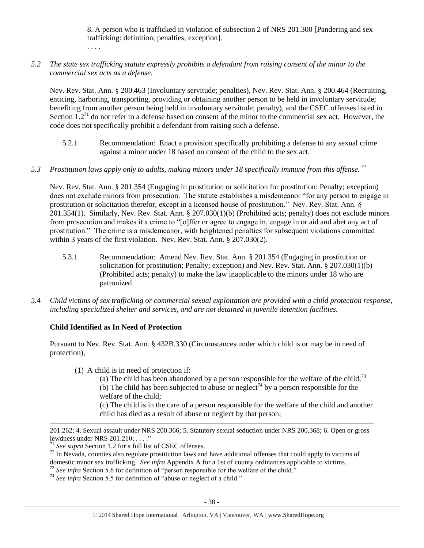8. A person who is trafficked in violation of subsection 2 of NRS 201.300 [Pandering and sex trafficking: definition; penalties; exception].

. . . .

*5.2 The state sex trafficking statute expressly prohibits a defendant from raising consent of the minor to the commercial sex acts as a defense.*

Nev. Rev. Stat. Ann. § 200.463 (Involuntary servitude; penalties), Nev. Rev. Stat. Ann. § 200.464 (Recruiting, enticing, harboring, transporting, providing or obtaining another person to be held in involuntary servitude; benefiting from another person being held in involuntary servitude; penalty), and the CSEC offenses listed in Section  $1.2<sup>71</sup>$  do not refer to a defense based on consent of the minor to the commercial sex act. However, the code does not specifically prohibit a defendant from raising such a defense.

- 5.2.1 Recommendation: Enact a provision specifically prohibiting a defense to any sexual crime against a minor under 18 based on consent of the child to the sex act.
- *5.3 Prostitution laws apply only to adults, making minors under 18 specifically immune from this offense. <sup>72</sup>*

Nev. Rev. Stat. Ann. § 201.354 (Engaging in prostitution or solicitation for prostitution: Penalty; exception) does not exclude minors from prosecution. The statute establishes a misdemeanor "for any person to engage in prostitution or solicitation therefor, except in a licensed house of prostitution." Nev. Rev. Stat. Ann. § 201.354(1). Similarly, Nev. Rev. Stat. Ann. § 207.030(1)(b) (Prohibited acts; penalty) does not exclude minors from prosecution and makes it a crime to "[o]ffer or agree to engage in, engage in or aid and abet any act of prostitution." The crime is a misdemeanor, with heightened penalties for subsequent violations committed within 3 years of the first violation. Nev. Rev. Stat. Ann. § 207.030(2).

- 5.3.1 Recommendation: Amend Nev. Rev. Stat. Ann. § 201.354 (Engaging in prostitution or solicitation for prostitution; Penalty; exception) and Nev. Rev. Stat. Ann. § 207.030(1)(b) (Prohibited acts; penalty) to make the law inapplicable to the minors under 18 who are patronized.
- *5.4 Child victims of sex trafficking or commercial sexual exploitation are provided with a child protection response, including specialized shelter and services, and are not detained in juvenile detention facilities.*

# **Child Identified as In Need of Protection**

Pursuant to Nev. Rev. Stat. Ann. § 432B.330 (Circumstances under which child is or may be in need of protection),

(1) A child is in need of protection if:

(a) The child has been abandoned by a person responsible for the welfare of the child;<sup>73</sup> (b) The child has been subjected to abuse or neglect<sup>74</sup> by a person responsible for the welfare of the child;

(c) The child is in the care of a person responsible for the welfare of the child and another child has died as a result of abuse or neglect by that person;

 $\overline{a}$ 

<sup>73</sup> See infra Section 5.6 for definition of "person responsible for the welfare of the child."

<sup>74</sup> See infra Section 5.5 for definition of "abuse or neglect of a child."

<sup>201.262;</sup> 4. Sexual assault under NRS 200.366; 5. Statutory sexual seduction under NRS 200.368; 6. Open or gross lewdness under NRS 201.210; . . . ."

<sup>71</sup> *See supra* Section 1.2 for a full list of CSEC offenses.

 $72$  In Nevada, counties also regulate prostitution laws and have additional offenses that could apply to victims of domestic minor sex trafficking. *See infra* Appendix A for a list of county ordinances applicable to victims.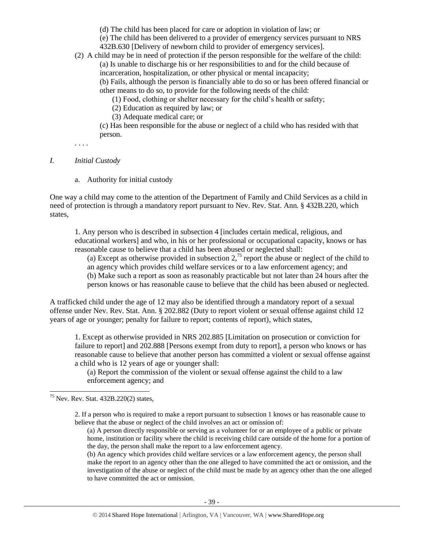(d) The child has been placed for care or adoption in violation of law; or

(e) The child has been delivered to a provider of emergency services pursuant to NRS 432B.630 [Delivery of newborn child to provider of emergency services].

(2) A child may be in need of protection if the person responsible for the welfare of the child: (a) Is unable to discharge his or her responsibilities to and for the child because of incarceration, hospitalization, or other physical or mental incapacity; (b) Fails, although the person is financially able to do so or has been offered financial or other means to do so, to provide for the following needs of the child:

(1) Food, clothing or shelter necessary for the child's health or safety;

- (2) Education as required by law; or
- (3) Adequate medical care; or

(c) Has been responsible for the abuse or neglect of a child who has resided with that person.

. . . .

### *I. Initial Custody*

a. Authority for initial custody

One way a child may come to the attention of the Department of Family and Child Services as a child in need of protection is through a mandatory report pursuant to Nev. Rev. Stat. Ann. § 432B.220, which states,

1. Any person who is described in subsection 4 [includes certain medical, religious, and educational workers] and who, in his or her professional or occupational capacity, knows or has reasonable cause to believe that a child has been abused or neglected shall:

(a) Except as otherwise provided in subsection  $2<sup>75</sup>$  report the abuse or neglect of the child to an agency which provides child welfare services or to a law enforcement agency; and (b) Make such a report as soon as reasonably practicable but not later than 24 hours after the person knows or has reasonable cause to believe that the child has been abused or neglected.

A trafficked child under the age of 12 may also be identified through a mandatory report of a sexual offense under Nev. Rev. Stat. Ann. § 202.882 (Duty to report violent or sexual offense against child 12 years of age or younger; penalty for failure to report; contents of report), which states,

1. Except as otherwise provided in NRS 202.885 [Limitation on prosecution or conviction for failure to report] and 202.888 [Persons exempt from duty to report], a person who knows or has reasonable cause to believe that another person has committed a violent or sexual offense against a child who is 12 years of age or younger shall:

(a) Report the commission of the violent or sexual offense against the child to a law enforcement agency; and

 $\overline{a}$ <sup>75</sup> Nev. Rev. Stat. 432B.220(2) states,

> 2. If a person who is required to make a report pursuant to subsection 1 knows or has reasonable cause to believe that the abuse or neglect of the child involves an act or omission of:

(a) A person directly responsible or serving as a volunteer for or an employee of a public or private home, institution or facility where the child is receiving child care outside of the home for a portion of the day, the person shall make the report to a law enforcement agency.

(b) An agency which provides child welfare services or a law enforcement agency, the person shall make the report to an agency other than the one alleged to have committed the act or omission, and the investigation of the abuse or neglect of the child must be made by an agency other than the one alleged to have committed the act or omission.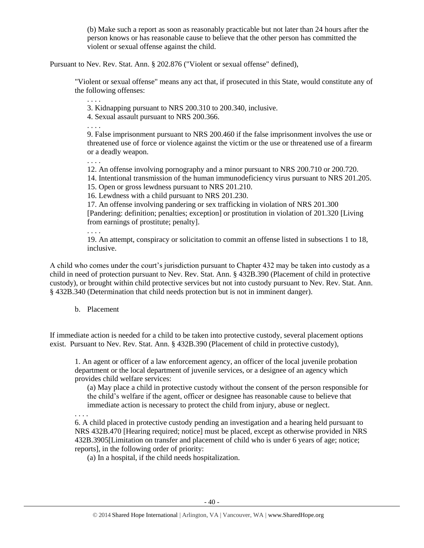(b) Make such a report as soon as reasonably practicable but not later than 24 hours after the person knows or has reasonable cause to believe that the other person has committed the violent or sexual offense against the child.

Pursuant to Nev. Rev. Stat. Ann. § 202.876 ("Violent or sexual offense" defined),

"Violent or sexual offense" means any act that, if prosecuted in this State, would constitute any of the following offenses:

3. Kidnapping pursuant to NRS 200.310 to 200.340, inclusive.

4. Sexual assault pursuant to NRS 200.366.

. . . .

. . . .

9. False imprisonment pursuant to NRS 200.460 if the false imprisonment involves the use or threatened use of force or violence against the victim or the use or threatened use of a firearm or a deadly weapon.

. . . .

12. An offense involving pornography and a minor pursuant to NRS 200.710 or 200.720.

14. Intentional transmission of the human immunodeficiency virus pursuant to NRS 201.205.

15. Open or gross lewdness pursuant to NRS 201.210.

16. Lewdness with a child pursuant to NRS 201.230.

17. An offense involving pandering or sex trafficking in violation of NRS 201.300 [Pandering: definition; penalties; exception] or prostitution in violation of 201.320 [Living from earnings of prostitute; penalty].

. . . .

19. An attempt, conspiracy or solicitation to commit an offense listed in subsections 1 to 18, inclusive.

A child who comes under the court's jurisdiction pursuant to Chapter 432 may be taken into custody as a child in need of protection pursuant to Nev. Rev. Stat. Ann. § 432B.390 (Placement of child in protective custody), or brought within child protective services but not into custody pursuant to Nev. Rev. Stat. Ann. § 432B.340 (Determination that child needs protection but is not in imminent danger).

### b. Placement

If immediate action is needed for a child to be taken into protective custody, several placement options exist. Pursuant to Nev. Rev. Stat. Ann. § 432B.390 (Placement of child in protective custody),

1. An agent or officer of a law enforcement agency, an officer of the local juvenile probation department or the local department of juvenile services, or a designee of an agency which provides child welfare services:

(a) May place a child in protective custody without the consent of the person responsible for the child's welfare if the agent, officer or designee has reasonable cause to believe that immediate action is necessary to protect the child from injury, abuse or neglect.

. . . .

6. A child placed in protective custody pending an investigation and a hearing held pursuant to NRS 432B.470 [Hearing required; notice] must be placed, except as otherwise provided in NRS 432B.3905[Limitation on transfer and placement of child who is under 6 years of age; notice; reports], in the following order of priority:

(a) In a hospital, if the child needs hospitalization.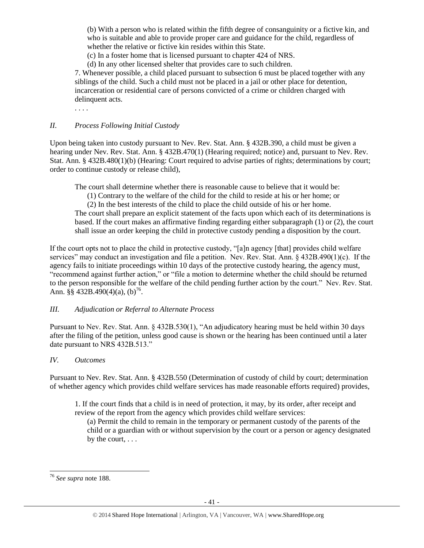(b) With a person who is related within the fifth degree of consanguinity or a fictive kin, and who is suitable and able to provide proper care and guidance for the child, regardless of whether the relative or fictive kin resides within this State.

(c) In a foster home that is licensed pursuant to chapter 424 of NRS.

(d) In any other licensed shelter that provides care to such children.

7. Whenever possible, a child placed pursuant to subsection 6 must be placed together with any siblings of the child. Such a child must not be placed in a jail or other place for detention, incarceration or residential care of persons convicted of a crime or children charged with delinquent acts.

. . . .

## *II. Process Following Initial Custody*

Upon being taken into custody pursuant to Nev. Rev. Stat. Ann. § 432B.390, a child must be given a hearing under Nev. Rev. Stat. Ann. § 432B.470(1) (Hearing required; notice) and, pursuant to Nev. Rev. Stat. Ann. § 432B.480(1)(b) (Hearing: Court required to advise parties of rights; determinations by court; order to continue custody or release child),

The court shall determine whether there is reasonable cause to believe that it would be:

(1) Contrary to the welfare of the child for the child to reside at his or her home; or

(2) In the best interests of the child to place the child outside of his or her home.

The court shall prepare an explicit statement of the facts upon which each of its determinations is based. If the court makes an affirmative finding regarding either subparagraph (1) or (2), the court shall issue an order keeping the child in protective custody pending a disposition by the court.

If the court opts not to place the child in protective custody, "[a]n agency [that] provides child welfare services" may conduct an investigation and file a petition. Nev. Rev. Stat. Ann. § 432B.490(1)(c). If the agency fails to initiate proceedings within 10 days of the protective custody hearing, the agency must, "recommend against further action," or "file a motion to determine whether the child should be returned to the person responsible for the welfare of the child pending further action by the court." Nev. Rev. Stat. Ann.  $\S$ § 432B.490(4)(a), (b)<sup>76</sup>.

# *III. Adjudication or Referral to Alternate Process*

Pursuant to Nev. Rev. Stat. Ann. § 432B.530(1), "An adjudicatory hearing must be held within 30 days after the filing of the petition, unless good cause is shown or the hearing has been continued until a later date pursuant to NRS 432B.513."

# *IV. Outcomes*

Pursuant to Nev. Rev. Stat. Ann. § 432B.550 (Determination of custody of child by court; determination of whether agency which provides child welfare services has made reasonable efforts required) provides,

1. If the court finds that a child is in need of protection, it may, by its order, after receipt and review of the report from the agency which provides child welfare services:

(a) Permit the child to remain in the temporary or permanent custody of the parents of the child or a guardian with or without supervision by the court or a person or agency designated by the court, . . .

<sup>76</sup> *See supra* note 188.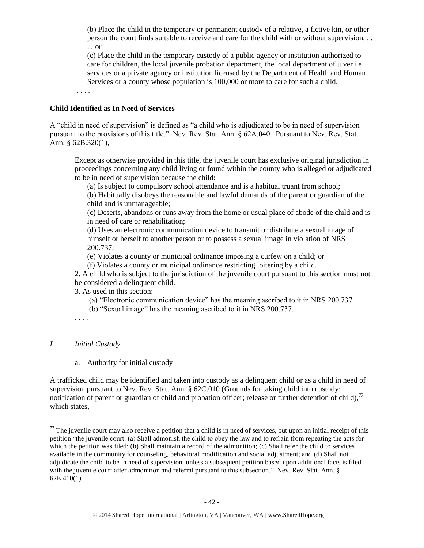(b) Place the child in the temporary or permanent custody of a relative, a fictive kin, or other person the court finds suitable to receive and care for the child with or without supervision, . . . ; or

(c) Place the child in the temporary custody of a public agency or institution authorized to care for children, the local juvenile probation department, the local department of juvenile services or a private agency or institution licensed by the Department of Health and Human Services or a county whose population is 100,000 or more to care for such a child.

. . . .

### **Child Identified as In Need of Services**

A "child in need of supervision" is defined as "a child who is adjudicated to be in need of supervision pursuant to the provisions of this title." Nev. Rev. Stat. Ann. § 62A.040. Pursuant to Nev. Rev. Stat. Ann. § 62B.320(1),

Except as otherwise provided in this title, the juvenile court has exclusive original jurisdiction in proceedings concerning any child living or found within the county who is alleged or adjudicated to be in need of supervision because the child:

(a) Is subject to compulsory school attendance and is a habitual truant from school;

(b) Habitually disobeys the reasonable and lawful demands of the parent or guardian of the child and is unmanageable;

(c) Deserts, abandons or runs away from the home or usual place of abode of the child and is in need of care or rehabilitation;

(d) Uses an electronic communication device to transmit or distribute a sexual image of himself or herself to another person or to possess a sexual image in violation of NRS 200.737;

(e) Violates a county or municipal ordinance imposing a curfew on a child; or

(f) Violates a county or municipal ordinance restricting loitering by a child.

2. A child who is subject to the jurisdiction of the juvenile court pursuant to this section must not be considered a delinquent child.

3. As used in this section:

(a) "Electronic communication device" has the meaning ascribed to it in NRS 200.737.

- (b) "Sexual image" has the meaning ascribed to it in NRS 200.737.
- . . . .

# *I. Initial Custody*

 $\overline{a}$ 

a. Authority for initial custody

A trafficked child may be identified and taken into custody as a delinquent child or as a child in need of supervision pursuant to Nev. Rev. Stat. Ann. § 62C.010 (Grounds for taking child into custody; notification of parent or guardian of child and probation officer; release or further detention of child),  $^{77}$ which states,

 $77$  The juvenile court may also receive a petition that a child is in need of services, but upon an initial receipt of this petition "the juvenile court: (a) Shall admonish the child to obey the law and to refrain from repeating the acts for which the petition was filed; (b) Shall maintain a record of the admonition; (c) Shall refer the child to services available in the community for counseling, behavioral modification and social adjustment; and (d) Shall not adjudicate the child to be in need of supervision, unless a subsequent petition based upon additional facts is filed with the juvenile court after admonition and referral pursuant to this subsection." Nev. Rev. Stat. Ann. § 62E.410(1).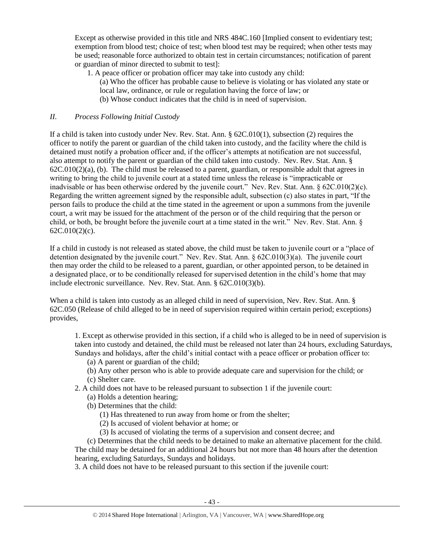Except as otherwise provided in this title and NRS 484C.160 [Implied consent to evidentiary test; exemption from blood test; choice of test; when blood test may be required; when other tests may be used; reasonable force authorized to obtain test in certain circumstances; notification of parent or guardian of minor directed to submit to test]:

- 1. A peace officer or probation officer may take into custody any child:
	- (a) Who the officer has probable cause to believe is violating or has violated any state or
	- local law, ordinance, or rule or regulation having the force of law; or
	- (b) Whose conduct indicates that the child is in need of supervision.

## *II. Process Following Initial Custody*

If a child is taken into custody under Nev. Rev. Stat. Ann. § 62C.010(1), subsection (2) requires the officer to notify the parent or guardian of the child taken into custody, and the facility where the child is detained must notify a probation officer and, if the officer's attempts at notification are not successful, also attempt to notify the parent or guardian of the child taken into custody. Nev. Rev. Stat. Ann. §  $62C.010(2)(a)$ , (b). The child must be released to a parent, guardian, or responsible adult that agrees in writing to bring the child to juvenile court at a stated time unless the release is "impracticable or inadvisable or has been otherwise ordered by the juvenile court." Nev. Rev. Stat. Ann. § 62C.010(2)(c). Regarding the written agreement signed by the responsible adult, subsection (c) also states in part, "If the person fails to produce the child at the time stated in the agreement or upon a summons from the juvenile court, a writ may be issued for the attachment of the person or of the child requiring that the person or child, or both, be brought before the juvenile court at a time stated in the writ." Nev. Rev. Stat. Ann. §  $62C.010(2)(c)$ .

If a child in custody is not released as stated above, the child must be taken to juvenile court or a "place of detention designated by the juvenile court." Nev. Rev. Stat. Ann. § 62C.010(3)(a). The juvenile court then may order the child to be released to a parent, guardian, or other appointed person, to be detained in a designated place, or to be conditionally released for supervised detention in the child's home that may include electronic surveillance. Nev. Rev. Stat. Ann. § 62C.010(3)(b).

When a child is taken into custody as an alleged child in need of supervision, Nev. Rev. Stat. Ann. § 62C.050 (Release of child alleged to be in need of supervision required within certain period; exceptions) provides,

1. Except as otherwise provided in this section, if a child who is alleged to be in need of supervision is taken into custody and detained, the child must be released not later than 24 hours, excluding Saturdays, Sundays and holidays, after the child's initial contact with a peace officer or probation officer to:

- (a) A parent or guardian of the child;
- (b) Any other person who is able to provide adequate care and supervision for the child; or (c) Shelter care.
- 2. A child does not have to be released pursuant to subsection 1 if the juvenile court:
	- (a) Holds a detention hearing;
	- (b) Determines that the child:
		- (1) Has threatened to run away from home or from the shelter;
		- (2) Is accused of violent behavior at home; or
		- (3) Is accused of violating the terms of a supervision and consent decree; and

(c) Determines that the child needs to be detained to make an alternative placement for the child. The child may be detained for an additional 24 hours but not more than 48 hours after the detention hearing, excluding Saturdays, Sundays and holidays.

3. A child does not have to be released pursuant to this section if the juvenile court: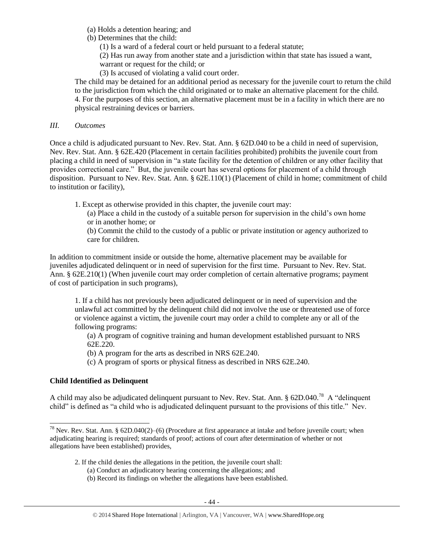- (a) Holds a detention hearing; and
- (b) Determines that the child:
	- (1) Is a ward of a federal court or held pursuant to a federal statute;

(2) Has run away from another state and a jurisdiction within that state has issued a want, warrant or request for the child; or

(3) Is accused of violating a valid court order.

The child may be detained for an additional period as necessary for the juvenile court to return the child to the jurisdiction from which the child originated or to make an alternative placement for the child. 4. For the purposes of this section, an alternative placement must be in a facility in which there are no physical restraining devices or barriers.

# *III. Outcomes*

Once a child is adjudicated pursuant to Nev. Rev. Stat. Ann. § 62D.040 to be a child in need of supervision, Nev. Rev. Stat. Ann. § 62E.420 (Placement in certain facilities prohibited) prohibits the juvenile court from placing a child in need of supervision in "a state facility for the detention of children or any other facility that provides correctional care." But, the juvenile court has several options for placement of a child through disposition. Pursuant to Nev. Rev. Stat. Ann. § 62E.110(1) (Placement of child in home; commitment of child to institution or facility),

1. Except as otherwise provided in this chapter, the juvenile court may:

(a) Place a child in the custody of a suitable person for supervision in the child's own home or in another home; or

(b) Commit the child to the custody of a public or private institution or agency authorized to care for children.

In addition to commitment inside or outside the home, alternative placement may be available for juveniles adjudicated delinquent or in need of supervision for the first time. Pursuant to Nev. Rev. Stat. Ann. § 62E.210(1) (When juvenile court may order completion of certain alternative programs; payment of cost of participation in such programs),

1. If a child has not previously been adjudicated delinquent or in need of supervision and the unlawful act committed by the delinquent child did not involve the use or threatened use of force or violence against a victim, the juvenile court may order a child to complete any or all of the following programs:

(a) A program of cognitive training and human development established pursuant to NRS 62E.220.

(b) A program for the arts as described in NRS 62E.240.

(c) A program of sports or physical fitness as described in NRS 62E.240.

# **Child Identified as Delinquent**

 $\overline{a}$ 

A child may also be adjudicated delinquent pursuant to Nev. Rev. Stat. Ann.  $\S$  62D.040.<sup>78</sup> A "delinquent" child" is defined as "a child who is adjudicated delinquent pursuant to the provisions of this title." Nev.

<sup>&</sup>lt;sup>78</sup> Nev. Rev. Stat. Ann. § 62D.040(2)–(6) (Procedure at first appearance at intake and before juvenile court; when adjudicating hearing is required; standards of proof; actions of court after determination of whether or not allegations have been established) provides,

<sup>2.</sup> If the child denies the allegations in the petition, the juvenile court shall:

<sup>(</sup>a) Conduct an adjudicatory hearing concerning the allegations; and

<sup>(</sup>b) Record its findings on whether the allegations have been established.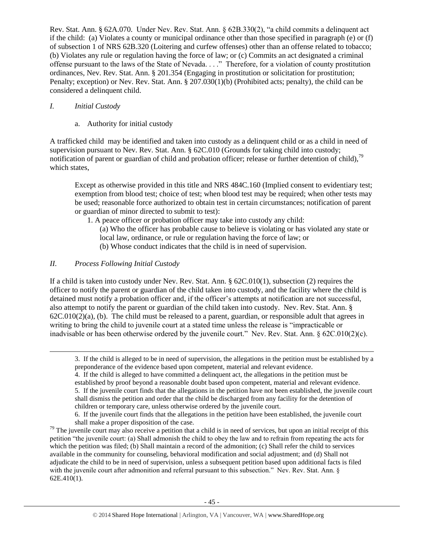Rev. Stat. Ann. § 62A.070. Under Nev. Rev. Stat. Ann. § 62B.330(2), "a child commits a delinquent act if the child: (a) Violates a county or municipal ordinance other than those specified in paragraph (e) or (f) of subsection 1 of NRS 62B.320 (Loitering and curfew offenses) other than an offense related to tobacco; (b) Violates any rule or regulation having the force of law; or (c) Commits an act designated a criminal offense pursuant to the laws of the State of Nevada. . . ." Therefore, for a violation of county prostitution ordinances, Nev. Rev. Stat. Ann. § 201.354 (Engaging in prostitution or solicitation for prostitution; Penalty; exception) or Nev. Rev. Stat. Ann. § 207.030(1)(b) (Prohibited acts; penalty), the child can be considered a delinquent child.

# *I. Initial Custody*

a. Authority for initial custody

A trafficked child may be identified and taken into custody as a delinquent child or as a child in need of supervision pursuant to Nev. Rev. Stat. Ann. § 62C.010 (Grounds for taking child into custody; notification of parent or guardian of child and probation officer; release or further detention of child),<sup>79</sup> which states,

Except as otherwise provided in this title and NRS 484C.160 (Implied consent to evidentiary test; exemption from blood test; choice of test; when blood test may be required; when other tests may be used; reasonable force authorized to obtain test in certain circumstances; notification of parent or guardian of minor directed to submit to test):

1. A peace officer or probation officer may take into custody any child:

(a) Who the officer has probable cause to believe is violating or has violated any state or local law, ordinance, or rule or regulation having the force of law; or

(b) Whose conduct indicates that the child is in need of supervision.

# *II. Process Following Initial Custody*

 $\overline{a}$ 

If a child is taken into custody under Nev. Rev. Stat. Ann. § 62C.010(1), subsection (2) requires the officer to notify the parent or guardian of the child taken into custody, and the facility where the child is detained must notify a probation officer and, if the officer's attempts at notification are not successful, also attempt to notify the parent or guardian of the child taken into custody. Nev. Rev. Stat. Ann. §  $62C.010(2)(a)$ , (b). The child must be released to a parent, guardian, or responsible adult that agrees in writing to bring the child to juvenile court at a stated time unless the release is "impracticable or inadvisable or has been otherwise ordered by the juvenile court." Nev. Rev. Stat. Ann. § 62C.010(2)(c).

<sup>3.</sup> If the child is alleged to be in need of supervision, the allegations in the petition must be established by a preponderance of the evidence based upon competent, material and relevant evidence.

<sup>4.</sup> If the child is alleged to have committed a delinquent act, the allegations in the petition must be established by proof beyond a reasonable doubt based upon competent, material and relevant evidence. 5. If the juvenile court finds that the allegations in the petition have not been established, the juvenile court shall dismiss the petition and order that the child be discharged from any facility for the detention of children or temporary care, unless otherwise ordered by the juvenile court.

<sup>6.</sup> If the juvenile court finds that the allegations in the petition have been established, the juvenile court shall make a proper disposition of the case.

 $79$  The juvenile court may also receive a petition that a child is in need of services, but upon an initial receipt of this petition "the juvenile court: (a) Shall admonish the child to obey the law and to refrain from repeating the acts for which the petition was filed; (b) Shall maintain a record of the admonition; (c) Shall refer the child to services available in the community for counseling, behavioral modification and social adjustment; and (d) Shall not adjudicate the child to be in need of supervision, unless a subsequent petition based upon additional facts is filed with the juvenile court after admonition and referral pursuant to this subsection." Nev. Rev. Stat. Ann. § 62E.410(1).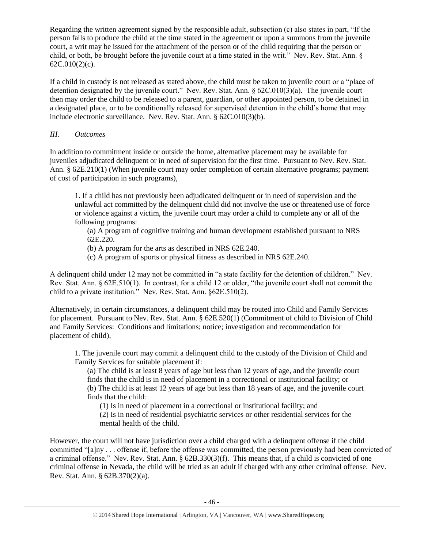Regarding the written agreement signed by the responsible adult, subsection (c) also states in part, "If the person fails to produce the child at the time stated in the agreement or upon a summons from the juvenile court, a writ may be issued for the attachment of the person or of the child requiring that the person or child, or both, be brought before the juvenile court at a time stated in the writ." Nev. Rev. Stat. Ann. § 62C.010(2)(c).

If a child in custody is not released as stated above, the child must be taken to juvenile court or a "place of detention designated by the juvenile court." Nev. Rev. Stat. Ann. § 62C.010(3)(a). The juvenile court then may order the child to be released to a parent, guardian, or other appointed person, to be detained in a designated place, or to be conditionally released for supervised detention in the child's home that may include electronic surveillance. Nev. Rev. Stat. Ann. § 62C.010(3)(b).

# *III. Outcomes*

In addition to commitment inside or outside the home, alternative placement may be available for juveniles adjudicated delinquent or in need of supervision for the first time. Pursuant to Nev. Rev. Stat. Ann. § 62E.210(1) (When juvenile court may order completion of certain alternative programs; payment of cost of participation in such programs),

1. If a child has not previously been adjudicated delinquent or in need of supervision and the unlawful act committed by the delinquent child did not involve the use or threatened use of force or violence against a victim, the juvenile court may order a child to complete any or all of the following programs:

(a) A program of cognitive training and human development established pursuant to NRS 62E.220.

- (b) A program for the arts as described in NRS 62E.240.
- (c) A program of sports or physical fitness as described in NRS 62E.240.

A delinquent child under 12 may not be committed in "a state facility for the detention of children." Nev. Rev. Stat. Ann. § 62E.510(1). In contrast, for a child 12 or older, "the juvenile court shall not commit the child to a private institution." Nev. Rev. Stat. Ann. §62E.510(2).

Alternatively, in certain circumstances, a delinquent child may be routed into Child and Family Services for placement. Pursuant to Nev. Rev. Stat. Ann. § 62E.520(1) (Commitment of child to Division of Child and Family Services: Conditions and limitations; notice; investigation and recommendation for placement of child),

1. The juvenile court may commit a delinquent child to the custody of the Division of Child and Family Services for suitable placement if:

(a) The child is at least 8 years of age but less than 12 years of age, and the juvenile court finds that the child is in need of placement in a correctional or institutional facility; or (b) The child is at least 12 years of age but less than 18 years of age, and the juvenile court finds that the child:

(1) Is in need of placement in a correctional or institutional facility; and

(2) Is in need of residential psychiatric services or other residential services for the mental health of the child.

However, the court will not have jurisdiction over a child charged with a delinquent offense if the child committed "[a]ny . . . offense if, before the offense was committed, the person previously had been convicted of a criminal offense." Nev. Rev. Stat. Ann. § 62B.330(3)(f). This means that, if a child is convicted of one criminal offense in Nevada, the child will be tried as an adult if charged with any other criminal offense. Nev. Rev. Stat. Ann. § 62B.370(2)(a).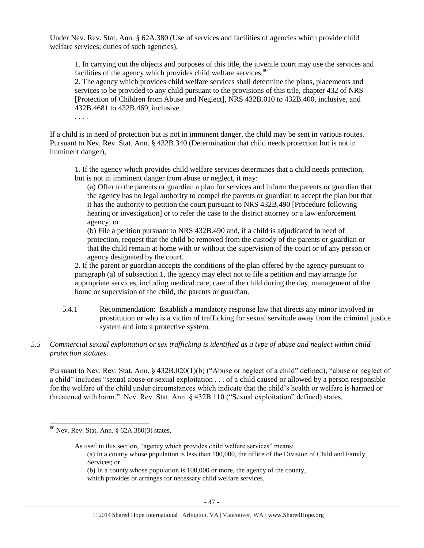Under Nev. Rev. Stat. Ann. § 62A.380 (Use of services and facilities of agencies which provide child welfare services; duties of such agencies),

1. In carrying out the objects and purposes of this title, the juvenile court may use the services and facilities of the agency which provides child welfare services. $80$ 

2. The agency which provides child welfare services shall determine the plans, placements and services to be provided to any child pursuant to the provisions of this title, chapter 432 of NRS [Protection of Children from Abuse and Neglect], [NRS 432B.010 to 432B.400,](http://www.lexis.com/research/buttonTFLink?_m=8a21016562be8eb03184639f903d32d3&_xfercite=%3ccite%20cc%3d%22USA%22%3e%3c%21%5bCDATA%5bNev.%20Rev.%20Stat.%20Ann.%20%a7%2062A.380%5d%5d%3e%3c%2fcite%3e&_butType=4&_butStat=0&_butNum=3&_butInline=1&_butinfo=NVCODE%20432B.010&_fmtstr=FULL&docnum=1&_startdoc=1&wchp=dGLbVzt-zSkAb&_md5=7c9233f5dd35e9e55bf99dd7400b7ad0) inclusive, and 432B.4681 to 432B.469, inclusive.

. . . .

If a child is in need of protection but is not in imminent danger, the child may be sent in various routes. Pursuant to Nev. Rev. Stat. Ann. § 432B.340 (Determination that child needs protection but is not in imminent danger),

1. If the agency which provides child welfare services determines that a child needs protection, but is not in imminent danger from abuse or neglect, it may:

(a) Offer to the parents or guardian a plan for services and inform the parents or guardian that the agency has no legal authority to compel the parents or guardian to accept the plan but that it has the authority to petition the court pursuant to NRS 432B.490 [Procedure following hearing or investigation] or to refer the case to the district attorney or a law enforcement agency; or

(b) File a petition pursuant to NRS 432B.490 and, if a child is adjudicated in need of protection, request that the child be removed from the custody of the parents or guardian or that the child remain at home with or without the supervision of the court or of any person or agency designated by the court.

2. If the parent or guardian accepts the conditions of the plan offered by the agency pursuant to paragraph (a) of subsection 1, the agency may elect not to file a petition and may arrange for appropriate services, including medical care, care of the child during the day, management of the home or supervision of the child, the parents or guardian.

- 5.4.1 Recommendation: Establish a mandatory response law that directs any minor involved in prostitution or who is a victim of trafficking for sexual servitude away from the criminal justice system and into a protective system.
- *5.5 Commercial sexual exploitation or sex trafficking is identified as a type of abuse and neglect within child protection statutes.*

Pursuant to Nev. Rev. Stat. Ann. § 432B.020(1)(b) ("Abuse or neglect of a child" defined), "abuse or neglect of a child" includes "sexual abuse or sexual exploitation . . . of a child caused or allowed by a person responsible for the welfare of the child under circumstances which indicate that the child's health or welfare is harmed or threatened with harm." Nev. Rev. Stat. Ann. § 432B.110 ("Sexual exploitation" defined) states,

<sup>80</sup> Nev. Rev. Stat. Ann. § 62A.380(3) states,

As used in this section, "agency which provides child welfare services" means:

<sup>(</sup>a) In a county whose population is less than 100,000, the office of the Division of Child and Family Services; or

<sup>(</sup>b) In a county whose population is 100,000 or more, the agency of the county,

which provides or arranges for necessary child welfare services.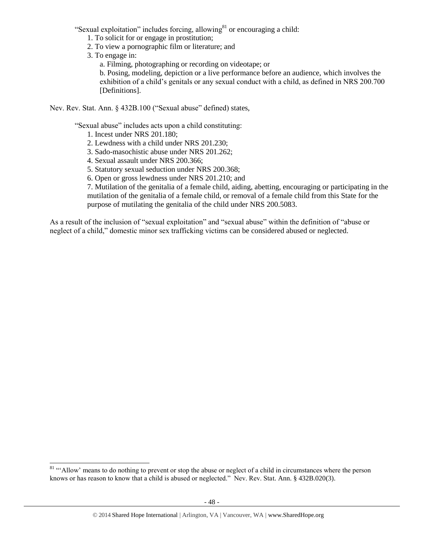"Sexual exploitation" includes forcing, allowing<sup>81</sup> or encouraging a child:

- 1. To solicit for or engage in prostitution;
- 2. To view a pornographic film or literature; and
- 3. To engage in:

 $\overline{a}$ 

a. Filming, photographing or recording on videotape; or

b. Posing, modeling, depiction or a live performance before an audience, which involves the exhibition of a child's genitals or any sexual conduct with a child, as defined in NRS 200.700 [Definitions].

Nev. Rev. Stat. Ann. § 432B.100 ("Sexual abuse" defined) states,

"Sexual abuse" includes acts upon a child constituting:

- 1. Incest under [NRS 201.180;](https://www.lexis.com/research/buttonTFLink?_m=fe0e253fef8054e6df958287d1c2023f&_xfercite=%3ccite%20cc%3d%22USA%22%3e%3c%21%5bCDATA%5bNev.%20Rev.%20Stat.%20Ann.%20%a7%20432B.100%5d%5d%3e%3c%2fcite%3e&_butType=4&_butStat=0&_butNum=7&_butInline=1&_butinfo=NVCODE%20201.180&_fmtstr=FULL&docnum=1&_startdoc=1&wchp=dGLbVzk-zSkAl&_md5=521de425ee50a2f38dc31926d7407ef4)
- 2. Lewdness with a child under [NRS 201.230;](https://www.lexis.com/research/buttonTFLink?_m=fe0e253fef8054e6df958287d1c2023f&_xfercite=%3ccite%20cc%3d%22USA%22%3e%3c%21%5bCDATA%5bNev.%20Rev.%20Stat.%20Ann.%20%a7%20432B.100%5d%5d%3e%3c%2fcite%3e&_butType=4&_butStat=0&_butNum=8&_butInline=1&_butinfo=NVCODE%20201.230&_fmtstr=FULL&docnum=1&_startdoc=1&wchp=dGLbVzk-zSkAl&_md5=b8e636b13f6ac9e4dfce2c0a4046c5db)
- 3. Sado-masochistic abuse under [NRS 201.262;](https://www.lexis.com/research/buttonTFLink?_m=fe0e253fef8054e6df958287d1c2023f&_xfercite=%3ccite%20cc%3d%22USA%22%3e%3c%21%5bCDATA%5bNev.%20Rev.%20Stat.%20Ann.%20%a7%20432B.100%5d%5d%3e%3c%2fcite%3e&_butType=4&_butStat=0&_butNum=9&_butInline=1&_butinfo=NVCODE%20201.262&_fmtstr=FULL&docnum=1&_startdoc=1&wchp=dGLbVzk-zSkAl&_md5=9bae698f6a96442b570787a5a23920e1)
- 4. Sexual assault under [NRS 200.366;](https://www.lexis.com/research/buttonTFLink?_m=fe0e253fef8054e6df958287d1c2023f&_xfercite=%3ccite%20cc%3d%22USA%22%3e%3c%21%5bCDATA%5bNev.%20Rev.%20Stat.%20Ann.%20%a7%20432B.100%5d%5d%3e%3c%2fcite%3e&_butType=4&_butStat=0&_butNum=10&_butInline=1&_butinfo=NVCODE%20200.366&_fmtstr=FULL&docnum=1&_startdoc=1&wchp=dGLbVzk-zSkAl&_md5=87e677fd2e973e9d2743de8b37355866)
- 5. Statutory sexual seduction under [NRS 200.368;](https://www.lexis.com/research/buttonTFLink?_m=fe0e253fef8054e6df958287d1c2023f&_xfercite=%3ccite%20cc%3d%22USA%22%3e%3c%21%5bCDATA%5bNev.%20Rev.%20Stat.%20Ann.%20%a7%20432B.100%5d%5d%3e%3c%2fcite%3e&_butType=4&_butStat=0&_butNum=11&_butInline=1&_butinfo=NVCODE%20200.368&_fmtstr=FULL&docnum=1&_startdoc=1&wchp=dGLbVzk-zSkAl&_md5=166fc503e7368f40e596cfbe8906bbd9)
- 6. Open or gross lewdness under [NRS 201.210;](https://www.lexis.com/research/buttonTFLink?_m=fe0e253fef8054e6df958287d1c2023f&_xfercite=%3ccite%20cc%3d%22USA%22%3e%3c%21%5bCDATA%5bNev.%20Rev.%20Stat.%20Ann.%20%a7%20432B.100%5d%5d%3e%3c%2fcite%3e&_butType=4&_butStat=0&_butNum=12&_butInline=1&_butinfo=NVCODE%20201.210&_fmtstr=FULL&docnum=1&_startdoc=1&wchp=dGLbVzk-zSkAl&_md5=f731e1cbdaa2feb2d0bfeba63eb0368b) and

7. Mutilation of the genitalia of a female child, aiding, abetting, encouraging or participating in the mutilation of the genitalia of a female child, or removal of a female child from this State for the purpose of mutilating the genitalia of the child under [NRS 200.5083.](https://www.lexis.com/research/buttonTFLink?_m=fe0e253fef8054e6df958287d1c2023f&_xfercite=%3ccite%20cc%3d%22USA%22%3e%3c%21%5bCDATA%5bNev.%20Rev.%20Stat.%20Ann.%20%a7%20432B.100%5d%5d%3e%3c%2fcite%3e&_butType=4&_butStat=0&_butNum=13&_butInline=1&_butinfo=NVCODE%20200.5083&_fmtstr=FULL&docnum=1&_startdoc=1&wchp=dGLbVzk-zSkAl&_md5=04f6301ef5e56530c30064465c75f84d)

As a result of the inclusion of "sexual exploitation" and "sexual abuse" within the definition of "abuse or neglect of a child," domestic minor sex trafficking victims can be considered abused or neglected.

<sup>&</sup>lt;sup>81</sup> "Allow' means to do nothing to prevent or stop the abuse or neglect of a child in circumstances where the person knows or has reason to know that a child is abused or neglected." Nev. Rev. Stat. Ann. § 432B.020(3).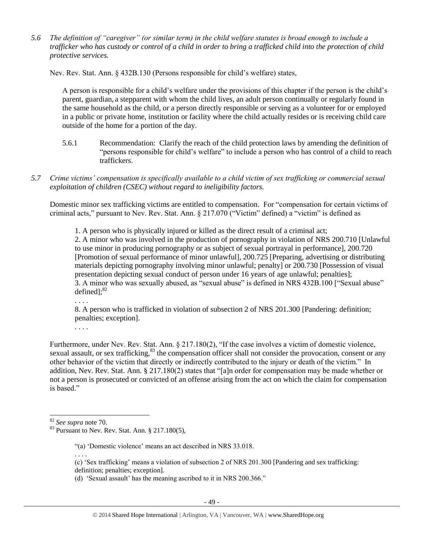*5.6 The definition of "caregiver" (or similar term) in the child welfare statutes is broad enough to include a trafficker who has custody or control of a child in order to bring a trafficked child into the protection of child protective services.*

Nev. Rev. Stat. Ann. § 432B.130 (Persons responsible for child's welfare) states,

A person is responsible for a child's welfare under the provisions of this chapter if the person is the child's parent, guardian, a stepparent with whom the child lives, an adult person continually or regularly found in the same household as the child, or a person directly responsible or serving as a volunteer for or employed in a public or private home, institution or facility where the child actually resides or is receiving child care outside of the home for a portion of the day.

- 5.6.1 Recommendation: Clarify the reach of the child protection laws by amending the definition of "persons responsible for child's welfare" to include a person who has control of a child to reach traffickers.
- *5.7 Crime victims' compensation is specifically available to a child victim of sex trafficking or commercial sexual exploitation of children (CSEC) without regard to ineligibility factors.*

Domestic minor sex trafficking victims are entitled to compensation. For "compensation for certain victims of criminal acts," pursuant to Nev. Rev. Stat. Ann. § 217.070 ("Victim" defined) a "victim" is defined as

1. A person who is physically injured or killed as the direct result of a criminal act;

2. A minor who was involved in the production of pornography in violation of [NRS 200.710](https://www.lexis.com/research/buttonTFLink?_m=f5902906e94dddf97b4cb3a70ffa9d86&_xfercite=%3ccite%20cc%3d%22USA%22%3e%3c%21%5bCDATA%5bNev.%20Rev.%20Stat.%20Ann.%20%a7%20217.070%5d%5d%3e%3c%2fcite%3e&_butType=4&_butStat=0&_butNum=2&_butInline=1&_butinfo=NVCODE%20200.710&_fmtstr=FULL&docnum=1&_startdoc=1&wchp=dGLbVzz-zSkAz&_md5=047fa86c7eef0d1ca5baed8357cd932c) [Unlawful to use minor in producing pornography or as subject of sexual portrayal in performance], 200.720 [Promotion of sexual performance of minor unlawful], 200.725 [Preparing, advertising or distributing materials depicting pornography involving minor unlawful; penalty] or 200.730 [Possession of visual presentation depicting sexual conduct of person under 16 years of age unlawful; penalties]; 3. A minor who was sexually abused, as "sexual abuse" is defined in NRS 432B.100 ["Sexual abuse" defined]; $^{82}$ 

. . . .

8. A person who is trafficked in violation of subsection 2 of NRS 201.300 [Pandering: definition; penalties; exception].

. . . .

Furthermore, under Nev. Rev. Stat. Ann. § 217.180(2), "If the case involves a victim of domestic violence, sexual assault, or sex trafficking,<sup>83</sup> the compensation officer shall not consider the provocation, consent or any other behavior of the victim that directly or indirectly contributed to the injury or death of the victim." In addition, Nev. Rev. Stat. Ann. § 217.180(2) states that "[a]n order for compensation may be made whether or not a person is prosecuted or convicted of an offense arising from the act on which the claim for compensation is based."

. . . .

<sup>82</sup> *See supra* note [70.](#page-36-0)

 $83$  Pursuant to Nev. Rev. Stat. Ann. § 217.180(5),

<sup>&</sup>quot;(a) 'Domestic violence' means an act described in NRS 33.018.

<sup>(</sup>c) 'Sex trafficking' means a violation of subsection 2 of NRS 201.300 [Pandering and sex trafficking: definition; penalties; exception].

<sup>(</sup>d) 'Sexual assault' has the meaning ascribed to it in NRS 200.366."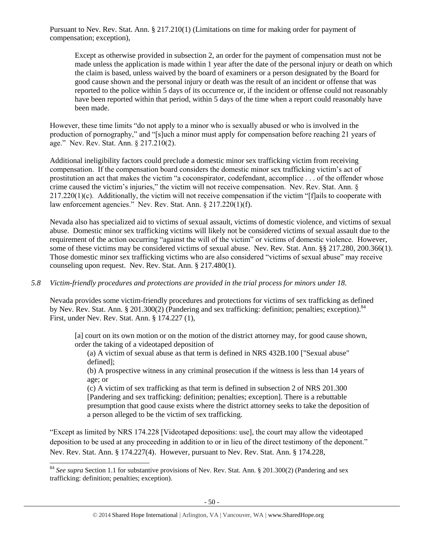Pursuant to Nev. Rev. Stat. Ann. § 217.210(1) (Limitations on time for making order for payment of compensation; exception),

Except as otherwise provided in subsection 2, an order for the payment of compensation must not be made unless the application is made within 1 year after the date of the personal injury or death on which the claim is based, unless waived by the board of examiners or a person designated by the Board for good cause shown and the personal injury or death was the result of an incident or offense that was reported to the police within 5 days of its occurrence or, if the incident or offense could not reasonably have been reported within that period, within 5 days of the time when a report could reasonably have been made.

However, these time limits "do not apply to a minor who is sexually abused or who is involved in the production of pornography," and "[s]uch a minor must apply for compensation before reaching 21 years of age." Nev. Rev. Stat. Ann. § 217.210(2).

Additional ineligibility factors could preclude a domestic minor sex trafficking victim from receiving compensation. If the compensation board considers the domestic minor sex trafficking victim's act of prostitution an act that makes the victim "a coconspirator, codefendant, accomplice . . . of the offender whose crime caused the victim's injuries," the victim will not receive compensation. Nev. Rev. Stat. Ann. § 217.220(1)(c). Additionally, the victim will not receive compensation if the victim "[f]ails to cooperate with law enforcement agencies." Nev. Rev. Stat. Ann. § 217.220(1)(f).

Nevada also has specialized aid to victims of sexual assault, victims of domestic violence, and victims of sexual abuse. Domestic minor sex trafficking victims will likely not be considered victims of sexual assault due to the requirement of the action occurring "against the will of the victim" or victims of domestic violence. However, some of these victims may be considered victims of sexual abuse. Nev. Rev. Stat. Ann. §§ 217.280, 200.366(1). Those domestic minor sex trafficking victims who are also considered "victims of sexual abuse" may receive counseling upon request. Nev. Rev. Stat. Ann. § 217.480(1).

# *5.8 Victim-friendly procedures and protections are provided in the trial process for minors under 18.*

Nevada provides some victim-friendly procedures and protections for victims of sex trafficking as defined by Nev. Rev. Stat. Ann. § 201.300(2) (Pandering and sex trafficking: definition; penalties; exception).<sup>84</sup> First, under Nev. Rev. Stat. Ann. § 174.227 (1),

[a] court on its own motion or on the motion of the district attorney may, for good cause shown, order the taking of a videotaped deposition of

(a) A victim of sexual abuse as that term is defined in NRS 432B.100 ["Sexual abuse" defined];

(b) A prospective witness in any criminal prosecution if the witness is less than 14 years of age; or

(c) A victim of sex trafficking as that term is defined in subsection 2 of NRS 201.300 [Pandering and sex trafficking: definition; penalties; exception]. There is a rebuttable presumption that good cause exists where the district attorney seeks to take the deposition of a person alleged to be the victim of sex trafficking.

"Except as limited by NRS 174.228 [Videotaped depositions: use], the court may allow the videotaped deposition to be used at any proceeding in addition to or in lieu of the direct testimony of the deponent." Nev. Rev. Stat. Ann. § 174.227(4). However, pursuant to Nev. Rev. Stat. Ann. § 174.228,

<sup>84</sup> *See supra* Section 1.1 for substantive provisions of Nev. Rev. Stat. Ann. § 201.300(2) (Pandering and sex trafficking: definition; penalties; exception).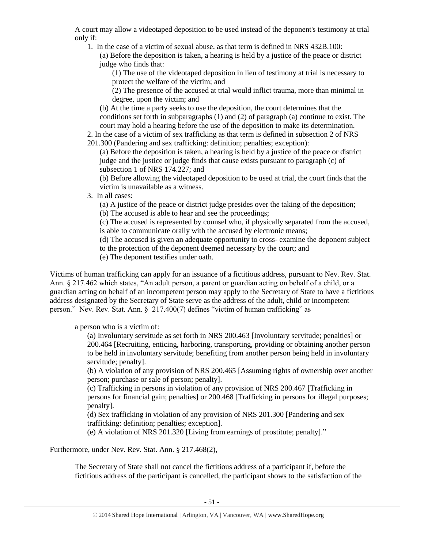A court may allow a videotaped deposition to be used instead of the deponent's testimony at trial only if:

1. In the case of a victim of sexual abuse, as that term is defined in NRS 432B.100: (a) Before the deposition is taken, a hearing is held by a justice of the peace or district judge who finds that:

(1) The use of the videotaped deposition in lieu of testimony at trial is necessary to protect the welfare of the victim; and

(2) The presence of the accused at trial would inflict trauma, more than minimal in degree, upon the victim; and

(b) At the time a party seeks to use the deposition, the court determines that the conditions set forth in subparagraphs (1) and (2) of paragraph (a) continue to exist. The court may hold a hearing before the use of the deposition to make its determination.

2. In the case of a victim of sex trafficking as that term is defined in subsection 2 of NRS 201.300 (Pandering and sex trafficking: definition; penalties; exception):

(a) Before the deposition is taken, a hearing is held by a justice of the peace or district judge and the justice or judge finds that cause exists pursuant to paragraph (c) of subsection 1 of NRS 174.227; and

(b) Before allowing the videotaped deposition to be used at trial, the court finds that the victim is unavailable as a witness.

3. In all cases:

(a) A justice of the peace or district judge presides over the taking of the deposition;

(b) The accused is able to hear and see the proceedings;

(c) The accused is represented by counsel who, if physically separated from the accused, is able to communicate orally with the accused by electronic means;

(d) The accused is given an adequate opportunity to cross- examine the deponent subject to the protection of the deponent deemed necessary by the court; and

(e) The deponent testifies under oath.

Victims of human trafficking can apply for an issuance of a fictitious address, pursuant to Nev. Rev. Stat. Ann. § 217.462 which states, "An adult person, a parent or guardian acting on behalf of a child, or a guardian acting on behalf of an incompetent person may apply to the Secretary of State to have a fictitious address designated by the Secretary of State serve as the address of the adult, child or incompetent person." Nev. Rev. Stat. Ann. § 217.400(7) defines "victim of human trafficking" as

a person who is a victim of:

(a) Involuntary servitude as set forth in NRS 200.463 [Involuntary servitude; penalties] or 200.464 [Recruiting, enticing, harboring, transporting, providing or obtaining another person to be held in involuntary servitude; benefiting from another person being held in involuntary servitude; penalty].

(b) A violation of any provision of NRS 200.465 [Assuming rights of ownership over another person; purchase or sale of person; penalty].

(c) Trafficking in persons in violation of any provision of NRS 200.467 [Trafficking in persons for financial gain; penalties] or 200.468 [Trafficking in persons for illegal purposes; penalty].

(d) Sex trafficking in violation of any provision of NRS 201.300 [Pandering and sex trafficking: definition; penalties; exception].

(e) A violation of NRS 201.320 [Living from earnings of prostitute; penalty]."

Furthermore, under Nev. Rev. Stat. Ann. § 217.468(2),

The Secretary of State shall not cancel the fictitious address of a participant if, before the fictitious address of the participant is cancelled, the participant shows to the satisfaction of the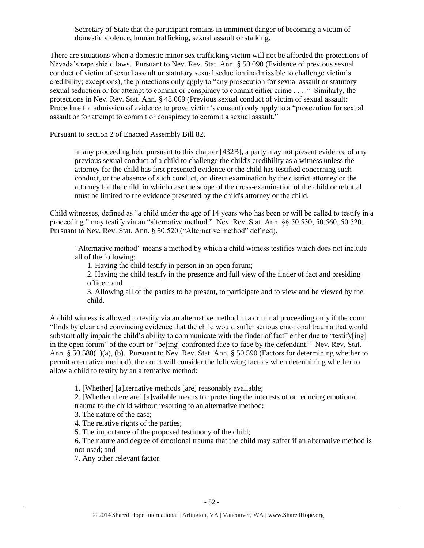Secretary of State that the participant remains in imminent danger of becoming a victim of domestic violence, human trafficking, sexual assault or stalking.

There are situations when a domestic minor sex trafficking victim will not be afforded the protections of Nevada's rape shield laws. Pursuant to Nev. Rev. Stat. Ann. § 50.090 (Evidence of previous sexual conduct of victim of sexual assault or statutory sexual seduction inadmissible to challenge victim's credibility; exceptions), the protections only apply to "any prosecution for sexual assault or statutory sexual seduction or for attempt to commit or conspiracy to commit either crime . . . ." Similarly, the protections in Nev. Rev. Stat. Ann. § 48.069 (Previous sexual conduct of victim of sexual assault: Procedure for admission of evidence to prove victim's consent) only apply to a "prosecution for sexual assault or for attempt to commit or conspiracy to commit a sexual assault."

Pursuant to section 2 of Enacted Assembly Bill 82,

In any proceeding held pursuant to this chapter [432B], a party may not present evidence of any previous sexual conduct of a child to challenge the child's credibility as a witness unless the attorney for the child has first presented evidence or the child has testified concerning such conduct, or the absence of such conduct, on direct examination by the district attorney or the attorney for the child, in which case the scope of the cross-examination of the child or rebuttal must be limited to the evidence presented by the child's attorney or the child.

Child witnesses, defined as "a child under the age of 14 years who has been or will be called to testify in a proceeding," may testify via an "alternative method." Nev. Rev. Stat. Ann. §§ 50.530, 50.560, 50.520. Pursuant to Nev. Rev. Stat. Ann. § 50.520 ("Alternative method" defined),

"Alternative method" means a method by which a child witness testifies which does not include all of the following:

1. Having the child testify in person in an open forum;

2. Having the child testify in the presence and full view of the finder of fact and presiding officer; and

3. Allowing all of the parties to be present, to participate and to view and be viewed by the child.

A child witness is allowed to testify via an alternative method in a criminal proceeding only if the court "finds by clear and convincing evidence that the child would suffer serious emotional trauma that would substantially impair the child's ability to communicate with the finder of fact" either due to "testify[ing] in the open forum" of the court or "be[ing] confronted face-to-face by the defendant." Nev. Rev. Stat. Ann. § 50.580(1)(a), (b). Pursuant to Nev. Rev. Stat. Ann. § 50.590 (Factors for determining whether to permit alternative method), the court will consider the following factors when determining whether to allow a child to testify by an alternative method:

1. [Whether] [a]lternative methods [are] reasonably available;

2. [Whether there are] [a]vailable means for protecting the interests of or reducing emotional trauma to the child without resorting to an alternative method;

3. The nature of the case;

4. The relative rights of the parties;

5. The importance of the proposed testimony of the child;

6. The nature and degree of emotional trauma that the child may suffer if an alternative method is not used; and

7. Any other relevant factor.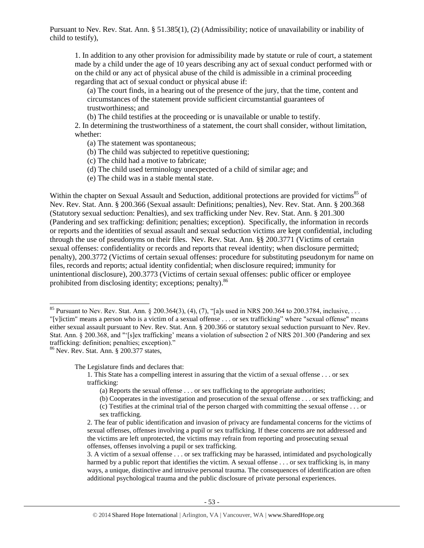Pursuant to Nev. Rev. Stat. Ann. § 51.385(1), (2) (Admissibility; notice of unavailability or inability of child to testify),

1. In addition to any other provision for admissibility made by statute or rule of court, a statement made by a child under the age of 10 years describing any act of sexual conduct performed with or on the child or any act of physical abuse of the child is admissible in a criminal proceeding regarding that act of sexual conduct or physical abuse if:

(a) The court finds, in a hearing out of the presence of the jury, that the time, content and circumstances of the statement provide sufficient circumstantial guarantees of trustworthiness; and

(b) The child testifies at the proceeding or is unavailable or unable to testify.

2. In determining the trustworthiness of a statement, the court shall consider, without limitation, whether:

- (a) The statement was spontaneous;
- (b) The child was subjected to repetitive questioning;
- (c) The child had a motive to fabricate;
- (d) The child used terminology unexpected of a child of similar age; and
- (e) The child was in a stable mental state.

Within the chapter on Sexual Assault and Seduction, additional protections are provided for victims<sup>85</sup> of Nev. Rev. Stat. Ann. § 200.366 (Sexual assault: Definitions; penalties), Nev. Rev. Stat. Ann. § 200.368 (Statutory sexual seduction: Penalties), and sex trafficking under Nev. Rev. Stat. Ann. § 201.300 (Pandering and sex trafficking: definition; penalties; exception). Specifically, the information in records or reports and the identities of sexual assault and sexual seduction victims are kept confidential, including through the use of pseudonyms on their files. Nev. Rev. Stat. Ann. §§ 200.3771 (Victims of certain sexual offenses: confidentiality or records and reports that reveal identity; when disclosure permitted; penalty), 200.3772 (Victims of certain sexual offenses: procedure for substituting pseudonym for name on files, records and reports; actual identity confidential; when disclosure required; immunity for unintentional disclosure), 200.3773 (Victims of certain sexual offenses: public officer or employee prohibited from disclosing identity; exceptions; penalty).<sup>86</sup>

<sup>86</sup> Nev. Rev. Stat. Ann. § 200.377 states,

 $\overline{a}$ 

The Legislature finds and declares that:

<sup>&</sup>lt;sup>85</sup> Pursuant to Nev. Rev. Stat. Ann. § 200.364(3), (4), (7), "[a]s used in NRS 200.364 to 200.3784, inclusive, ... "[v]ictim" means a person who is a victim of a sexual offense . . . or sex trafficking" where "sexual offense" means either sexual assault pursuant to Nev. Rev. Stat. Ann. § 200.366 or statutory sexual seduction pursuant to Nev. Rev. Stat. Ann. § 200.368, and "'[s]ex trafficking' means a violation of subsection 2 of NRS 201.300 (Pandering and sex trafficking: definition; penalties; exception).

<sup>1.</sup> This State has a compelling interest in assuring that the victim of a sexual offense . . . or sex trafficking:

<sup>(</sup>a) Reports the sexual offense . . . or sex trafficking to the appropriate authorities;

<sup>(</sup>b) Cooperates in the investigation and prosecution of the sexual offense . . . or sex trafficking; and

<sup>(</sup>c) Testifies at the criminal trial of the person charged with committing the sexual offense . . . or sex trafficking.

<sup>2.</sup> The fear of public identification and invasion of privacy are fundamental concerns for the victims of sexual offenses, offenses involving a pupil or sex trafficking. If these concerns are not addressed and the victims are left unprotected, the victims may refrain from reporting and prosecuting sexual offenses, offenses involving a pupil or sex trafficking.

<sup>3.</sup> A victim of a sexual offense . . . or sex trafficking may be harassed, intimidated and psychologically harmed by a public report that identifies the victim. A sexual offense . . . or sex trafficking is, in many ways, a unique, distinctive and intrusive personal trauma. The consequences of identification are often additional psychological trauma and the public disclosure of private personal experiences.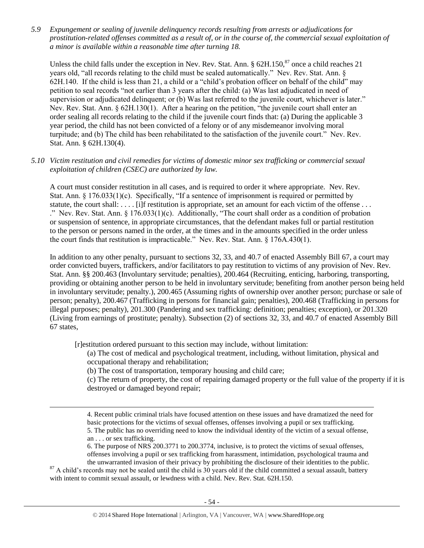*5.9 Expungement or sealing of juvenile delinquency records resulting from arrests or adjudications for prostitution-related offenses committed as a result of, or in the course of, the commercial sexual exploitation of a minor is available within a reasonable time after turning 18.*

Unless the child falls under the exception in Nev. Rev. Stat. Ann. §  $62H.150$ ,  $87$  once a child reaches 21 years old, "all records relating to the child must be sealed automatically." Nev. Rev. Stat. Ann. § 62H.140. If the child is less than 21, a child or a "child's probation officer on behalf of the child" may petition to seal records "not earlier than 3 years after the child: (a) Was last adjudicated in need of supervision or adjudicated delinquent; or (b) Was last referred to the juvenile court, whichever is later." Nev. Rev. Stat. Ann. § 62H.130(1). After a hearing on the petition, "the juvenile court shall enter an order sealing all records relating to the child if the juvenile court finds that: (a) During the applicable 3 year period, the child has not been convicted of a felony or of any misdemeanor involving moral turpitude; and (b) The child has been rehabilitated to the satisfaction of the juvenile court." Nev. Rev. Stat. Ann. § 62H.130(4).

## *5.10 Victim restitution and civil remedies for victims of domestic minor sex trafficking or commercial sexual exploitation of children (CSEC) are authorized by law.*

A court must consider restitution in all cases, and is required to order it where appropriate. Nev. Rev. Stat. Ann. § 176.033(1)(c). Specifically, "If a sentence of imprisonment is required or permitted by statute, the court shall: . . . . [i]f restitution is appropriate, set an amount for each victim of the offense . . . ." Nev. Rev. Stat. Ann. § 176.033(1)(c). Additionally, "The court shall order as a condition of probation or suspension of sentence, in appropriate circumstances, that the defendant makes full or partial restitution to the person or persons named in the order, at the times and in the amounts specified in the order unless the court finds that restitution is impracticable." Nev. Rev. Stat. Ann. § 176A.430(1).

In addition to any other penalty, pursuant to sections 32, 33, and 40.7 of enacted Assembly Bill 67, a court may order convicted buyers, traffickers, and/or facilitators to pay restitution to victims of any provision of Nev. Rev. Stat. Ann. §§ 200.463 (Involuntary servitude; penalties), 200.464 (Recruiting, enticing, harboring, transporting, providing or obtaining another person to be held in involuntary servitude; benefiting from another person being held in involuntary servitude; penalty.), 200.465 (Assuming rights of ownership over another person; purchase or sale of person; penalty), 200.467 (Trafficking in persons for financial gain; penalties), 200.468 (Trafficking in persons for illegal purposes; penalty), 201.300 (Pandering and sex trafficking: definition; penalties; exception), or 201.320 (Living from earnings of prostitute; penalty). Subsection (2) of sections 32, 33, and 40.7 of enacted Assembly Bill 67 states,

[r]estitution ordered pursuant to this section may include, without limitation:

(a) The cost of medical and psychological treatment, including, without limitation, physical and occupational therapy and rehabilitation;

(b) The cost of transportation, temporary housing and child care;

 $\overline{a}$ 

(c) The return of property, the cost of repairing damaged property or the full value of the property if it is destroyed or damaged beyond repair;

4. Recent public criminal trials have focused attention on these issues and have dramatized the need for basic protections for the victims of sexual offenses, offenses involving a pupil or sex trafficking. 5. The public has no overriding need to know the individual identity of the victim of a sexual offense, an . . . or sex trafficking.

6. The purpose of NRS 200.3771 to 200.3774, inclusive, is to protect the victims of sexual offenses, offenses involving a pupil or sex trafficking from harassment, intimidation, psychological trauma and the unwarranted invasion of their privacy by prohibiting the disclosure of their identities to the public.

 $87$  A child's records may not be sealed until the child is 30 years old if the child committed a sexual assault, battery with intent to commit sexual assault, or lewdness with a child. Nev. Rev. Stat. 62H.150.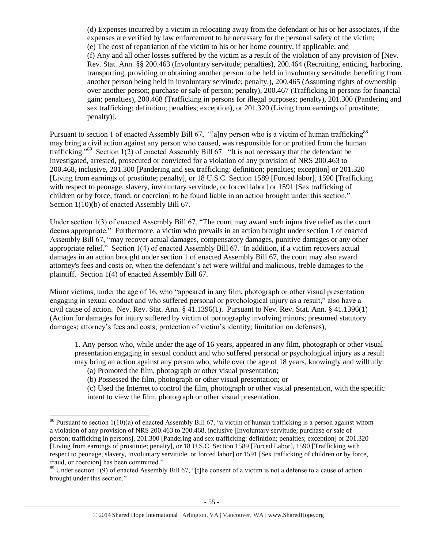(d) Expenses incurred by a victim in relocating away from the defendant or his or her associates, if the expenses are verified by law enforcement to be necessary for the personal safety of the victim; (e) The cost of repatriation of the victim to his or her home country, if applicable; and (f) Any and all other losses suffered by the victim as a result of the violation of any provision of [Nev. Rev. Stat. Ann. §§ 200.463 (Involuntary servitude; penalties), 200.464 (Recruiting, enticing, harboring, transporting, providing or obtaining another person to be held in involuntary servitude; benefiting from another person being held in involuntary servitude; penalty.), 200.465 (Assuming rights of ownership over another person; purchase or sale of person; penalty), 200.467 (Trafficking in persons for financial gain; penalties), 200.468 (Trafficking in persons for illegal purposes; penalty), 201.300 (Pandering and sex trafficking: definition; penalties; exception), or 201.320 (Living from earnings of prostitute; penalty)].

Pursuant to section 1 of enacted Assembly Bill 67, "[a]ny person who is a victim of human trafficking<sup>88</sup> may bring a civil action against any person who caused, was responsible for or profited from the human trafficking."<sup>89</sup> Section 1(2) of enacted Assembly Bill 67. "It is not necessary that the defendant be investigated, arrested, prosecuted or convicted for a violation of any provision of NRS 200.463 to 200.468, inclusive, 201.300 [Pandering and sex trafficking: definition; penalties; exception] or 201.320 [Living from earnings of prostitute; penalty], or 18 U.S.C. Section 1589 [Forced labor], 1590 [Trafficking with respect to peonage, slavery, involuntary servitude, or forced labor] or 1591 [Sex trafficking of children or by force, fraud, or coercion] to be found liable in an action brought under this section." Section 1(10)(b) of enacted Assembly Bill 67.

Under section 1(3) of enacted Assembly Bill 67, "The court may award such injunctive relief as the court deems appropriate." Furthermore, a victim who prevails in an action brought under section 1 of enacted Assembly Bill 67, "may recover actual damages, compensatory damages, punitive damages or any other appropriate relief." Section 1(4) of enacted Assembly Bill 67. In addition, if a victim recovers actual damages in an action brought under section 1 of enacted Assembly Bill 67, the court may also award attorney's fees and costs or, when the defendant's act were willful and malicious, treble damages to the plaintiff. Section 1(4) of enacted Assembly Bill 67.

Minor victims, under the age of 16, who "appeared in any film, photograph or other visual presentation engaging in sexual conduct and who suffered personal or psychological injury as a result," also have a civil cause of action. Nev. Rev. Stat. Ann. § 41.1396(1). Pursuant to Nev. Rev. Stat. Ann. § 41.1396(1) (Action for damages for injury suffered by victim of pornography involving minors; presumed statutory damages; attorney's fees and costs; protection of victim's identity; limitation on defenses),

1. Any person who, while under the age of 16 years, appeared in any film, photograph or other visual presentation engaging in sexual conduct and who suffered personal or psychological injury as a result may bring an action against any person who, while over the age of 18 years, knowingly and willfully:

(a) Promoted the film, photograph or other visual presentation;

 $\overline{a}$ 

(b) Possessed the film, photograph or other visual presentation; or

(c) Used the Internet to control the film, photograph or other visual presentation, with the specific intent to view the film, photograph or other visual presentation.

 $88$  Pursuant to section 1(10)(a) of enacted Assembly Bill 67, "a victim of human trafficking is a person against whom a violation of any provision of NRS 200.463 to 200.468, inclusive [Involuntary servitude; purchase or sale of person; trafficking in persons], 201.300 [Pandering and sex trafficking: definition; penalties; exception] or 201.320 [Living from earnings of prostitute; penalty], or 18 U.S.C. Section 1589 [Forced Labor], 1590 [Trafficking with respect to peonage, slavery, involuntary servitude, or forced labor] or 1591 [Sex trafficking of children or by force, fraud, or coercion] has been committed."

 $89$  Under section 1(9) of enacted Assembly Bill 67, "[t]he consent of a victim is not a defense to a cause of action brought under this section."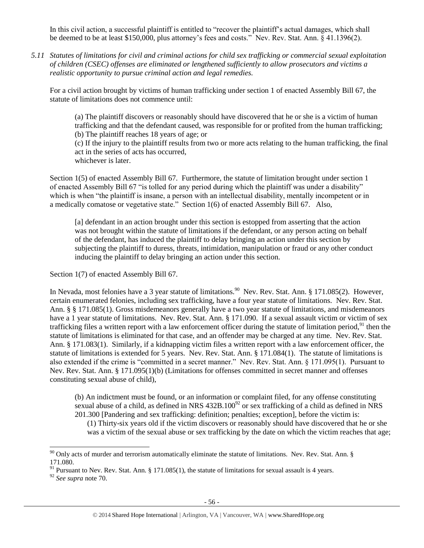In this civil action, a successful plaintiff is entitled to "recover the plaintiff's actual damages, which shall be deemed to be at least \$150,000, plus attorney's fees and costs." Nev. Rev. Stat. Ann. § 41.1396(2).

*5.11 Statutes of limitations for civil and criminal actions for child sex trafficking or commercial sexual exploitation of children (CSEC) offenses are eliminated or lengthened sufficiently to allow prosecutors and victims a realistic opportunity to pursue criminal action and legal remedies.*

For a civil action brought by victims of human trafficking under section 1 of enacted Assembly Bill 67, the statute of limitations does not commence until:

(a) The plaintiff discovers or reasonably should have discovered that he or she is a victim of human trafficking and that the defendant caused, was responsible for or profited from the human trafficking; (b) The plaintiff reaches 18 years of age; or

(c) If the injury to the plaintiff results from two or more acts relating to the human trafficking, the final act in the series of acts has occurred,

whichever is later.

Section 1(5) of enacted Assembly Bill 67. Furthermore, the statute of limitation brought under section 1 of enacted Assembly Bill 67 "is tolled for any period during which the plaintiff was under a disability" which is when "the plaintiff is insane, a person with an intellectual disability, mentally incompetent or in a medically comatose or vegetative state." Section 1(6) of enacted Assembly Bill 67. Also,

[a] defendant in an action brought under this section is estopped from asserting that the action was not brought within the statute of limitations if the defendant, or any person acting on behalf of the defendant, has induced the plaintiff to delay bringing an action under this section by subjecting the plaintiff to duress, threats, intimidation, manipulation or fraud or any other conduct inducing the plaintiff to delay bringing an action under this section.

Section 1(7) of enacted Assembly Bill 67.

In Nevada, most felonies have a 3 year statute of limitations.<sup>90</sup> Nev. Rev. Stat. Ann. § 171.085(2). However, certain enumerated felonies, including sex trafficking, have a four year statute of limitations. Nev. Rev. Stat. Ann. § § 171.085(1). Gross misdemeanors generally have a two year statute of limitations, and misdemeanors have a 1 year statute of limitations. Nev. Rev. Stat. Ann. § 171.090. If a sexual assault victim or victim of sex trafficking files a written report with a law enforcement officer during the statute of limitation period, $91$  then the statute of limitations is eliminated for that case, and an offender may be charged at any time. Nev. Rev. Stat. Ann. § 171.083(1). Similarly, if a kidnapping victim files a written report with a law enforcement officer, the statute of limitations is extended for 5 years. Nev. Rev. Stat. Ann. § 171.084(1). The statute of limitations is also extended if the crime is "committed in a secret manner." Nev. Rev. Stat. Ann. § 171.095(1). Pursuant to Nev. Rev. Stat. Ann. § 171.095(1)(b) (Limitations for offenses committed in secret manner and offenses constituting sexual abuse of child),

(b) An indictment must be found, or an information or complaint filed, for any offense constituting sexual abuse of a child, as defined in NRS  $432B.100^{92}$  or sex trafficking of a child as defined in NRS 201.300 [Pandering and sex trafficking: definition; penalties; exception], before the victim is:

(1) Thirty-six years old if the victim discovers or reasonably should have discovered that he or she was a victim of the sexual abuse or sex trafficking by the date on which the victim reaches that age;

 $90$  Only acts of murder and terrorism automatically eliminate the statute of limitations. Nev. Rev. Stat. Ann. § 171.080.

<sup>&</sup>lt;sup>91</sup> Pursuant to Nev. Rev. Stat. Ann. § 171.085(1), the statute of limitations for sexual assault is 4 years.

<sup>92</sup> *See supra* note [70.](#page-36-0)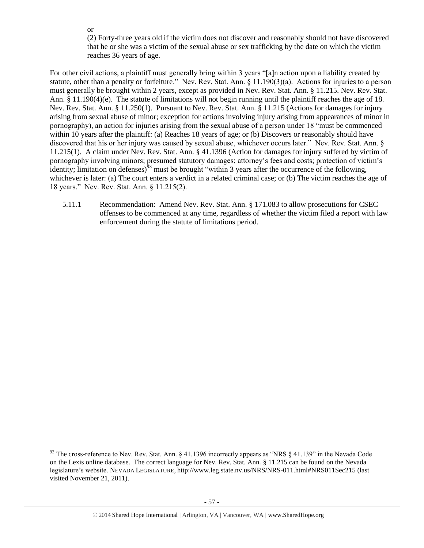or

 $\overline{a}$ 

(2) Forty-three years old if the victim does not discover and reasonably should not have discovered that he or she was a victim of the sexual abuse or sex trafficking by the date on which the victim reaches 36 years of age.

For other civil actions, a plaintiff must generally bring within 3 years "[a]n action upon a liability created by statute, other than a penalty or forfeiture." Nev. Rev. Stat. Ann. § 11.190(3)(a). Actions for injuries to a person must generally be brought within 2 years, except as provided in Nev. Rev. Stat. Ann. § 11.215. Nev. Rev. Stat. Ann. § 11.190(4)(e). The statute of limitations will not begin running until the plaintiff reaches the age of 18. Nev. Rev. Stat. Ann. § 11.250(1). Pursuant to Nev. Rev. Stat. Ann. § 11.215 (Actions for damages for injury arising from sexual abuse of minor; exception for actions involving injury arising from appearances of minor in pornography), an action for injuries arising from the sexual abuse of a person under 18 "must be commenced within 10 years after the plaintiff: (a) Reaches 18 years of age; or (b) Discovers or reasonably should have discovered that his or her injury was caused by sexual abuse, whichever occurs later." Nev. Rev. Stat. Ann. § 11.215(1). A claim under Nev. Rev. Stat. Ann. § 41.1396 (Action for damages for injury suffered by victim of pornography involving minors; presumed statutory damages; attorney's fees and costs; protection of victim's identity; limitation on defenses)<sup> $93$ </sup> must be brought "within 3 years after the occurrence of the following, whichever is later: (a) The court enters a verdict in a related criminal case; or (b) The victim reaches the age of 18 years." Nev. Rev. Stat. Ann. § 11.215(2).

5.11.1 Recommendation: Amend Nev. Rev. Stat. Ann. § 171.083 to allow prosecutions for CSEC offenses to be commenced at any time, regardless of whether the victim filed a report with law enforcement during the statute of limitations period.

<sup>&</sup>lt;sup>93</sup> The cross-reference to Nev. Rev. Stat. Ann. § 41.1396 incorrectly appears as "NRS § 41.139" in the Nevada Code on the Lexis online database. The correct language for Nev. Rev. Stat. Ann. § 11.215 can be found on the Nevada legislature's website. NEVADA LEGISLATURE, http://www.leg.state.nv.us/NRS/NRS-011.html#NRS011Sec215 (last visited November 21, 2011).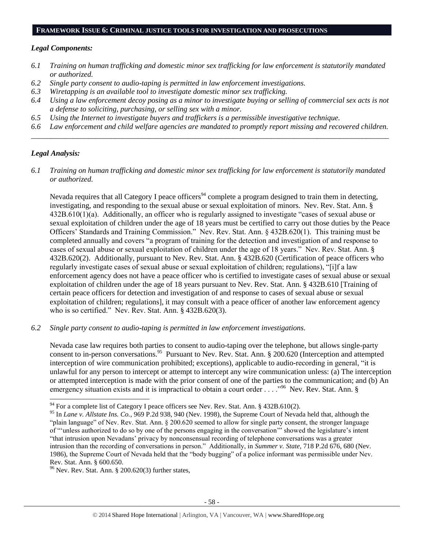#### **FRAMEWORK ISSUE 6: CRIMINAL JUSTICE TOOLS FOR INVESTIGATION AND PROSECUTIONS**

### *Legal Components:*

- *6.1 Training on human trafficking and domestic minor sex trafficking for law enforcement is statutorily mandated or authorized.*
- *6.2 Single party consent to audio-taping is permitted in law enforcement investigations.*
- *6.3 Wiretapping is an available tool to investigate domestic minor sex trafficking.*
- *6.4 Using a law enforcement decoy posing as a minor to investigate buying or selling of commercial sex acts is not a defense to soliciting, purchasing, or selling sex with a minor.*
- *6.5 Using the Internet to investigate buyers and traffickers is a permissible investigative technique.*
- *6.6 Law enforcement and child welfare agencies are mandated to promptly report missing and recovered children. \_\_\_\_\_\_\_\_\_\_\_\_\_\_\_\_\_\_\_\_\_\_\_\_\_\_\_\_\_\_\_\_\_\_\_\_\_\_\_\_\_\_\_\_\_\_\_\_\_\_\_\_\_\_\_\_\_\_\_\_\_\_\_\_\_\_\_\_\_\_\_\_\_\_\_\_\_\_\_\_\_\_\_\_\_\_\_\_\_\_\_\_\_\_*

# *Legal Analysis:*

 $\overline{a}$ 

*6.1 Training on human trafficking and domestic minor sex trafficking for law enforcement is statutorily mandated or authorized.*

Nevada requires that all Category I peace officers<sup>94</sup> complete a program designed to train them in detecting, investigating, and responding to the sexual abuse or sexual exploitation of minors. Nev. Rev. Stat. Ann. § 432B.610(1)(a). Additionally, an officer who is regularly assigned to investigate "cases of sexual abuse or sexual exploitation of children under the age of 18 years must be certified to carry out those duties by the Peace Officers' Standards and Training Commission." Nev. Rev. Stat. Ann. § 432B.620(1). This training must be completed annually and covers "a program of training for the detection and investigation of and response to cases of sexual abuse or sexual exploitation of children under the age of 18 years." Nev. Rev. Stat. Ann. § 432B.620(2). Additionally, pursuant to Nev. Rev. Stat. Ann. § 432B.620 (Certification of peace officers who regularly investigate cases of sexual abuse or sexual exploitation of children; regulations), "[i]f a law enforcement agency does not have a peace officer who is certified to investigate cases of sexual abuse or sexual exploitation of children under the age of 18 years pursuant to Nev. Rev. Stat. Ann. § 432B.610 [Training of certain peace officers for detection and investigation of and response to cases of sexual abuse or sexual exploitation of children; regulations], it may consult with a peace officer of another law enforcement agency who is so certified." Nev. Rev. Stat. Ann. § 432B.620(3).

*6.2 Single party consent to audio-taping is permitted in law enforcement investigations.*

Nevada case law requires both parties to consent to audio-taping over the telephone, but allows single-party consent to in-person conversations.<sup>95</sup> Pursuant to Nev. Rev. Stat. Ann. § 200.620 (Interception and attempted interception of wire communication prohibited; exceptions), applicable to audio-recording in general, "it is unlawful for any person to intercept or attempt to intercept any wire communication unless: (a) The interception or attempted interception is made with the prior consent of one of the parties to the communication; and (b) An emergency situation exists and it is impractical to obtain a court order . . . . "<sup>96</sup> Nev. Rev. Stat. Ann. §

 $94$  For a complete list of Category I peace officers see Nev. Rev. Stat. Ann. § 432B.610(2).

<sup>95</sup> In *Lane v. Allstate Ins. Co.*, 969 P.2d 938, 940 (Nev. 1998), the Supreme Court of Nevada held that, although the "plain language" of Nev. Rev. Stat. Ann. § 200.620 seemed to allow for single party consent, the stronger language of "'unless authorized to do so by one of the persons engaging in the conversation'" showed the legislature's intent "that intrusion upon Nevadans' privacy by nonconsensual recording of telephone conversations was a greater intrusion than the recording of conversations in person." Additionally, in *Summer v. State*, 718 P.2d 676, 680 (Nev. 1986), the Supreme Court of Nevada held that the "body bugging" of a police informant was permissible under Nev. Rev. Stat. Ann. § 600.650.

 $^{96}$  Nev. Rev. Stat. Ann. § 200.620(3) further states,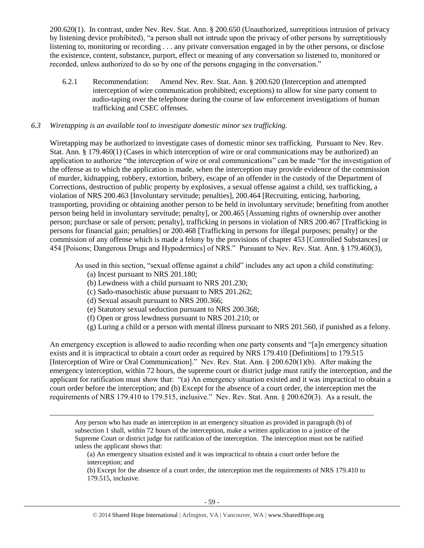200.620(1). In contrast, under Nev. Rev. Stat. Ann. § 200.650 (Unauthorized, surreptitious intrusion of privacy by listening device prohibited), "a person shall not intrude upon the privacy of other persons by surreptitiously listening to, monitoring or recording . . . any private conversation engaged in by the other persons, or disclose the existence, content, substance, purport, effect or meaning of any conversation so listened to, monitored or recorded, unless authorized to do so by one of the persons engaging in the conversation."

6.2.1 Recommendation: Amend Nev. Rev. Stat. Ann. § 200.620 (Interception and attempted interception of wire communication prohibited; exceptions) to allow for sine party consent to audio-taping over the telephone during the course of law enforcement investigations of human trafficking and CSEC offenses.

### *6.3 Wiretapping is an available tool to investigate domestic minor sex trafficking.*

Wiretapping may be authorized to investigate cases of domestic minor sex trafficking. Pursuant to Nev. Rev. Stat. Ann. § 179.460(1) (Cases in which interception of wire or oral communications may be authorized) an application to authorize "the interception of wire or oral communications" can be made "for the investigation of the offense as to which the application is made, when the interception may provide evidence of the commission of murder, kidnapping, robbery, extortion, bribery, escape of an offender in the custody of the Department of Corrections, destruction of public property by explosives, a sexual offense against a child, sex trafficking, a violation of NRS 200.463 [Involuntary servitude; penalties], 200.464 [Recruiting, enticing, harboring, transporting, providing or obtaining another person to be held in involuntary servitude; benefiting from another person being held in involuntary servitude; penalty], or 200.465 [Assuming rights of ownership over another person; purchase or sale of person; penalty], trafficking in persons in violation of NRS 200.467 [Trafficking in persons for financial gain; penalties] or 200.468 [Trafficking in persons for illegal purposes; penalty] or the commission of any offense which is made a felony by the provisions of chapter 453 [Controlled Substances] or 454 [Poisons; Dangerous Drugs and Hypodermics] of NRS." Pursuant to Nev. Rev. Stat. Ann. § 179.460(3),

As used in this section, "sexual offense against a child" includes any act upon a child constituting:

(a) Incest pursuant to NRS 201.180;

 $\overline{a}$ 

- (b) Lewdness with a child pursuant to NRS 201.230;
- (c) Sado-masochistic abuse pursuant to NRS 201.262;
- (d) Sexual assault pursuant to NRS 200.366;
- (e) Statutory sexual seduction pursuant to NRS 200.368;
- (f) Open or gross lewdness pursuant to NRS 201.210; or
- (g) Luring a child or a person with mental illness pursuant to NRS 201.560, if punished as a felony.

An emergency exception is allowed to audio recording when one party consents and "[a]n emergency situation exists and it is impractical to obtain a court order as required by NRS 179.410 [Definitions] to 179.515 [Interception of Wire or Oral Communication]." Nev. Rev. Stat. Ann. § 200.620(1)(b). After making the emergency interception, within 72 hours, the supreme court or district judge must ratify the interception, and the applicant for ratification must show that: "(a) An emergency situation existed and it was impractical to obtain a court order before the interception; and (b) Except for the absence of a court order, the interception met the requirements of NRS 179.410 to 179.515, inclusive." Nev. Rev. Stat. Ann. § 200.620(3). As a result, the

Any person who has made an interception in an emergency situation as provided in paragraph (b) of subsection 1 shall, within 72 hours of the interception, make a written application to a justice of the Supreme Court or district judge for ratification of the interception. The interception must not be ratified unless the applicant shows that:

(a) An emergency situation existed and it was impractical to obtain a court order before the interception; and

(b) Except for the absence of a court order, the interception met the requirements of NRS 179.410 to 179.515, inclusive.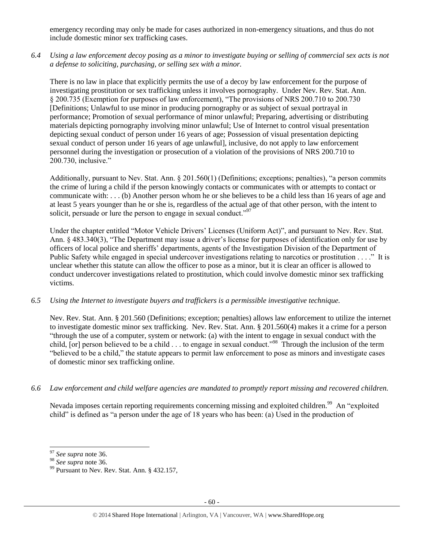emergency recording may only be made for cases authorized in non-emergency situations, and thus do not include domestic minor sex trafficking cases.

*6.4 Using a law enforcement decoy posing as a minor to investigate buying or selling of commercial sex acts is not a defense to soliciting, purchasing, or selling sex with a minor.*

There is no law in place that explicitly permits the use of a decoy by law enforcement for the purpose of investigating prostitution or sex trafficking unless it involves pornography. Under Nev. Rev. Stat. Ann. § 200.735 (Exemption for purposes of law enforcement), "The provisions of NRS 200.710 to 200.730 [Definitions; Unlawful to use minor in producing pornography or as subject of sexual portrayal in performance; Promotion of sexual performance of minor unlawful; Preparing, advertising or distributing materials depicting pornography involving minor unlawful; Use of Internet to control visual presentation depicting sexual conduct of person under 16 years of age; Possession of visual presentation depicting sexual conduct of person under 16 years of age unlawful], inclusive, do not apply to law enforcement personnel during the investigation or prosecution of a violation of the provisions of NRS 200.710 to 200.730, inclusive."

Additionally, pursuant to Nev. Stat. Ann. § 201.560(1) (Definitions; exceptions; penalties), "a person commits the crime of luring a child if the person knowingly contacts or communicates with or attempts to contact or communicate with: . . . (b) Another person whom he or she believes to be a child less than 16 years of age and at least 5 years younger than he or she is, regardless of the actual age of that other person, with the intent to solicit, persuade or lure the person to engage in sexual conduct."<sup>97</sup>

Under the chapter entitled "Motor Vehicle Drivers' Licenses (Uniform Act)", and pursuant to Nev. Rev. Stat. Ann. § 483.340(3), "The Department may issue a driver's license for purposes of identification only for use by officers of local police and sheriffs' departments, agents of the Investigation Division of the Department of Public Safety while engaged in special undercover investigations relating to narcotics or prostitution . . . ." It is unclear whether this statute can allow the officer to pose as a minor, but it is clear an officer is allowed to conduct undercover investigations related to prostitution, which could involve domestic minor sex trafficking victims.

# *6.5 Using the Internet to investigate buyers and traffickers is a permissible investigative technique.*

Nev. Rev. Stat. Ann. § 201.560 (Definitions; exception; penalties) allows law enforcement to utilize the internet to investigate domestic minor sex trafficking. Nev. Rev. Stat. Ann. § 201.560(4) makes it a crime for a person "through the use of a computer, system or network: (a) with the intent to engage in sexual conduct with the child, [or] person believed to be a child . . . to engage in sexual conduct."<sup>98</sup> Through the inclusion of the term "believed to be a child," the statute appears to permit law enforcement to pose as minors and investigate cases of domestic minor sex trafficking online.

*6.6 Law enforcement and child welfare agencies are mandated to promptly report missing and recovered children.*

Nevada imposes certain reporting requirements concerning missing and exploited children.<sup>99</sup> An "exploited child" is defined as "a person under the age of 18 years who has been: (a) Used in the production of

<sup>97</sup> *See supra* note [36.](#page-16-0)

<sup>98</sup> *See supra* note [36.](#page-16-0)

 $99$  Pursuant to Nev. Rev. Stat. Ann. § 432.157,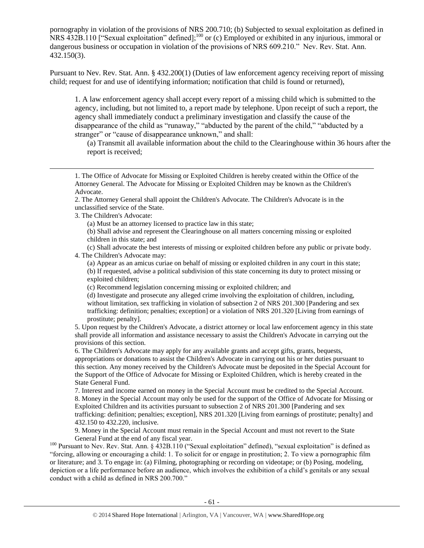pornography in violation of the provisions of NRS 200.710; (b) Subjected to sexual exploitation as defined in NRS 432B.110 ["Sexual exploitation" defined];<sup>100</sup> or (c) Employed or exhibited in any injurious, immoral or dangerous business or occupation in violation of the provisions of NRS 609.210." Nev. Rev. Stat. Ann. 432.150(3).

Pursuant to Nev. Rev. Stat. Ann. § 432.200(1) (Duties of law enforcement agency receiving report of missing child; request for and use of identifying information; notification that child is found or returned),

1. A law enforcement agency shall accept every report of a missing child which is submitted to the agency, including, but not limited to, a report made by telephone. Upon receipt of such a report, the agency shall immediately conduct a preliminary investigation and classify the cause of the disappearance of the child as "runaway," "abducted by the parent of the child," "abducted by a stranger" or "cause of disappearance unknown," and shall:

(a) Transmit all available information about the child to the Clearinghouse within 36 hours after the report is received;

1. The Office of Advocate for Missing or Exploited Children is hereby created within the Office of the Attorney General. The Advocate for Missing or Exploited Children may be known as the Children's Advocate.

2. The Attorney General shall appoint the Children's Advocate. The Children's Advocate is in the unclassified service of the State.

3. The Children's Advocate:

 $\overline{a}$ 

(a) Must be an attorney licensed to practice law in this state;

(b) Shall advise and represent the Clearinghouse on all matters concerning missing or exploited children in this state; and

(c) Shall advocate the best interests of missing or exploited children before any public or private body.

4. The Children's Advocate may:

(a) Appear as an amicus curiae on behalf of missing or exploited children in any court in this state; (b) If requested, advise a political subdivision of this state concerning its duty to protect missing or exploited children;

(c) Recommend legislation concerning missing or exploited children; and

(d) Investigate and prosecute any alleged crime involving the exploitation of children, including, without limitation, sex trafficking in violation of subsection 2 of NRS 201.300 [Pandering and sex trafficking: definition; penalties; exception] or a violation of NRS 201.320 [Living from earnings of prostitute; penalty].

5. Upon request by the Children's Advocate, a district attorney or local law enforcement agency in this state shall provide all information and assistance necessary to assist the Children's Advocate in carrying out the provisions of this section.

6. The Children's Advocate may apply for any available grants and accept gifts, grants, bequests, appropriations or donations to assist the Children's Advocate in carrying out his or her duties pursuant to this section. Any money received by the Children's Advocate must be deposited in the Special Account for the Support of the Office of Advocate for Missing or Exploited Children, which is hereby created in the State General Fund.

7. Interest and income earned on money in the Special Account must be credited to the Special Account. 8. Money in the Special Account may only be used for the support of the Office of Advocate for Missing or Exploited Children and its activities pursuant to subsection 2 of NRS 201.300 [Pandering and sex trafficking: definition; penalties; exception], NRS 201.320 [Living from earnings of prostitute; penalty] and 432.150 to 432.220, inclusive.

9. Money in the Special Account must remain in the Special Account and must not revert to the State General Fund at the end of any fiscal year.

<sup>100</sup> Pursuant to Nev. Rev. Stat. Ann. § 432B.110 ("Sexual exploitation" defined), "sexual exploitation" is defined as "forcing, allowing or encouraging a child: 1. To solicit for or engage in prostitution; 2. To view a pornographic film or literature; and 3. To engage in: (a) Filming, photographing or recording on videotape; or (b) Posing, modeling, depiction or a life performance before an audience, which involves the exhibition of a child's genitals or any sexual conduct with a child as defined in NRS 200.700."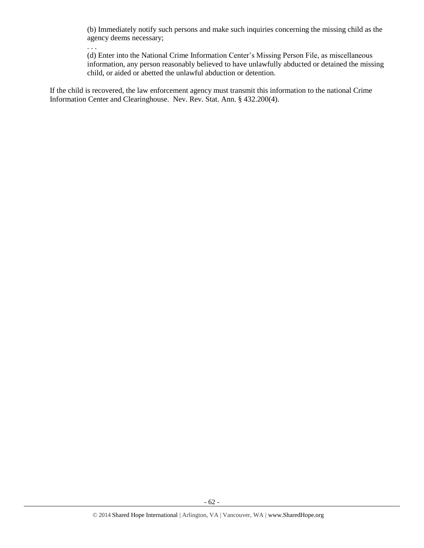(b) Immediately notify such persons and make such inquiries concerning the missing child as the agency deems necessary;

. . .

(d) Enter into the National Crime Information Center's Missing Person File, as miscellaneous information, any person reasonably believed to have unlawfully abducted or detained the missing child, or aided or abetted the unlawful abduction or detention.

If the child is recovered, the law enforcement agency must transmit this information to the national Crime Information Center and Clearinghouse. Nev. Rev. Stat. Ann. § 432.200(4).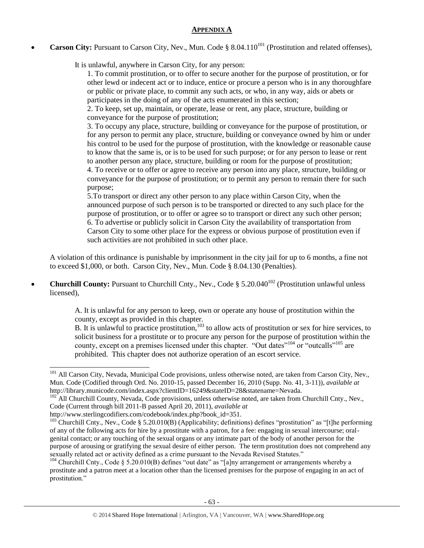## **APPENDIX A**

**Carson City:** Pursuant to Carson City, Nev., Mun. Code § 8.04.110<sup>101</sup> (Prostitution and related offenses),

It is unlawful, anywhere in Carson City, for any person:

1. To commit prostitution, or to offer to secure another for the purpose of prostitution, or for other lewd or indecent act or to induce, entice or procure a person who is in any thoroughfare or public or private place, to commit any such acts, or who, in any way, aids or abets or participates in the doing of any of the acts enumerated in this section;

2. To keep, set up, maintain, or operate, lease or rent, any place, structure, building or conveyance for the purpose of prostitution;

3. To occupy any place, structure, building or conveyance for the purpose of prostitution, or for any person to permit any place, structure, building or conveyance owned by him or under his control to be used for the purpose of prostitution, with the knowledge or reasonable cause to know that the same is, or is to be used for such purpose; or for any person to lease or rent to another person any place, structure, building or room for the purpose of prostitution;

4. To receive or to offer or agree to receive any person into any place, structure, building or conveyance for the purpose of prostitution; or to permit any person to remain there for such purpose;

5.To transport or direct any other person to any place within Carson City, when the announced purpose of such person is to be transported or directed to any such place for the purpose of prostitution, or to offer or agree so to transport or direct any such other person; 6. To advertise or publicly solicit in Carson City the availability of transportation from Carson City to some other place for the express or obvious purpose of prostitution even if such activities are not prohibited in such other place.

A violation of this ordinance is punishable by imprisonment in the city jail for up to 6 months, a fine not to exceed \$1,000, or both. Carson City, Nev., Mun. Code § 8.04.130 (Penalties).

**Churchill County:** Pursuant to Churchill Cnty., Nev., Code § 5.20.040<sup>102</sup> (Prostitution unlawful unless licensed),

> A. It is unlawful for any person to keep, own or operate any house of prostitution within the county, except as provided in this chapter.

B. It is unlawful to practice prostitution,<sup>103</sup> to allow acts of prostitution or sex for hire services, to solicit business for a prostitute or to procure any person for the purpose of prostitution within the county, except on a premises licensed under this chapter. "Out dates"<sup>104</sup> or "outcalls"<sup>105</sup> are prohibited. This chapter does not authorize operation of an escort service.

<sup>&</sup>lt;sup>101</sup> All Carson City, Nevada, Municipal Code provisions, unless otherwise noted, are taken from Carson City, Nev., Mun. Code (Codified through Ord. No. 2010-15, passed December 16, 2010 (Supp. No. 41, 3-11)), *available at* http://library.municode.com/index.aspx?clientID=16249&stateID=28&statename=Nevada.

<sup>&</sup>lt;sup>102</sup> All Churchill County, Nevada, Code provisions, unless otherwise noted, are taken from Churchill Cnty., Nev., Code (Current through bill 2011-B passed April 20, 2011), *available at*

http://www.sterlingcodifiers.com/codebook/index.php?book\_id=351.

<sup>103</sup> Churchill Cnty., Nev., Code § 5.20.010(B) (Applicability; definitions) defines "prostitution" as "[t]he performing of any of the following acts for hire by a prostitute with a patron, for a fee: engaging in sexual intercourse; oralgenital contact; or any touching of the sexual organs or any intimate part of the body of another person for the purpose of arousing or gratifying the sexual desire of either person. The term prostitution does not comprehend any sexually related act or activity defined as a crime pursuant to the Nevada Revised Statutes."

<sup>&</sup>lt;sup>104</sup> Churchill Cnty., Code § 5.20.010(B) defines "out date" as "[a]ny arrangement or arrangements whereby a prostitute and a patron meet at a location other than the licensed premises for the purpose of engaging in an act of prostitution."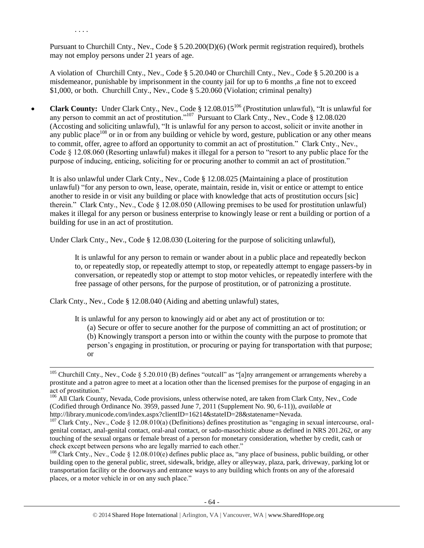Pursuant to Churchill Cnty., Nev., Code § 5.20.200(D)(6) (Work permit registration required), brothels may not employ persons under 21 years of age.

. . . .

 $\overline{a}$ 

A violation of Churchill Cnty., Nev., Code § 5.20.040 or Churchill Cnty., Nev., Code § 5.20.200 is a misdemeanor, punishable by imprisonment in the county jail for up to 6 months ,a fine not to exceed \$1,000, or both. Churchill Cnty., Nev., Code § 5.20.060 (Violation; criminal penalty)

• **Clark County:** Under Clark Cnty., Nev., Code § 12.08.015<sup>106</sup> (Prostitution unlawful), "It is unlawful for any person to commit an act of prostitution."<sup>107</sup> Pursuant to Clark Cnty., Nev., Code § 12.08.020 (Accosting and soliciting unlawful), "It is unlawful for any person to accost, solicit or invite another in any public place<sup>108</sup> or in or from any building or vehicle by word, gesture, publication or any other means to commit, offer, agree to afford an opportunity to commit an act of prostitution." Clark Cnty., Nev., Code § 12.08.060 (Resorting unlawful) makes it illegal for a person to "resort to any public place for the purpose of inducing, enticing, soliciting for or procuring another to commit an act of prostitution."

It is also unlawful under Clark Cnty., Nev., Code § 12.08.025 (Maintaining a place of prostitution unlawful) "for any person to own, lease, operate, maintain, reside in, visit or entice or attempt to entice another to reside in or visit any building or place with knowledge that acts of prostitution occurs [sic] therein." Clark Cnty., Nev., Code § 12.08.050 (Allowing premises to be used for prostitution unlawful) makes it illegal for any person or business enterprise to knowingly lease or rent a building or portion of a building for use in an act of prostitution.

Under Clark Cnty., Nev., Code § 12.08.030 (Loitering for the purpose of soliciting unlawful),

It is unlawful for any person to remain or wander about in a public place and repeatedly beckon to, or repeatedly stop, or repeatedly attempt to stop, or repeatedly attempt to engage passers-by in conversation, or repeatedly stop or attempt to stop motor vehicles, or repeatedly interfere with the free passage of other persons, for the purpose of prostitution, or of patronizing a prostitute.

Clark Cnty., Nev., Code § 12.08.040 (Aiding and abetting unlawful) states,

It is unlawful for any person to knowingly aid or abet any act of prostitution or to:

(a) Secure or offer to secure another for the purpose of committing an act of prostitution; or (b) Knowingly transport a person into or within the county with the purpose to promote that person's engaging in prostitution, or procuring or paying for transportation with that purpose; or

<sup>&</sup>lt;sup>105</sup> Churchill Cnty., Nev., Code § 5.20.010 (B) defines "outcall" as "[a]ny arrangement or arrangements whereby a prostitute and a patron agree to meet at a location other than the licensed premises for the purpose of engaging in an act of prostitution."

<sup>&</sup>lt;sup>106</sup> All Clark County, Nevada, Code provisions, unless otherwise noted, are taken from Clark Cnty, Nev., Code (Codified through Ordinance No. 3959, passed June 7, 2011 (Supplement No. 90, 6-11)), *available at*  http://library.municode.com/index.aspx?clientID=16214&stateID=28&statename=Nevada.

 $107$  Clark Cnty., Nev., Code § 12.08.010(a) (Definitions) defines prostitution as "engaging in sexual intercourse, oralgenital contact, anal-genital contact, oral-anal contact, or sado-masochistic abuse as defined in NRS 201.262, or any touching of the sexual organs or female breast of a person for monetary consideration, whether by credit, cash or check except between persons who are legally married to each other."

<sup>&</sup>lt;sup>108</sup> Clark Cnty., Nev., Code § 12.08.010(e) defines public place as, "any place of business, public building, or other building open to the general public, street, sidewalk, bridge, alley or alleyway, plaza, park, driveway, parking lot or transportation facility or the doorways and entrance ways to any building which fronts on any of the aforesaid places, or a motor vehicle in or on any such place."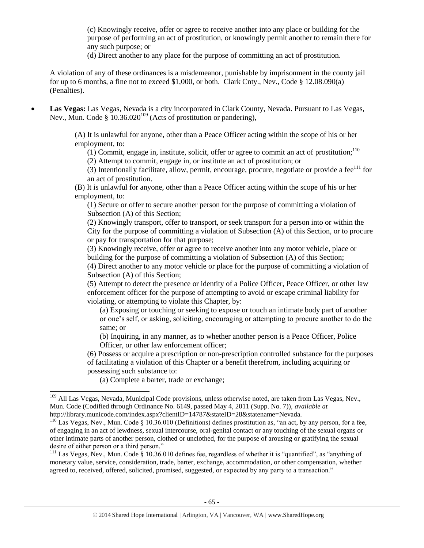(c) Knowingly receive, offer or agree to receive another into any place or building for the purpose of performing an act of prostitution, or knowingly permit another to remain there for any such purpose; or

(d) Direct another to any place for the purpose of committing an act of prostitution.

A violation of any of these ordinances is a misdemeanor, punishable by imprisonment in the county jail for up to 6 months, a fine not to exceed \$1,000, or both. Clark Cnty., Nev., Code § 12.08.090(a) (Penalties).

 **Las Vegas:** Las Vegas, Nevada is a city incorporated in Clark County, Nevada. Pursuant to Las Vegas, Nev., Mun. Code  $\S$  10.36.020<sup>109</sup> (Acts of prostitution or pandering),

> (A) It is unlawful for anyone, other than a Peace Officer acting within the scope of his or her employment, to:

(1) Commit, engage in, institute, solicit, offer or agree to commit an act of prostitution; $110$ 

(2) Attempt to commit, engage in, or institute an act of prostitution; or

(3) Intentionally facilitate, allow, permit, encourage, procure, negotiate or provide a fee $^{111}$  for an act of prostitution.

(B) It is unlawful for anyone, other than a Peace Officer acting within the scope of his or her employment, to:

(1) Secure or offer to secure another person for the purpose of committing a violation of Subsection (A) of this Section;

(2) Knowingly transport, offer to transport, or seek transport for a person into or within the City for the purpose of committing a violation of Subsection (A) of this Section, or to procure or pay for transportation for that purpose;

(3) Knowingly receive, offer or agree to receive another into any motor vehicle, place or building for the purpose of committing a violation of Subsection (A) of this Section;

(4) Direct another to any motor vehicle or place for the purpose of committing a violation of Subsection (A) of this Section;

(5) Attempt to detect the presence or identity of a Police Officer, Peace Officer, or other law enforcement officer for the purpose of attempting to avoid or escape criminal liability for violating, or attempting to violate this Chapter, by:

(a) Exposing or touching or seeking to expose or touch an intimate body part of another or one's self, or asking, soliciting, encouraging or attempting to procure another to do the same; or

(b) Inquiring, in any manner, as to whether another person is a Peace Officer, Police Officer, or other law enforcement officer;

(6) Possess or acquire a prescription or non-prescription controlled substance for the purposes of facilitating a violation of this Chapter or a benefit therefrom, including acquiring or possessing such substance to:

(a) Complete a barter, trade or exchange;

<sup>&</sup>lt;sup>109</sup> All Las Vegas, Nevada, Municipal Code provisions, unless otherwise noted, are taken from Las Vegas, Nev., Mun. Code (Codified through Ordinance No. 6149, passed May 4, 2011 (Supp. No. 7)), *available at*  http://library.municode.com/index.aspx?clientID=14787&stateID=28&statename=Nevada.

<sup>&</sup>lt;sup>110</sup> Las Vegas, Nev., Mun. Code § 10.36.010 (Definitions) defines prostitution as, "an act, by any person, for a fee, of engaging in an act of lewdness, sexual intercourse, oral-genital contact or any touching of the sexual organs or other intimate parts of another person, clothed or unclothed, for the purpose of arousing or gratifying the sexual desire of either person or a third person."

<sup>&</sup>lt;sup>111</sup> Las Vegas, Nev., Mun. Code  $\frac{8}{9}$  10.36.010 defines fee, regardless of whether it is "quantified", as "anything of monetary value, service, consideration, trade, barter, exchange, accommodation, or other compensation, whether agreed to, received, offered, solicited, promised, suggested, or expected by any party to a transaction."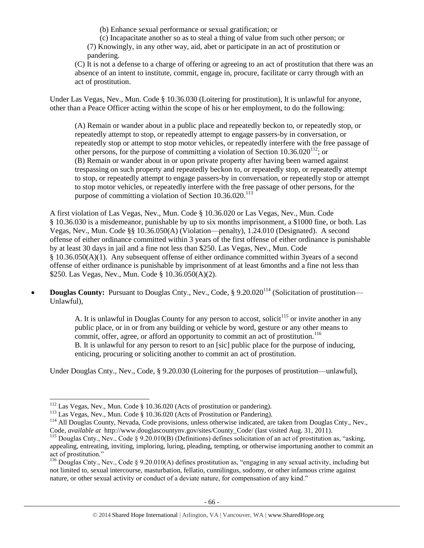(b) Enhance sexual performance or sexual gratification; or

(c) Incapacitate another so as to steal a thing of value from such other person; or (7) Knowingly, in any other way, aid, abet or participate in an act of prostitution or pandering.

(C) It is not a defense to a charge of offering or agreeing to an act of prostitution that there was an absence of an intent to institute, commit, engage in, procure, facilitate or carry through with an act of prostitution.

Under Las Vegas, Nev., Mun. Code § 10.36.030 (Loitering for prostitution), It is unlawful for anyone, other than a Peace Officer acting within the scope of his or her employment, to do the following:

(A) Remain or wander about in a public place and repeatedly beckon to, or repeatedly stop, or repeatedly attempt to stop, or repeatedly attempt to engage passers-by in conversation, or repeatedly stop or attempt to stop motor vehicles, or repeatedly interfere with the free passage of other persons, for the purpose of committing a violation of Section  $10.36.020^{112}$ ; or (B) Remain or wander about in or upon private property after having been warned against trespassing on such property and repeatedly beckon to, or repeatedly stop, or repeatedly attempt to stop, or repeatedly attempt to engage passers-by in conversation, or repeatedly stop or attempt to stop motor vehicles, or repeatedly interfere with the free passage of other persons, for the purpose of committing a violation of Section  $10.36.020$ <sup>113</sup>

A first violation of Las Vegas, Nev., Mun. Code § 10.36.020 or Las Vegas, Nev., Mun. Code § 10.36.030 is a misdemeanor, punishable by up to six months imprisonment, a \$1000 fine, or both. Las Vegas, Nev., Mun. Code §§ 10.36.050(A) (Violation—penalty), 1.24.010 (Designated). A second offense of either ordinance committed within 3 years of the first offense of either ordinance is punishable by at least 30 days in jail and a fine not less than \$250. Las Vegas, Nev., Mun. Code § 10.36.050(A)(1). Any subsequent offense of either ordinance committed within 3years of a second offense of either ordinance is punishable by imprisonment of at least 6months and a fine not less than \$250. Las Vegas, Nev., Mun. Code § 10.36.050(A)(2).

• **Douglas County:** Pursuant to Douglas Cnty., Nev., Code, § 9.20.020<sup>114</sup> (Solicitation of prostitution— Unlawful),

> A. It is unlawful in Douglas County for any person to accost, solicit<sup>115</sup> or invite another in any public place, or in or from any building or vehicle by word, gesture or any other means to commit, offer, agree, or afford an opportunity to commit an act of prostitution.<sup>116</sup> B. It is unlawful for any person to resort to an [sic] public place for the purpose of inducing, enticing, procuring or soliciting another to commit an act of prostitution.

Under Douglas Cnty., Nev., Code, § 9.20.030 (Loitering for the purposes of prostitution—unlawful),

 $112$  Las Vegas, Nev., Mun. Code § 10.36.020 (Acts of prostitution or pandering).

<sup>&</sup>lt;sup>113</sup> Las Vegas, Nev., Mun. Code § 10.36.020 (Acts of Prostitution or Pandering).

<sup>&</sup>lt;sup>114</sup> All Douglas County, Nevada, Code provisions, unless otherwise indicated, are taken from Douglas Cnty., Nev., Code, *available at* http://www.douglascountynv.gov/sites/County\_Code/ (last visited Aug. 31, 2011).

<sup>&</sup>lt;sup>115</sup> Douglas Cnty., Nev., Code § 9.20.010(B) (Definitions) defines solicitation of an act of prostitution as, "asking, appealing, entreating, inviting, imploring, luring, pleading, tempting, or otherwise importuning another to commit an act of prostitution."

<sup>&</sup>lt;sup>116</sup> Douglas Cnty., Nev., Code § 9.20.010(A) defines prostitution as, "engaging in any sexual activity, including but not limited to, sexual intercourse, masturbation, fellatio, cunnilingus, sodomy, or other infamous crime against nature, or other sexual activity or conduct of a deviate nature, for compensation of any kind."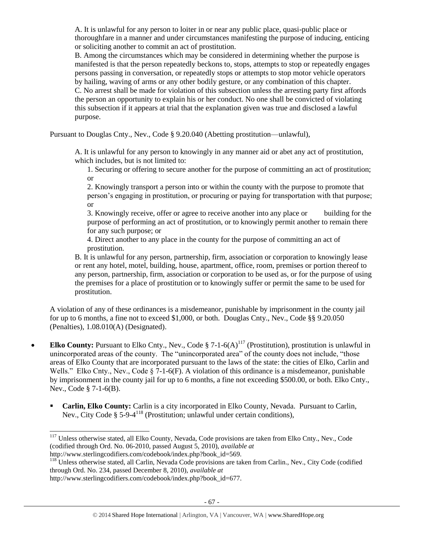A. It is unlawful for any person to loiter in or near any public place, quasi-public place or thoroughfare in a manner and under circumstances manifesting the purpose of inducing, enticing or soliciting another to commit an act of prostitution.

B. Among the circumstances which may be considered in determining whether the purpose is manifested is that the person repeatedly beckons to, stops, attempts to stop or repeatedly engages persons passing in conversation, or repeatedly stops or attempts to stop motor vehicle operators by hailing, waving of arms or any other bodily gesture, or any combination of this chapter. C. No arrest shall be made for violation of this subsection unless the arresting party first affords the person an opportunity to explain his or her conduct. No one shall be convicted of violating this subsection if it appears at trial that the explanation given was true and disclosed a lawful purpose.

Pursuant to Douglas Cnty., Nev., Code § 9.20.040 (Abetting prostitution—unlawful),

A. It is unlawful for any person to knowingly in any manner aid or abet any act of prostitution, which includes, but is not limited to:

1. Securing or offering to secure another for the purpose of committing an act of prostitution; or

2. Knowingly transport a person into or within the county with the purpose to promote that person's engaging in prostitution, or procuring or paying for transportation with that purpose; or

3. Knowingly receive, offer or agree to receive another into any place or building for the purpose of performing an act of prostitution, or to knowingly permit another to remain there for any such purpose; or

4. Direct another to any place in the county for the purpose of committing an act of prostitution.

B. It is unlawful for any person, partnership, firm, association or corporation to knowingly lease or rent any hotel, motel, building, house, apartment, office, room, premises or portion thereof to any person, partnership, firm, association or corporation to be used as, or for the purpose of using the premises for a place of prostitution or to knowingly suffer or permit the same to be used for prostitution.

A violation of any of these ordinances is a misdemeanor, punishable by imprisonment in the county jail for up to 6 months, a fine not to exceed \$1,000, or both. Douglas Cnty., Nev., Code §§ 9.20.050 (Penalties), 1.08.010(A) (Designated).

- **Elko County:** Pursuant to Elko Cnty., Nev., Code  $\S$  7-1-6(A)<sup>117</sup> (Prostitution), prostitution is unlawful in unincorporated areas of the county. The "unincorporated area" of the county does not include, "those areas of Elko County that are incorporated pursuant to the laws of the state: the cities of Elko, Carlin and Wells." Elko Cnty., Nev., Code  $\S$  7-1-6(F). A violation of this ordinance is a misdemeanor, punishable by imprisonment in the county jail for up to 6 months, a fine not exceeding \$500.00, or both. Elko Cnty., Nev., Code § 7-1-6(B).
	- **Carlin, Elko County:** Carlin is a city incorporated in Elko County, Nevada. Pursuant to Carlin, Nev., City Code § 5-9-4<sup>118</sup> (Prostitution; unlawful under certain conditions),

l

<sup>&</sup>lt;sup>117</sup> Unless otherwise stated, all Elko County, Nevada, Code provisions are taken from Elko Cnty., Nev., Code (codified through Ord. No. 06-2010, passed August 5, 2010), *available at*  http://www.sterlingcodifiers.com/codebook/index.php?book\_id=569.

<sup>&</sup>lt;sup>118</sup> Unless otherwise stated, all Carlin, Nevada Code provisions are taken from Carlin., Nev., City Code (codified through Ord. No. 234, passed December 8, 2010), *available at* 

http://www.sterlingcodifiers.com/codebook/index.php?book\_id=677.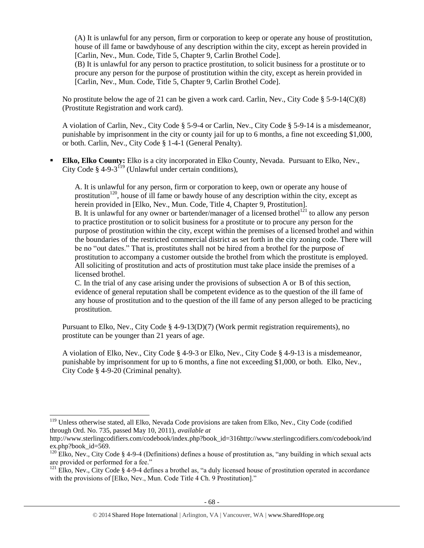(A) It is unlawful for any person, firm or corporation to keep or operate any house of prostitution, house of ill fame or bawdyhouse of any description within the city, except as herein provided in [Carlin, Nev., Mun. Code, Title 5, Chapter 9, Carlin Brothel Code].

(B) It is unlawful for any person to practice prostitution, to solicit business for a prostitute or to procure any person for the purpose of prostitution within the city, except as herein provided in [Carlin, Nev., Mun. Code, Title 5, Chapter 9, Carlin Brothel Code].

No prostitute below the age of 21 can be given a work card. Carlin, Nev., City Code § 5-9-14(C)(8) (Prostitute Registration and work card).

A violation of Carlin, Nev., City Code § 5-9-4 or Carlin, Nev., City Code § 5-9-14 is a misdemeanor, punishable by imprisonment in the city or county jail for up to 6 months, a fine not exceeding \$1,000, or both. Carlin, Nev., City Code § 1-4-1 (General Penalty).

 **Elko, Elko County:** Elko is a city incorporated in Elko County, Nevada. Pursuant to Elko, Nev., City Code § 4-9-3<sup>119</sup> (Unlawful under certain conditions),

A. It is unlawful for any person, firm or corporation to keep, own or operate any house of prostitution<sup>120</sup>, house of ill fame or bawdy house of any description within the city, except as herein provided in [Elko, Nev., Mun. Code, Title 4, Chapter 9, Prostitution]. B. It is unlawful for any owner or bartender/manager of a licensed brothel<sup>121</sup> to allow any person to practice prostitution or to solicit business for a prostitute or to procure any person for the purpose of prostitution within the city, except within the premises of a licensed brothel and within the boundaries of the restricted commercial district as set forth in the city zoning code. There will be no "out dates." That is, prostitutes shall not be hired from a brothel for the purpose of prostitution to accompany a customer outside the brothel from which the prostitute is employed. All soliciting of prostitution and acts of prostitution must take place inside the premises of a licensed brothel.

C. In the trial of any case arising under the provisions of subsection A or B of this section, evidence of general reputation shall be competent evidence as to the question of the ill fame of any house of prostitution and to the question of the ill fame of any person alleged to be practicing prostitution.

Pursuant to Elko, Nev., City Code § 4-9-13(D)(7) (Work permit registration requirements), no prostitute can be younger than 21 years of age.

A violation of Elko, Nev., City Code § 4-9-3 or Elko, Nev., City Code § 4-9-13 is a misdemeanor, punishable by imprisonment for up to 6 months, a fine not exceeding \$1,000, or both. Elko, Nev., City Code § 4-9-20 (Criminal penalty).

<sup>&</sup>lt;sup>119</sup> Unless otherwise stated, all Elko, Nevada Code provisions are taken from Elko, Nev., City Code (codified through Ord. No. 735, passed May 10, 2011), *available at* 

http://www.sterlingcodifiers.com/codebook/index.php?book\_id=316http://www.sterlingcodifiers.com/codebook/ind ex.php?book\_id=569.

 $120$  Elko, Nev., City Code § 4-9-4 (Definitions) defines a house of prostitution as, "any building in which sexual acts are provided or performed for a fee."

<sup>&</sup>lt;sup>121</sup> Elko, Nev., City Code § 4-9-4 defines a brothel as, "a duly licensed house of prostitution operated in accordance with the provisions of [Elko, Nev., Mun. Code Title 4 Ch. 9 Prostitution]."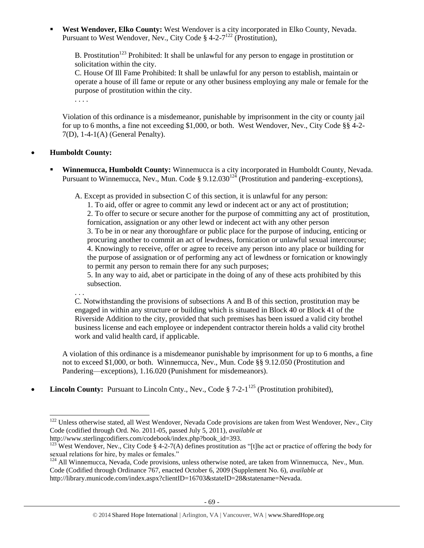**West Wendover, Elko County:** West Wendover is a city incorporated in Elko County, Nevada. Pursuant to West Wendover, Nev., City Code § 4-2-7<sup>122</sup> (Prostitution),

B. Prostitution<sup>123</sup> Prohibited: It shall be unlawful for any person to engage in prostitution or solicitation within the city.

C. House Of Ill Fame Prohibited: It shall be unlawful for any person to establish, maintain or operate a house of ill fame or repute or any other business employing any male or female for the purpose of prostitution within the city.

. . . .

Violation of this ordinance is a misdemeanor, punishable by imprisonment in the city or county jail for up to 6 months, a fine not exceeding \$1,000, or both. West Wendover, Nev., City Code §§ 4-2- 7(D), 1-4-1(A) (General Penalty).

# **Humboldt County:**

 $\overline{a}$ 

 **Winnemucca, Humboldt County:** Winnemucca is a city incorporated in Humboldt County, Nevada. Pursuant to Winnemucca, Nev., Mun. Code § 9.12.030<sup>124</sup> (Prostitution and pandering–exceptions),

A. Except as provided in subsection C of this section, it is unlawful for any person:

1. To aid, offer or agree to commit any lewd or indecent act or any act of prostitution; 2. To offer to secure or secure another for the purpose of committing any act of prostitution, fornication, assignation or any other lewd or indecent act with any other person 3. To be in or near any thoroughfare or public place for the purpose of inducing, enticing or procuring another to commit an act of lewdness, fornication or unlawful sexual intercourse; 4. Knowingly to receive, offer or agree to receive any person into any place or building for the purpose of assignation or of performing any act of lewdness or fornication or knowingly to permit any person to remain there for any such purposes;

5. In any way to aid, abet or participate in the doing of any of these acts prohibited by this subsection.

. . . C. Notwithstanding the provisions of subsections A and B of this section, prostitution may be engaged in within any structure or building which is situated in Block 40 or Block 41 of the Riverside Addition to the city, provided that such premises has been issued a valid city brothel business license and each employee or independent contractor therein holds a valid city brothel work and valid health card, if applicable.

A violation of this ordinance is a misdemeanor punishable by imprisonment for up to 6 months, a fine not to exceed \$1,000, or both. Winnemucca, Nev., Mun. Code §§ 9.12.050 (Prostitution and Pandering—exceptions), 1.16.020 (Punishment for misdemeanors).

• **Lincoln County:** Pursuant to Lincoln Cnty., Nev., Code  $\S$  7-2-1<sup>125</sup> (Prostitution prohibited),

<sup>&</sup>lt;sup>122</sup> Unless otherwise stated, all West Wendover, Nevada Code provisions are taken from West Wendover, Nev., City Code (codified through Ord. No. 2011-05, passed July 5, 2011), *available at*  http://www.sterlingcodifiers.com/codebook/index.php?book\_id=393.

<sup>&</sup>lt;sup>123</sup> West Wendover, Nev., City Code § 4-2-7(A) defines prostitution as "[t]he act or practice of offering the body for sexual relations for hire, by males or females."

<sup>&</sup>lt;sup>124</sup> All Winnemucca, Nevada, Code provisions, unless otherwise noted, are taken from Winnemucca, Nev., Mun. Code (Codified through Ordinance 767, enacted October 6, 2009 (Supplement No. 6), *available at* 

http://library.municode.com/index.aspx?clientID=16703&stateID=28&statename=Nevada.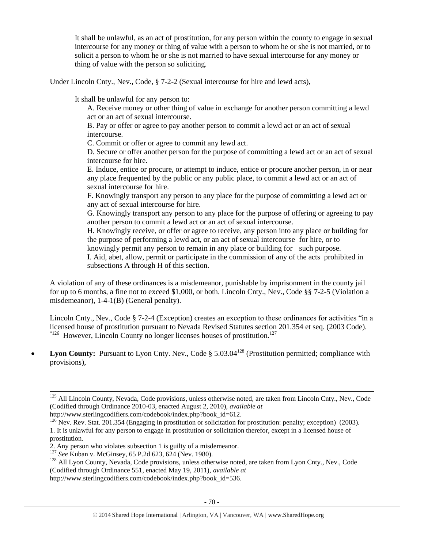It shall be unlawful, as an act of prostitution, for any person within the county to engage in sexual intercourse for any money or thing of value with a person to whom he or she is not married, or to solicit a person to whom he or she is not married to have sexual intercourse for any money or thing of value with the person so soliciting.

Under Lincoln Cnty., Nev., Code, § 7-2-2 (Sexual intercourse for hire and lewd acts),

It shall be unlawful for any person to:

A. Receive money or other thing of value in exchange for another person committing a lewd act or an act of sexual intercourse.

B. Pay or offer or agree to pay another person to commit a lewd act or an act of sexual intercourse.

C. Commit or offer or agree to commit any lewd act.

D. Secure or offer another person for the purpose of committing a lewd act or an act of sexual intercourse for hire.

E. Induce, entice or procure, or attempt to induce, entice or procure another person, in or near any place frequented by the public or any public place, to commit a lewd act or an act of sexual intercourse for hire.

F. Knowingly transport any person to any place for the purpose of committing a lewd act or any act of sexual intercourse for hire.

G. Knowingly transport any person to any place for the purpose of offering or agreeing to pay another person to commit a lewd act or an act of sexual intercourse.

H. Knowingly receive, or offer or agree to receive, any person into any place or building for the purpose of performing a lewd act, or an act of sexual intercourse for hire, or to knowingly permit any person to remain in any place or building for such purpose.

I. Aid, abet, allow, permit or participate in the commission of any of the acts prohibited in subsections A through H of this section.

A violation of any of these ordinances is a misdemeanor, punishable by imprisonment in the county jail for up to 6 months, a fine not to exceed \$1,000, or both. Lincoln Cnty., Nev., Code §§ 7-2-5 (Violation a misdemeanor), 1-4-1(B) (General penalty).

Lincoln Cnty., Nev., Code § 7-2-4 (Exception) creates an exception to these ordinances for activities "in a licensed house of prostitution pursuant to Nevada Revised Statutes section 201.354 et seq. (2003 Code).<br>
"<sup>126</sup> However, Lincoln County no longer licenses houses of prostitution.<sup>127</sup>

• Lyon County: Pursuant to Lyon Cnty. Nev., Code § 5.03.04<sup>128</sup> (Prostitution permitted; compliance with provisions),

 $\overline{a}$ 

http://www.sterlingcodifiers.com/codebook/index.php?book\_id=536.

<sup>&</sup>lt;sup>125</sup> All Lincoln County, Nevada, Code provisions, unless otherwise noted, are taken from Lincoln Cnty., Nev., Code (Codified through Ordinance 2010-03, enacted August 2, 2010), *available at* 

http://www.sterlingcodifiers.com/codebook/index.php?book\_id=612.

<sup>&</sup>lt;sup>126</sup> Nev. Rev. Stat. 201.354 (Engaging in prostitution or solicitation for prostitution: penalty; exception) (2003). 1. It is unlawful for any person to engage in prostitution or solicitation therefor, except in a licensed house of prostitution.

<sup>2.</sup> Any person who violates subsection 1 is guilty of a misdemeanor.

<sup>&</sup>lt;sup>127</sup> *See* Kuban v. McGinsey, 65 P.2d 623, 624 (Nev. 1980).

<sup>&</sup>lt;sup>128</sup> All Lyon County, Nevada, Code provisions, unless otherwise noted, are taken from Lyon Cnty., Nev., Code (Codified through Ordinance 551, enacted May 19, 2011), *available at*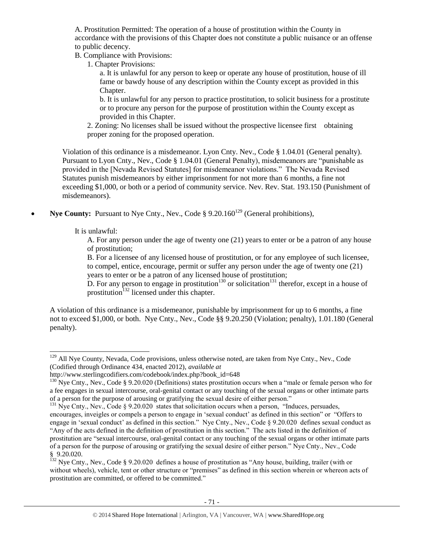A. Prostitution Permitted: The operation of a house of prostitution within the County in accordance with the provisions of this Chapter does not constitute a public nuisance or an offense to public decency.

B. Compliance with Provisions:

1. Chapter Provisions:

a. It is unlawful for any person to keep or operate any house of prostitution, house of ill fame or bawdy house of any description within the County except as provided in this Chapter.

b. It is unlawful for any person to practice prostitution, to solicit business for a prostitute or to procure any person for the purpose of prostitution within the County except as provided in this Chapter.

2. Zoning: No licenses shall be issued without the prospective licensee first obtaining proper zoning for the proposed operation.

Violation of this ordinance is a misdemeanor. Lyon Cnty. Nev., Code § 1.04.01 (General penalty). Pursuant to Lyon Cnty., Nev., Code § 1.04.01 (General Penalty), misdemeanors are "punishable as provided in the [Nevada Revised Statutes] for misdemeanor violations." The Nevada Revised Statutes punish misdemeanors by either imprisonment for not more than 6 months, a fine not exceeding \$1,000, or both or a period of community service. Nev. Rev. Stat. 193.150 (Punishment of misdemeanors).

**Nye County:** Pursuant to Nye Cnty., Nev., Code § 9.20.160<sup>129</sup> (General prohibitions),

It is unlawful:

 $\overline{a}$ 

A. For any person under the age of twenty one (21) years to enter or be a patron of any house of prostitution;

B. For a licensee of any licensed house of prostitution, or for any employee of such licensee, to compel, entice, encourage, permit or suffer any person under the age of twenty one (21) years to enter or be a patron of any licensed house of prostitution;

D. For any person to engage in prostitution<sup>130</sup> or solicitation<sup>131</sup> therefor, except in a house of prostitution<sup>132</sup> licensed under this chapter.

A violation of this ordinance is a misdemeanor, punishable by imprisonment for up to 6 months, a fine not to exceed \$1,000, or both. Nye Cnty., Nev., Code §§ 9.20.250 (Violation; penalty), 1.01.180 (General penalty).

<sup>&</sup>lt;sup>129</sup> All Nye County, Nevada, Code provisions, unless otherwise noted, are taken from Nye Cnty., Nev., Code (Codified through Ordinance 434, enacted 2012), *available at* 

http://www.sterlingcodifiers.com/codebook/index.php?book\_id=648

<sup>&</sup>lt;sup>130</sup> Nye Cnty., Nev., Code § 9.20.020 (Definitions) states prostitution occurs when a "male or female person who for a fee engages in sexual intercourse, oral-genital contact or any touching of the sexual organs or other intimate parts of a person for the purpose of arousing or gratifying the sexual desire of either person."

 $^{131}$  Nye Cnty., Nev., Code § 9.20.020 states that solicitation occurs when a person, "Induces, persuades, encourages, inveigles or compels a person to engage in 'sexual conduct' as defined in this section" or "Offers to engage in 'sexual conduct' as defined in this section." Nye Cnty., Nev., Code § 9.20.020 defines sexual conduct as "Any of the acts defined in the definition of prostitution in this section." The acts listed in the definition of prostitution are "sexual intercourse, oral-genital contact or any touching of the sexual organs or other intimate parts of a person for the purpose of arousing or gratifying the sexual desire of either person." Nye Cnty., Nev., Code § 9.20.020.

<sup>&</sup>lt;sup>132</sup> Nve Cnty., Nev., Code § 9.20.020 defines a house of prostitution as "Any house, building, trailer (with or without wheels), vehicle, tent or other structure or "premises" as defined in this section wherein or whereon acts of prostitution are committed, or offered to be committed."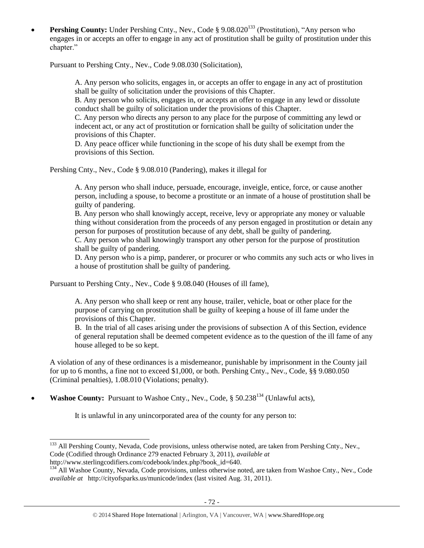**Pershing County:** Under Pershing Cnty., Nev., Code § 9.08.020<sup>133</sup> (Prostitution), "Any person who engages in or accepts an offer to engage in any act of prostitution shall be guilty of prostitution under this chapter."

Pursuant to Pershing Cnty., Nev., Code 9.08.030 (Solicitation),

A. Any person who solicits, engages in, or accepts an offer to engage in any act of prostitution shall be guilty of solicitation under the provisions of this Chapter.

B. Any person who solicits, engages in, or accepts an offer to engage in any lewd or dissolute conduct shall be guilty of solicitation under the provisions of this Chapter.

C. Any person who directs any person to any place for the purpose of committing any lewd or indecent act, or any act of prostitution or fornication shall be guilty of solicitation under the provisions of this Chapter.

D. Any peace officer while functioning in the scope of his duty shall be exempt from the provisions of this Section.

Pershing Cnty., Nev., Code § 9.08.010 (Pandering), makes it illegal for

A. Any person who shall induce, persuade, encourage, inveigle, entice, force, or cause another person, including a spouse, to become a prostitute or an inmate of a house of prostitution shall be guilty of pandering.

B. Any person who shall knowingly accept, receive, levy or appropriate any money or valuable thing without consideration from the proceeds of any person engaged in prostitution or detain any person for purposes of prostitution because of any debt, shall be guilty of pandering.

C. Any person who shall knowingly transport any other person for the purpose of prostitution shall be guilty of pandering.

D. Any person who is a pimp, panderer, or procurer or who commits any such acts or who lives in a house of prostitution shall be guilty of pandering.

Pursuant to Pershing Cnty., Nev., Code § 9.08.040 (Houses of ill fame),

A. Any person who shall keep or rent any house, trailer, vehicle, boat or other place for the purpose of carrying on prostitution shall be guilty of keeping a house of ill fame under the provisions of this Chapter.

B. In the trial of all cases arising under the provisions of subsection A of this Section, evidence of general reputation shall be deemed competent evidence as to the question of the ill fame of any house alleged to be so kept.

A violation of any of these ordinances is a misdemeanor, punishable by imprisonment in the County jail for up to 6 months, a fine not to exceed \$1,000, or both. Pershing Cnty., Nev., Code, §§ 9.080.050 (Criminal penalties), 1.08.010 (Violations; penalty).

• Washoe County: Pursuant to Washoe Cnty., Nev., Code, § 50.238<sup>134</sup> (Unlawful acts),

 $\overline{a}$ 

It is unlawful in any unincorporated area of the county for any person to:

<sup>&</sup>lt;sup>133</sup> All Pershing County, Nevada, Code provisions, unless otherwise noted, are taken from Pershing Cnty., Nev., Code (Codified through Ordinance 279 enacted February 3, 2011), *available at* http://www.sterlingcodifiers.com/codebook/index.php?book\_id=640.

<sup>&</sup>lt;sup>134</sup> All Washoe County, Nevada, Code provisions, unless otherwise noted, are taken from Washoe Cnty., Nev., Code *available at* http://cityofsparks.us/municode/index (last visited Aug. 31, 2011).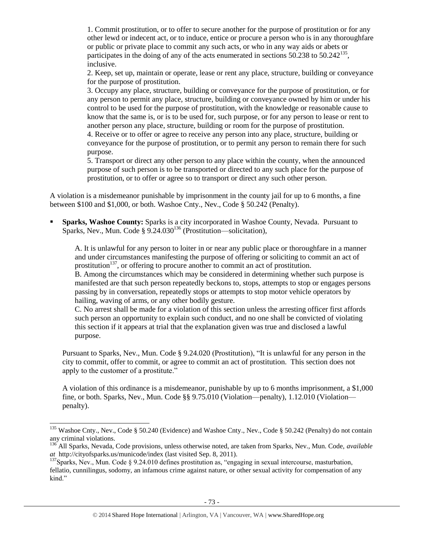1. Commit prostitution, or to offer to secure another for the purpose of prostitution or for any other lewd or indecent act, or to induce, entice or procure a person who is in any thoroughfare or public or private place to commit any such acts, or who in any way aids or abets or participates in the doing of any of the acts enumerated in sections  $50.238$  to  $50.242^{135}$ , inclusive.

2. Keep, set up, maintain or operate, lease or rent any place, structure, building or conveyance for the purpose of prostitution.

3. Occupy any place, structure, building or conveyance for the purpose of prostitution, or for any person to permit any place, structure, building or conveyance owned by him or under his control to be used for the purpose of prostitution, with the knowledge or reasonable cause to know that the same is, or is to be used for, such purpose, or for any person to lease or rent to another person any place, structure, building or room for the purpose of prostitution.

4. Receive or to offer or agree to receive any person into any place, structure, building or conveyance for the purpose of prostitution, or to permit any person to remain there for such purpose.

5. Transport or direct any other person to any place within the county, when the announced purpose of such person is to be transported or directed to any such place for the purpose of prostitution, or to offer or agree so to transport or direct any such other person.

A violation is a misdemeanor punishable by imprisonment in the county jail for up to 6 months, a fine between \$100 and \$1,000, or both. Washoe Cnty., Nev., Code § 50.242 (Penalty).

 **Sparks, Washoe County:** Sparks is a city incorporated in Washoe County, Nevada. Pursuant to Sparks, Nev., Mun. Code  $\S 9.24.030^{136}$  (Prostitution—solicitation),

A. It is unlawful for any person to loiter in or near any public place or thoroughfare in a manner and under circumstances manifesting the purpose of offering or soliciting to commit an act of prostitution<sup>137</sup>, or offering to procure another to commit an act of prostitution.

B. Among the circumstances which may be considered in determining whether such purpose is manifested are that such person repeatedly beckons to, stops, attempts to stop or engages persons passing by in conversation, repeatedly stops or attempts to stop motor vehicle operators by hailing, waving of arms, or any other bodily gesture.

C. No arrest shall be made for a violation of this section unless the arresting officer first affords such person an opportunity to explain such conduct, and no one shall be convicted of violating this section if it appears at trial that the explanation given was true and disclosed a lawful purpose.

Pursuant to Sparks, Nev., Mun. Code § 9.24.020 (Prostitution), "It is unlawful for any person in the city to commit, offer to commit, or agree to commit an act of prostitution. This section does not apply to the customer of a prostitute."

A violation of this ordinance is a misdemeanor, punishable by up to 6 months imprisonment, a \$1,000 fine, or both. Sparks, Nev., Mun. Code §§ 9.75.010 (Violation—penalty), 1.12.010 (Violation penalty).

 $\overline{\phantom{a}}$ 

<sup>&</sup>lt;sup>135</sup> Washoe Cnty., Nev., Code § 50.240 (Evidence) and Washoe Cnty., Nev., Code § 50.242 (Penalty) do not contain any criminal violations.

<sup>136</sup> All Sparks, Nevada, Code provisions, unless otherwise noted, are taken from Sparks, Nev., Mun. Code, *available at* http://cityofsparks.us/municode/index (last visited Sep. 8, 2011).

<sup>&</sup>lt;sup>137</sup>Sparks, Nev., Mun. Code § 9.24.010 defines prostitution as, "engaging in sexual intercourse, masturbation, fellatio, cunnilingus, sodomy, an infamous crime against nature, or other sexual activity for compensation of any kind."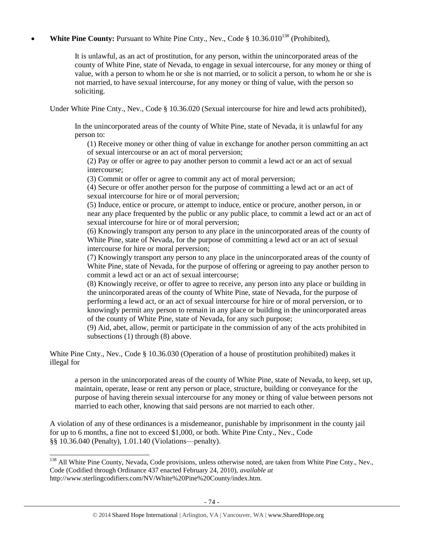## **White Pine County:** Pursuant to White Pine Cnty., Nev., Code § 10.36.010<sup>138</sup> (Prohibited),

It is unlawful, as an act of prostitution, for any person, within the unincorporated areas of the county of White Pine, state of Nevada, to engage in sexual intercourse, for any money or thing of value, with a person to whom he or she is not married, or to solicit a person, to whom he or she is not married, to have sexual intercourse, for any money or thing of value, with the person so soliciting.

Under White Pine Cnty., Nev., Code § 10.36.020 (Sexual intercourse for hire and lewd acts prohibited),

In the unincorporated areas of the county of White Pine, state of Nevada, it is unlawful for any person to:

(1) Receive money or other thing of value in exchange for another person committing an act of sexual intercourse or an act of moral perversion;

(2) Pay or offer or agree to pay another person to commit a lewd act or an act of sexual intercourse;

(3) Commit or offer or agree to commit any act of moral perversion;

(4) Secure or offer another person for the purpose of committing a lewd act or an act of sexual intercourse for hire or of moral perversion;

(5) Induce, entice or procure, or attempt to induce, entice or procure, another person, in or near any place frequented by the public or any public place, to commit a lewd act or an act of sexual intercourse for hire or of moral perversion;

(6) Knowingly transport any person to any place in the unincorporated areas of the county of White Pine, state of Nevada, for the purpose of committing a lewd act or an act of sexual intercourse for hire or moral perversion;

(7) Knowingly transport any person to any place in the unincorporated areas of the county of White Pine, state of Nevada, for the purpose of offering or agreeing to pay another person to commit a lewd act or an act of sexual intercourse;

(8) Knowingly receive, or offer to agree to receive, any person into any place or building in the unincorporated areas of the county of White Pine, state of Nevada, for the purpose of performing a lewd act, or an act of sexual intercourse for hire or of moral perversion, or to knowingly permit any person to remain in any place or building in the unincorporated areas of the county of White Pine, state of Nevada, for any such purpose;

(9) Aid, abet, allow, permit or participate in the commission of any of the acts prohibited in subsections (1) through (8) above.

White Pine Cnty., Nev., Code § 10.36.030 (Operation of a house of prostitution prohibited) makes it illegal for

a person in the unincorporated areas of the county of White Pine, state of Nevada, to keep, set up, maintain, operate, lease or rent any person or place, structure, building or conveyance for the purpose of having therein sexual intercourse for any money or thing of value between persons not married to each other, knowing that said persons are not married to each other.

A violation of any of these ordinances is a misdemeanor, punishable by imprisonment in the county jail for up to 6 months, a fine not to exceed \$1,000, or both. White Pine Cnty., Nev., Code §§ 10.36.040 (Penalty), 1.01.140 (Violations—penalty).

l

<sup>&</sup>lt;sup>138</sup> All White Pine County, Nevada, Code provisions, unless otherwise noted, are taken from White Pine Cnty., Nev., Code (Codified through Ordinance 437 enacted February 24, 2010), *available at* http://www.sterlingcodifiers.com/NV/White%20Pine%20County/index.htm.